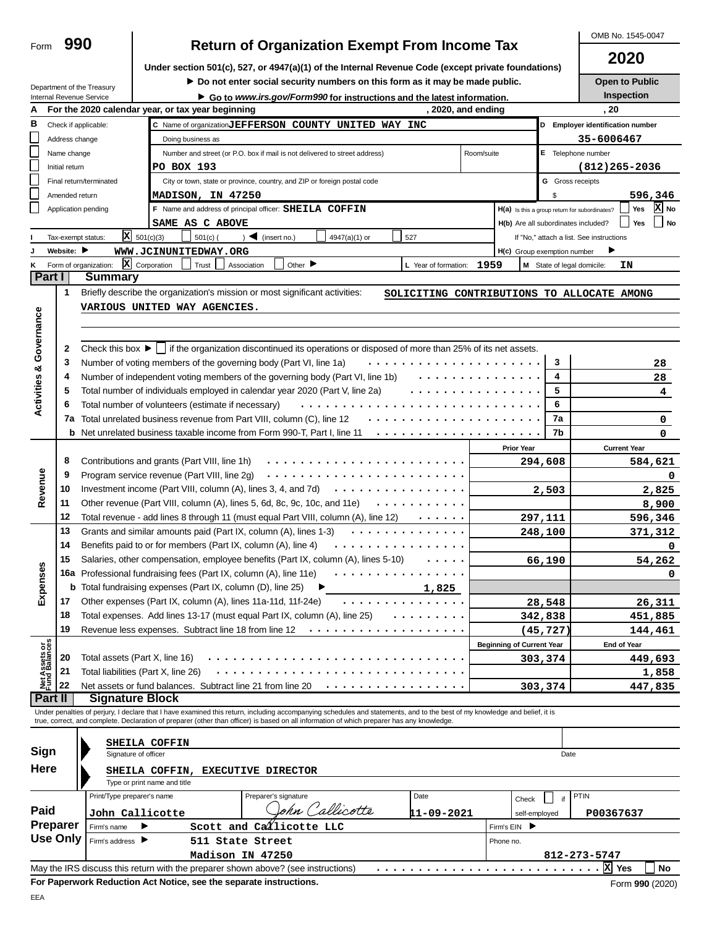| 2020<br>Under section 501(c), 527, or 4947(a)(1) of the Internal Revenue Code (except private foundations)<br>Do not enter social security numbers on this form as it may be made public.<br><b>Open to Public</b><br>Department of the Treasury<br><b>Inspection</b><br>Internal Revenue Service<br>Go to www.irs.gov/Form990 for instructions and the latest information.<br>, 2020, and ending<br>, 20<br>For the 2020 calendar year, or tax year beginning<br>C Name of organization JEFFERSON COUNTY UNITED WAY INC<br>D Employer identification number<br>Check if applicable:<br>L<br>35-6006467<br>Address change<br>Doing business as<br>E Telephone number<br>Name change<br>Number and street (or P.O. box if mail is not delivered to street address)<br>Room/suite<br>PO BOX 193<br>$(812)$ 265-2036<br>Initial return<br><b>G</b> Gross receipts<br>City or town, state or province, country, and ZIP or foreign postal code<br>Final return/terminated<br>596,346<br>Amended return<br><b>MADISON, IN 47250</b><br>\$<br>X No<br>Yes<br>F Name and address of principal officer: SHEILA COFFIN<br>Application pending<br>H(a) Is this a group return for subordinates?<br>Yes<br>No.<br>SAME AS C ABOVE<br>H(b) Are all subordinates included?<br>$X = 501(c)(3)$<br>$)$ (insert no.)<br>$501(c)$ (<br>527<br>4947(a)(1) or<br>Tax-exempt status:<br>If "No," attach a list. See instructions<br>Website:<br>WWW.JCINUNITEDWAY.ORG<br>H(c) Group exemption number<br>X Corporation<br>Trust<br>Form of organization:<br>Other $\blacksquare$<br>Association<br>1959<br>ΙN<br>κ<br>L Year of formation:<br>M State of legal domicile:<br>Part I<br><b>Summary</b><br>1<br>Briefly describe the organization's mission or most significant activities:<br>SOLICITING CONTRIBUTIONS TO ALLOCATE AMONG<br>VARIOUS UNITED WAY AGENCIES.<br>Activities & Governance<br>Check this box $\blacktriangleright$   if the organization discontinued its operations or disposed of more than 25% of its net assets.<br>2<br>3<br>3<br>Number of voting members of the governing body (Part VI, line 1a)<br>28<br>4<br>Number of independent voting members of the governing body (Part VI, line 1b)<br>.<br>4<br>28<br>5<br>Total number of individuals employed in calendar year 2020 (Part V, line 2a)<br>.<br>5<br>4<br>6<br>Total number of volunteers (estimate if necessary)<br>6<br>7a<br>7a Total unrelated business revenue from Part VIII, column (C), line 12<br>. <b>.</b><br>0<br>7b<br><b>b</b> Net unrelated business taxable income from Form 990-T, Part I, line 11<br>0<br><b>Prior Year</b><br><b>Current Year</b><br>8<br>Contributions and grants (Part VIII, line 1h)<br>294,608<br>584,621<br>Revenue<br>9<br>Program service revenue (Part VIII, line 2g)<br>0<br>Investment income (Part VIII, column (A), lines 3, 4, and 7d) $\cdots$ $\cdots$ $\cdots$ $\cdots$ $\cdots$ $\cdots$ $\cdots$<br>10<br>2,503<br>2,825<br>11<br>Other revenue (Part VIII, column (A), lines 5, 6d, 8c, 9c, 10c, and 11e) $\cdots \cdots \cdots$<br>8,900<br>12<br>Total revenue - add lines 8 through 11 (must equal Part VIII, column (A), line 12)<br>297,111<br>596,346<br>13<br>Grants and similar amounts paid (Part IX, column (A), lines 1-3)<br>.<br>248,100<br><u>371,312</u><br>14<br>Benefits paid to or for members (Part IX, column (A), line 4)<br>.<br>0<br>15 Salaries, other compensation, employee benefits (Part IX, column (A), lines 5-10)<br>66,190<br>54,262<br>Expenses<br>16a Professional fundraising fees (Part IX, column (A), line 11e)<br>0<br><b>b</b> Total fundraising expenses (Part IX, column (D), line 25)<br>1,825<br>Other expenses (Part IX, column (A), lines 11a-11d, 11f-24e)<br>17<br>28,548<br><u>26,311</u><br>18<br>Total expenses. Add lines 13-17 (must equal Part IX, column (A), line 25)<br>342,838<br>451,885<br>19<br>Revenue less expenses. Subtract line 18 from line 12<br>(45, 727)<br>144,461<br>.<br>Net Assets or<br>Fund Balances<br><b>Beginning of Current Year</b><br><b>End of Year</b><br>20<br>Total assets (Part X, line 16)<br>303,374<br>449,693<br>21<br>Total liabilities (Part X, line 26)<br><u>1,858</u><br>22<br>Net assets or fund balances. Subtract line 21 from line 20<br>303,374<br>447,835<br>Part II<br><b>Signature Block</b><br>Under penalties of perjury, I declare that I have examined this return, including accompanying schedules and statements, and to the best of my knowledge and belief, it is<br>true, correct, and complete. Declaration of preparer (other than officer) is based on all information of which preparer has any knowledge.<br>SHEILA COFFIN<br>Sign<br>Signature of officer<br>Date<br>Here<br>SHEILA COFFIN,<br><b>EXECUTIVE DIRECTOR</b><br>Type or print name and title<br>PTIN<br>Preparer's signature<br>Date<br>Print/Type preparer's name<br>if<br>Check<br>'allicotte<br>Paid<br>ohn v<br>11-09-2021<br>John Callicotte<br>P00367637<br>self-employed<br>Preparer<br>Scott and Callicotte LLC<br>Firm's name<br>Firm's EIN<br><b>Use Only</b><br>Firm's address<br>511 State Street<br>Phone no.<br>Madison IN 47250<br>812-273-5747<br>X Yes<br><b>No</b><br>May the IRS discuss this return with the preparer shown above? (see instructions) | Form                                                 | 990 |  |  |  |  |  |  |  |  |  | OMB No. 1545-0047 |
|-----------------------------------------------------------------------------------------------------------------------------------------------------------------------------------------------------------------------------------------------------------------------------------------------------------------------------------------------------------------------------------------------------------------------------------------------------------------------------------------------------------------------------------------------------------------------------------------------------------------------------------------------------------------------------------------------------------------------------------------------------------------------------------------------------------------------------------------------------------------------------------------------------------------------------------------------------------------------------------------------------------------------------------------------------------------------------------------------------------------------------------------------------------------------------------------------------------------------------------------------------------------------------------------------------------------------------------------------------------------------------------------------------------------------------------------------------------------------------------------------------------------------------------------------------------------------------------------------------------------------------------------------------------------------------------------------------------------------------------------------------------------------------------------------------------------------------------------------------------------------------------------------------------------------------------------------------------------------------------------------------------------------------------------------------------------------------------------------------------------------------------------------------------------------------------------------------------------------------------------------------------------------------------------------------------------------------------------------------------------------------------------------------------------------------------------------------------------------------------------------------------------------------------------------------------------------------------------------------------------------------------------------------------------------------------------------------------------------------------------------------------------------------------------------------------------------------------------------------------------------------------------------------------------------------------------------------------------------------------------------------------------------------------------------------------------------------------------------------------------------------------------------------------------------------------------------------------------------------------------------------------------------------------------------------------------------------------------------------------------------------------------------------------------------------------------------------------------------------------------------------------------------------------------------------------------------------------------------------------------------------------------------------------------------------------------------------------------------------------------------------------------------------------------------------------------------------------------------------------------------------------------------------------------------------------------------------------------------------------------------------------------------------------------------------------------------------------------------------------------------------------------------------------------------------------------------------------------------------------------------------------------------------------------------------------------------------------------------------------------------------------------------------------------------------------------------------------------------------------------------------------------------------------------------------------------------------------------------------------------------------------------------------------------------------------------------------------------------------------------------------------------------------------------------------------------------------------------------------------------------------------------------------------------------------------------------------------------------------------------------------------------------------------------------------------------------------------------------------------------------------------------------------------------------------------------------------------------------------------------------------------------------------------------|------------------------------------------------------|-----|--|--|--|--|--|--|--|--|--|-------------------|
|                                                                                                                                                                                                                                                                                                                                                                                                                                                                                                                                                                                                                                                                                                                                                                                                                                                                                                                                                                                                                                                                                                                                                                                                                                                                                                                                                                                                                                                                                                                                                                                                                                                                                                                                                                                                                                                                                                                                                                                                                                                                                                                                                                                                                                                                                                                                                                                                                                                                                                                                                                                                                                                                                                                                                                                                                                                                                                                                                                                                                                                                                                                                                                                                                                                                                                                                                                                                                                                                                                                                                                                                                                                                                                                                                                                                                                                                                                                                                                                                                                                                                                                                                                                                                                                                                                                                                                                                                                                                                                                                                                                                                                                                                                                                                                                                                                                                                                                                                                                                                                                                                                                                                                                                                                                                                         | <b>Return of Organization Exempt From Income Tax</b> |     |  |  |  |  |  |  |  |  |  |                   |
|                                                                                                                                                                                                                                                                                                                                                                                                                                                                                                                                                                                                                                                                                                                                                                                                                                                                                                                                                                                                                                                                                                                                                                                                                                                                                                                                                                                                                                                                                                                                                                                                                                                                                                                                                                                                                                                                                                                                                                                                                                                                                                                                                                                                                                                                                                                                                                                                                                                                                                                                                                                                                                                                                                                                                                                                                                                                                                                                                                                                                                                                                                                                                                                                                                                                                                                                                                                                                                                                                                                                                                                                                                                                                                                                                                                                                                                                                                                                                                                                                                                                                                                                                                                                                                                                                                                                                                                                                                                                                                                                                                                                                                                                                                                                                                                                                                                                                                                                                                                                                                                                                                                                                                                                                                                                                         |                                                      |     |  |  |  |  |  |  |  |  |  |                   |
|                                                                                                                                                                                                                                                                                                                                                                                                                                                                                                                                                                                                                                                                                                                                                                                                                                                                                                                                                                                                                                                                                                                                                                                                                                                                                                                                                                                                                                                                                                                                                                                                                                                                                                                                                                                                                                                                                                                                                                                                                                                                                                                                                                                                                                                                                                                                                                                                                                                                                                                                                                                                                                                                                                                                                                                                                                                                                                                                                                                                                                                                                                                                                                                                                                                                                                                                                                                                                                                                                                                                                                                                                                                                                                                                                                                                                                                                                                                                                                                                                                                                                                                                                                                                                                                                                                                                                                                                                                                                                                                                                                                                                                                                                                                                                                                                                                                                                                                                                                                                                                                                                                                                                                                                                                                                                         |                                                      |     |  |  |  |  |  |  |  |  |  |                   |
|                                                                                                                                                                                                                                                                                                                                                                                                                                                                                                                                                                                                                                                                                                                                                                                                                                                                                                                                                                                                                                                                                                                                                                                                                                                                                                                                                                                                                                                                                                                                                                                                                                                                                                                                                                                                                                                                                                                                                                                                                                                                                                                                                                                                                                                                                                                                                                                                                                                                                                                                                                                                                                                                                                                                                                                                                                                                                                                                                                                                                                                                                                                                                                                                                                                                                                                                                                                                                                                                                                                                                                                                                                                                                                                                                                                                                                                                                                                                                                                                                                                                                                                                                                                                                                                                                                                                                                                                                                                                                                                                                                                                                                                                                                                                                                                                                                                                                                                                                                                                                                                                                                                                                                                                                                                                                         |                                                      |     |  |  |  |  |  |  |  |  |  |                   |
|                                                                                                                                                                                                                                                                                                                                                                                                                                                                                                                                                                                                                                                                                                                                                                                                                                                                                                                                                                                                                                                                                                                                                                                                                                                                                                                                                                                                                                                                                                                                                                                                                                                                                                                                                                                                                                                                                                                                                                                                                                                                                                                                                                                                                                                                                                                                                                                                                                                                                                                                                                                                                                                                                                                                                                                                                                                                                                                                                                                                                                                                                                                                                                                                                                                                                                                                                                                                                                                                                                                                                                                                                                                                                                                                                                                                                                                                                                                                                                                                                                                                                                                                                                                                                                                                                                                                                                                                                                                                                                                                                                                                                                                                                                                                                                                                                                                                                                                                                                                                                                                                                                                                                                                                                                                                                         | в                                                    |     |  |  |  |  |  |  |  |  |  |                   |
|                                                                                                                                                                                                                                                                                                                                                                                                                                                                                                                                                                                                                                                                                                                                                                                                                                                                                                                                                                                                                                                                                                                                                                                                                                                                                                                                                                                                                                                                                                                                                                                                                                                                                                                                                                                                                                                                                                                                                                                                                                                                                                                                                                                                                                                                                                                                                                                                                                                                                                                                                                                                                                                                                                                                                                                                                                                                                                                                                                                                                                                                                                                                                                                                                                                                                                                                                                                                                                                                                                                                                                                                                                                                                                                                                                                                                                                                                                                                                                                                                                                                                                                                                                                                                                                                                                                                                                                                                                                                                                                                                                                                                                                                                                                                                                                                                                                                                                                                                                                                                                                                                                                                                                                                                                                                                         |                                                      |     |  |  |  |  |  |  |  |  |  |                   |
|                                                                                                                                                                                                                                                                                                                                                                                                                                                                                                                                                                                                                                                                                                                                                                                                                                                                                                                                                                                                                                                                                                                                                                                                                                                                                                                                                                                                                                                                                                                                                                                                                                                                                                                                                                                                                                                                                                                                                                                                                                                                                                                                                                                                                                                                                                                                                                                                                                                                                                                                                                                                                                                                                                                                                                                                                                                                                                                                                                                                                                                                                                                                                                                                                                                                                                                                                                                                                                                                                                                                                                                                                                                                                                                                                                                                                                                                                                                                                                                                                                                                                                                                                                                                                                                                                                                                                                                                                                                                                                                                                                                                                                                                                                                                                                                                                                                                                                                                                                                                                                                                                                                                                                                                                                                                                         | L                                                    |     |  |  |  |  |  |  |  |  |  |                   |
|                                                                                                                                                                                                                                                                                                                                                                                                                                                                                                                                                                                                                                                                                                                                                                                                                                                                                                                                                                                                                                                                                                                                                                                                                                                                                                                                                                                                                                                                                                                                                                                                                                                                                                                                                                                                                                                                                                                                                                                                                                                                                                                                                                                                                                                                                                                                                                                                                                                                                                                                                                                                                                                                                                                                                                                                                                                                                                                                                                                                                                                                                                                                                                                                                                                                                                                                                                                                                                                                                                                                                                                                                                                                                                                                                                                                                                                                                                                                                                                                                                                                                                                                                                                                                                                                                                                                                                                                                                                                                                                                                                                                                                                                                                                                                                                                                                                                                                                                                                                                                                                                                                                                                                                                                                                                                         | L                                                    |     |  |  |  |  |  |  |  |  |  |                   |
|                                                                                                                                                                                                                                                                                                                                                                                                                                                                                                                                                                                                                                                                                                                                                                                                                                                                                                                                                                                                                                                                                                                                                                                                                                                                                                                                                                                                                                                                                                                                                                                                                                                                                                                                                                                                                                                                                                                                                                                                                                                                                                                                                                                                                                                                                                                                                                                                                                                                                                                                                                                                                                                                                                                                                                                                                                                                                                                                                                                                                                                                                                                                                                                                                                                                                                                                                                                                                                                                                                                                                                                                                                                                                                                                                                                                                                                                                                                                                                                                                                                                                                                                                                                                                                                                                                                                                                                                                                                                                                                                                                                                                                                                                                                                                                                                                                                                                                                                                                                                                                                                                                                                                                                                                                                                                         | L                                                    |     |  |  |  |  |  |  |  |  |  |                   |
|                                                                                                                                                                                                                                                                                                                                                                                                                                                                                                                                                                                                                                                                                                                                                                                                                                                                                                                                                                                                                                                                                                                                                                                                                                                                                                                                                                                                                                                                                                                                                                                                                                                                                                                                                                                                                                                                                                                                                                                                                                                                                                                                                                                                                                                                                                                                                                                                                                                                                                                                                                                                                                                                                                                                                                                                                                                                                                                                                                                                                                                                                                                                                                                                                                                                                                                                                                                                                                                                                                                                                                                                                                                                                                                                                                                                                                                                                                                                                                                                                                                                                                                                                                                                                                                                                                                                                                                                                                                                                                                                                                                                                                                                                                                                                                                                                                                                                                                                                                                                                                                                                                                                                                                                                                                                                         |                                                      |     |  |  |  |  |  |  |  |  |  |                   |
|                                                                                                                                                                                                                                                                                                                                                                                                                                                                                                                                                                                                                                                                                                                                                                                                                                                                                                                                                                                                                                                                                                                                                                                                                                                                                                                                                                                                                                                                                                                                                                                                                                                                                                                                                                                                                                                                                                                                                                                                                                                                                                                                                                                                                                                                                                                                                                                                                                                                                                                                                                                                                                                                                                                                                                                                                                                                                                                                                                                                                                                                                                                                                                                                                                                                                                                                                                                                                                                                                                                                                                                                                                                                                                                                                                                                                                                                                                                                                                                                                                                                                                                                                                                                                                                                                                                                                                                                                                                                                                                                                                                                                                                                                                                                                                                                                                                                                                                                                                                                                                                                                                                                                                                                                                                                                         |                                                      |     |  |  |  |  |  |  |  |  |  |                   |
|                                                                                                                                                                                                                                                                                                                                                                                                                                                                                                                                                                                                                                                                                                                                                                                                                                                                                                                                                                                                                                                                                                                                                                                                                                                                                                                                                                                                                                                                                                                                                                                                                                                                                                                                                                                                                                                                                                                                                                                                                                                                                                                                                                                                                                                                                                                                                                                                                                                                                                                                                                                                                                                                                                                                                                                                                                                                                                                                                                                                                                                                                                                                                                                                                                                                                                                                                                                                                                                                                                                                                                                                                                                                                                                                                                                                                                                                                                                                                                                                                                                                                                                                                                                                                                                                                                                                                                                                                                                                                                                                                                                                                                                                                                                                                                                                                                                                                                                                                                                                                                                                                                                                                                                                                                                                                         |                                                      |     |  |  |  |  |  |  |  |  |  |                   |
|                                                                                                                                                                                                                                                                                                                                                                                                                                                                                                                                                                                                                                                                                                                                                                                                                                                                                                                                                                                                                                                                                                                                                                                                                                                                                                                                                                                                                                                                                                                                                                                                                                                                                                                                                                                                                                                                                                                                                                                                                                                                                                                                                                                                                                                                                                                                                                                                                                                                                                                                                                                                                                                                                                                                                                                                                                                                                                                                                                                                                                                                                                                                                                                                                                                                                                                                                                                                                                                                                                                                                                                                                                                                                                                                                                                                                                                                                                                                                                                                                                                                                                                                                                                                                                                                                                                                                                                                                                                                                                                                                                                                                                                                                                                                                                                                                                                                                                                                                                                                                                                                                                                                                                                                                                                                                         |                                                      |     |  |  |  |  |  |  |  |  |  |                   |
|                                                                                                                                                                                                                                                                                                                                                                                                                                                                                                                                                                                                                                                                                                                                                                                                                                                                                                                                                                                                                                                                                                                                                                                                                                                                                                                                                                                                                                                                                                                                                                                                                                                                                                                                                                                                                                                                                                                                                                                                                                                                                                                                                                                                                                                                                                                                                                                                                                                                                                                                                                                                                                                                                                                                                                                                                                                                                                                                                                                                                                                                                                                                                                                                                                                                                                                                                                                                                                                                                                                                                                                                                                                                                                                                                                                                                                                                                                                                                                                                                                                                                                                                                                                                                                                                                                                                                                                                                                                                                                                                                                                                                                                                                                                                                                                                                                                                                                                                                                                                                                                                                                                                                                                                                                                                                         |                                                      |     |  |  |  |  |  |  |  |  |  |                   |
|                                                                                                                                                                                                                                                                                                                                                                                                                                                                                                                                                                                                                                                                                                                                                                                                                                                                                                                                                                                                                                                                                                                                                                                                                                                                                                                                                                                                                                                                                                                                                                                                                                                                                                                                                                                                                                                                                                                                                                                                                                                                                                                                                                                                                                                                                                                                                                                                                                                                                                                                                                                                                                                                                                                                                                                                                                                                                                                                                                                                                                                                                                                                                                                                                                                                                                                                                                                                                                                                                                                                                                                                                                                                                                                                                                                                                                                                                                                                                                                                                                                                                                                                                                                                                                                                                                                                                                                                                                                                                                                                                                                                                                                                                                                                                                                                                                                                                                                                                                                                                                                                                                                                                                                                                                                                                         |                                                      |     |  |  |  |  |  |  |  |  |  |                   |
|                                                                                                                                                                                                                                                                                                                                                                                                                                                                                                                                                                                                                                                                                                                                                                                                                                                                                                                                                                                                                                                                                                                                                                                                                                                                                                                                                                                                                                                                                                                                                                                                                                                                                                                                                                                                                                                                                                                                                                                                                                                                                                                                                                                                                                                                                                                                                                                                                                                                                                                                                                                                                                                                                                                                                                                                                                                                                                                                                                                                                                                                                                                                                                                                                                                                                                                                                                                                                                                                                                                                                                                                                                                                                                                                                                                                                                                                                                                                                                                                                                                                                                                                                                                                                                                                                                                                                                                                                                                                                                                                                                                                                                                                                                                                                                                                                                                                                                                                                                                                                                                                                                                                                                                                                                                                                         |                                                      |     |  |  |  |  |  |  |  |  |  |                   |
|                                                                                                                                                                                                                                                                                                                                                                                                                                                                                                                                                                                                                                                                                                                                                                                                                                                                                                                                                                                                                                                                                                                                                                                                                                                                                                                                                                                                                                                                                                                                                                                                                                                                                                                                                                                                                                                                                                                                                                                                                                                                                                                                                                                                                                                                                                                                                                                                                                                                                                                                                                                                                                                                                                                                                                                                                                                                                                                                                                                                                                                                                                                                                                                                                                                                                                                                                                                                                                                                                                                                                                                                                                                                                                                                                                                                                                                                                                                                                                                                                                                                                                                                                                                                                                                                                                                                                                                                                                                                                                                                                                                                                                                                                                                                                                                                                                                                                                                                                                                                                                                                                                                                                                                                                                                                                         |                                                      |     |  |  |  |  |  |  |  |  |  |                   |
|                                                                                                                                                                                                                                                                                                                                                                                                                                                                                                                                                                                                                                                                                                                                                                                                                                                                                                                                                                                                                                                                                                                                                                                                                                                                                                                                                                                                                                                                                                                                                                                                                                                                                                                                                                                                                                                                                                                                                                                                                                                                                                                                                                                                                                                                                                                                                                                                                                                                                                                                                                                                                                                                                                                                                                                                                                                                                                                                                                                                                                                                                                                                                                                                                                                                                                                                                                                                                                                                                                                                                                                                                                                                                                                                                                                                                                                                                                                                                                                                                                                                                                                                                                                                                                                                                                                                                                                                                                                                                                                                                                                                                                                                                                                                                                                                                                                                                                                                                                                                                                                                                                                                                                                                                                                                                         |                                                      |     |  |  |  |  |  |  |  |  |  |                   |
|                                                                                                                                                                                                                                                                                                                                                                                                                                                                                                                                                                                                                                                                                                                                                                                                                                                                                                                                                                                                                                                                                                                                                                                                                                                                                                                                                                                                                                                                                                                                                                                                                                                                                                                                                                                                                                                                                                                                                                                                                                                                                                                                                                                                                                                                                                                                                                                                                                                                                                                                                                                                                                                                                                                                                                                                                                                                                                                                                                                                                                                                                                                                                                                                                                                                                                                                                                                                                                                                                                                                                                                                                                                                                                                                                                                                                                                                                                                                                                                                                                                                                                                                                                                                                                                                                                                                                                                                                                                                                                                                                                                                                                                                                                                                                                                                                                                                                                                                                                                                                                                                                                                                                                                                                                                                                         |                                                      |     |  |  |  |  |  |  |  |  |  |                   |
|                                                                                                                                                                                                                                                                                                                                                                                                                                                                                                                                                                                                                                                                                                                                                                                                                                                                                                                                                                                                                                                                                                                                                                                                                                                                                                                                                                                                                                                                                                                                                                                                                                                                                                                                                                                                                                                                                                                                                                                                                                                                                                                                                                                                                                                                                                                                                                                                                                                                                                                                                                                                                                                                                                                                                                                                                                                                                                                                                                                                                                                                                                                                                                                                                                                                                                                                                                                                                                                                                                                                                                                                                                                                                                                                                                                                                                                                                                                                                                                                                                                                                                                                                                                                                                                                                                                                                                                                                                                                                                                                                                                                                                                                                                                                                                                                                                                                                                                                                                                                                                                                                                                                                                                                                                                                                         |                                                      |     |  |  |  |  |  |  |  |  |  |                   |
|                                                                                                                                                                                                                                                                                                                                                                                                                                                                                                                                                                                                                                                                                                                                                                                                                                                                                                                                                                                                                                                                                                                                                                                                                                                                                                                                                                                                                                                                                                                                                                                                                                                                                                                                                                                                                                                                                                                                                                                                                                                                                                                                                                                                                                                                                                                                                                                                                                                                                                                                                                                                                                                                                                                                                                                                                                                                                                                                                                                                                                                                                                                                                                                                                                                                                                                                                                                                                                                                                                                                                                                                                                                                                                                                                                                                                                                                                                                                                                                                                                                                                                                                                                                                                                                                                                                                                                                                                                                                                                                                                                                                                                                                                                                                                                                                                                                                                                                                                                                                                                                                                                                                                                                                                                                                                         |                                                      |     |  |  |  |  |  |  |  |  |  |                   |
|                                                                                                                                                                                                                                                                                                                                                                                                                                                                                                                                                                                                                                                                                                                                                                                                                                                                                                                                                                                                                                                                                                                                                                                                                                                                                                                                                                                                                                                                                                                                                                                                                                                                                                                                                                                                                                                                                                                                                                                                                                                                                                                                                                                                                                                                                                                                                                                                                                                                                                                                                                                                                                                                                                                                                                                                                                                                                                                                                                                                                                                                                                                                                                                                                                                                                                                                                                                                                                                                                                                                                                                                                                                                                                                                                                                                                                                                                                                                                                                                                                                                                                                                                                                                                                                                                                                                                                                                                                                                                                                                                                                                                                                                                                                                                                                                                                                                                                                                                                                                                                                                                                                                                                                                                                                                                         |                                                      |     |  |  |  |  |  |  |  |  |  |                   |
|                                                                                                                                                                                                                                                                                                                                                                                                                                                                                                                                                                                                                                                                                                                                                                                                                                                                                                                                                                                                                                                                                                                                                                                                                                                                                                                                                                                                                                                                                                                                                                                                                                                                                                                                                                                                                                                                                                                                                                                                                                                                                                                                                                                                                                                                                                                                                                                                                                                                                                                                                                                                                                                                                                                                                                                                                                                                                                                                                                                                                                                                                                                                                                                                                                                                                                                                                                                                                                                                                                                                                                                                                                                                                                                                                                                                                                                                                                                                                                                                                                                                                                                                                                                                                                                                                                                                                                                                                                                                                                                                                                                                                                                                                                                                                                                                                                                                                                                                                                                                                                                                                                                                                                                                                                                                                         |                                                      |     |  |  |  |  |  |  |  |  |  |                   |
|                                                                                                                                                                                                                                                                                                                                                                                                                                                                                                                                                                                                                                                                                                                                                                                                                                                                                                                                                                                                                                                                                                                                                                                                                                                                                                                                                                                                                                                                                                                                                                                                                                                                                                                                                                                                                                                                                                                                                                                                                                                                                                                                                                                                                                                                                                                                                                                                                                                                                                                                                                                                                                                                                                                                                                                                                                                                                                                                                                                                                                                                                                                                                                                                                                                                                                                                                                                                                                                                                                                                                                                                                                                                                                                                                                                                                                                                                                                                                                                                                                                                                                                                                                                                                                                                                                                                                                                                                                                                                                                                                                                                                                                                                                                                                                                                                                                                                                                                                                                                                                                                                                                                                                                                                                                                                         |                                                      |     |  |  |  |  |  |  |  |  |  |                   |
|                                                                                                                                                                                                                                                                                                                                                                                                                                                                                                                                                                                                                                                                                                                                                                                                                                                                                                                                                                                                                                                                                                                                                                                                                                                                                                                                                                                                                                                                                                                                                                                                                                                                                                                                                                                                                                                                                                                                                                                                                                                                                                                                                                                                                                                                                                                                                                                                                                                                                                                                                                                                                                                                                                                                                                                                                                                                                                                                                                                                                                                                                                                                                                                                                                                                                                                                                                                                                                                                                                                                                                                                                                                                                                                                                                                                                                                                                                                                                                                                                                                                                                                                                                                                                                                                                                                                                                                                                                                                                                                                                                                                                                                                                                                                                                                                                                                                                                                                                                                                                                                                                                                                                                                                                                                                                         |                                                      |     |  |  |  |  |  |  |  |  |  |                   |
|                                                                                                                                                                                                                                                                                                                                                                                                                                                                                                                                                                                                                                                                                                                                                                                                                                                                                                                                                                                                                                                                                                                                                                                                                                                                                                                                                                                                                                                                                                                                                                                                                                                                                                                                                                                                                                                                                                                                                                                                                                                                                                                                                                                                                                                                                                                                                                                                                                                                                                                                                                                                                                                                                                                                                                                                                                                                                                                                                                                                                                                                                                                                                                                                                                                                                                                                                                                                                                                                                                                                                                                                                                                                                                                                                                                                                                                                                                                                                                                                                                                                                                                                                                                                                                                                                                                                                                                                                                                                                                                                                                                                                                                                                                                                                                                                                                                                                                                                                                                                                                                                                                                                                                                                                                                                                         |                                                      |     |  |  |  |  |  |  |  |  |  |                   |
|                                                                                                                                                                                                                                                                                                                                                                                                                                                                                                                                                                                                                                                                                                                                                                                                                                                                                                                                                                                                                                                                                                                                                                                                                                                                                                                                                                                                                                                                                                                                                                                                                                                                                                                                                                                                                                                                                                                                                                                                                                                                                                                                                                                                                                                                                                                                                                                                                                                                                                                                                                                                                                                                                                                                                                                                                                                                                                                                                                                                                                                                                                                                                                                                                                                                                                                                                                                                                                                                                                                                                                                                                                                                                                                                                                                                                                                                                                                                                                                                                                                                                                                                                                                                                                                                                                                                                                                                                                                                                                                                                                                                                                                                                                                                                                                                                                                                                                                                                                                                                                                                                                                                                                                                                                                                                         |                                                      |     |  |  |  |  |  |  |  |  |  |                   |
|                                                                                                                                                                                                                                                                                                                                                                                                                                                                                                                                                                                                                                                                                                                                                                                                                                                                                                                                                                                                                                                                                                                                                                                                                                                                                                                                                                                                                                                                                                                                                                                                                                                                                                                                                                                                                                                                                                                                                                                                                                                                                                                                                                                                                                                                                                                                                                                                                                                                                                                                                                                                                                                                                                                                                                                                                                                                                                                                                                                                                                                                                                                                                                                                                                                                                                                                                                                                                                                                                                                                                                                                                                                                                                                                                                                                                                                                                                                                                                                                                                                                                                                                                                                                                                                                                                                                                                                                                                                                                                                                                                                                                                                                                                                                                                                                                                                                                                                                                                                                                                                                                                                                                                                                                                                                                         |                                                      |     |  |  |  |  |  |  |  |  |  |                   |
|                                                                                                                                                                                                                                                                                                                                                                                                                                                                                                                                                                                                                                                                                                                                                                                                                                                                                                                                                                                                                                                                                                                                                                                                                                                                                                                                                                                                                                                                                                                                                                                                                                                                                                                                                                                                                                                                                                                                                                                                                                                                                                                                                                                                                                                                                                                                                                                                                                                                                                                                                                                                                                                                                                                                                                                                                                                                                                                                                                                                                                                                                                                                                                                                                                                                                                                                                                                                                                                                                                                                                                                                                                                                                                                                                                                                                                                                                                                                                                                                                                                                                                                                                                                                                                                                                                                                                                                                                                                                                                                                                                                                                                                                                                                                                                                                                                                                                                                                                                                                                                                                                                                                                                                                                                                                                         |                                                      |     |  |  |  |  |  |  |  |  |  |                   |
|                                                                                                                                                                                                                                                                                                                                                                                                                                                                                                                                                                                                                                                                                                                                                                                                                                                                                                                                                                                                                                                                                                                                                                                                                                                                                                                                                                                                                                                                                                                                                                                                                                                                                                                                                                                                                                                                                                                                                                                                                                                                                                                                                                                                                                                                                                                                                                                                                                                                                                                                                                                                                                                                                                                                                                                                                                                                                                                                                                                                                                                                                                                                                                                                                                                                                                                                                                                                                                                                                                                                                                                                                                                                                                                                                                                                                                                                                                                                                                                                                                                                                                                                                                                                                                                                                                                                                                                                                                                                                                                                                                                                                                                                                                                                                                                                                                                                                                                                                                                                                                                                                                                                                                                                                                                                                         |                                                      |     |  |  |  |  |  |  |  |  |  |                   |
|                                                                                                                                                                                                                                                                                                                                                                                                                                                                                                                                                                                                                                                                                                                                                                                                                                                                                                                                                                                                                                                                                                                                                                                                                                                                                                                                                                                                                                                                                                                                                                                                                                                                                                                                                                                                                                                                                                                                                                                                                                                                                                                                                                                                                                                                                                                                                                                                                                                                                                                                                                                                                                                                                                                                                                                                                                                                                                                                                                                                                                                                                                                                                                                                                                                                                                                                                                                                                                                                                                                                                                                                                                                                                                                                                                                                                                                                                                                                                                                                                                                                                                                                                                                                                                                                                                                                                                                                                                                                                                                                                                                                                                                                                                                                                                                                                                                                                                                                                                                                                                                                                                                                                                                                                                                                                         |                                                      |     |  |  |  |  |  |  |  |  |  |                   |
|                                                                                                                                                                                                                                                                                                                                                                                                                                                                                                                                                                                                                                                                                                                                                                                                                                                                                                                                                                                                                                                                                                                                                                                                                                                                                                                                                                                                                                                                                                                                                                                                                                                                                                                                                                                                                                                                                                                                                                                                                                                                                                                                                                                                                                                                                                                                                                                                                                                                                                                                                                                                                                                                                                                                                                                                                                                                                                                                                                                                                                                                                                                                                                                                                                                                                                                                                                                                                                                                                                                                                                                                                                                                                                                                                                                                                                                                                                                                                                                                                                                                                                                                                                                                                                                                                                                                                                                                                                                                                                                                                                                                                                                                                                                                                                                                                                                                                                                                                                                                                                                                                                                                                                                                                                                                                         |                                                      |     |  |  |  |  |  |  |  |  |  |                   |
|                                                                                                                                                                                                                                                                                                                                                                                                                                                                                                                                                                                                                                                                                                                                                                                                                                                                                                                                                                                                                                                                                                                                                                                                                                                                                                                                                                                                                                                                                                                                                                                                                                                                                                                                                                                                                                                                                                                                                                                                                                                                                                                                                                                                                                                                                                                                                                                                                                                                                                                                                                                                                                                                                                                                                                                                                                                                                                                                                                                                                                                                                                                                                                                                                                                                                                                                                                                                                                                                                                                                                                                                                                                                                                                                                                                                                                                                                                                                                                                                                                                                                                                                                                                                                                                                                                                                                                                                                                                                                                                                                                                                                                                                                                                                                                                                                                                                                                                                                                                                                                                                                                                                                                                                                                                                                         |                                                      |     |  |  |  |  |  |  |  |  |  |                   |
|                                                                                                                                                                                                                                                                                                                                                                                                                                                                                                                                                                                                                                                                                                                                                                                                                                                                                                                                                                                                                                                                                                                                                                                                                                                                                                                                                                                                                                                                                                                                                                                                                                                                                                                                                                                                                                                                                                                                                                                                                                                                                                                                                                                                                                                                                                                                                                                                                                                                                                                                                                                                                                                                                                                                                                                                                                                                                                                                                                                                                                                                                                                                                                                                                                                                                                                                                                                                                                                                                                                                                                                                                                                                                                                                                                                                                                                                                                                                                                                                                                                                                                                                                                                                                                                                                                                                                                                                                                                                                                                                                                                                                                                                                                                                                                                                                                                                                                                                                                                                                                                                                                                                                                                                                                                                                         |                                                      |     |  |  |  |  |  |  |  |  |  |                   |
|                                                                                                                                                                                                                                                                                                                                                                                                                                                                                                                                                                                                                                                                                                                                                                                                                                                                                                                                                                                                                                                                                                                                                                                                                                                                                                                                                                                                                                                                                                                                                                                                                                                                                                                                                                                                                                                                                                                                                                                                                                                                                                                                                                                                                                                                                                                                                                                                                                                                                                                                                                                                                                                                                                                                                                                                                                                                                                                                                                                                                                                                                                                                                                                                                                                                                                                                                                                                                                                                                                                                                                                                                                                                                                                                                                                                                                                                                                                                                                                                                                                                                                                                                                                                                                                                                                                                                                                                                                                                                                                                                                                                                                                                                                                                                                                                                                                                                                                                                                                                                                                                                                                                                                                                                                                                                         |                                                      |     |  |  |  |  |  |  |  |  |  |                   |
|                                                                                                                                                                                                                                                                                                                                                                                                                                                                                                                                                                                                                                                                                                                                                                                                                                                                                                                                                                                                                                                                                                                                                                                                                                                                                                                                                                                                                                                                                                                                                                                                                                                                                                                                                                                                                                                                                                                                                                                                                                                                                                                                                                                                                                                                                                                                                                                                                                                                                                                                                                                                                                                                                                                                                                                                                                                                                                                                                                                                                                                                                                                                                                                                                                                                                                                                                                                                                                                                                                                                                                                                                                                                                                                                                                                                                                                                                                                                                                                                                                                                                                                                                                                                                                                                                                                                                                                                                                                                                                                                                                                                                                                                                                                                                                                                                                                                                                                                                                                                                                                                                                                                                                                                                                                                                         |                                                      |     |  |  |  |  |  |  |  |  |  |                   |
|                                                                                                                                                                                                                                                                                                                                                                                                                                                                                                                                                                                                                                                                                                                                                                                                                                                                                                                                                                                                                                                                                                                                                                                                                                                                                                                                                                                                                                                                                                                                                                                                                                                                                                                                                                                                                                                                                                                                                                                                                                                                                                                                                                                                                                                                                                                                                                                                                                                                                                                                                                                                                                                                                                                                                                                                                                                                                                                                                                                                                                                                                                                                                                                                                                                                                                                                                                                                                                                                                                                                                                                                                                                                                                                                                                                                                                                                                                                                                                                                                                                                                                                                                                                                                                                                                                                                                                                                                                                                                                                                                                                                                                                                                                                                                                                                                                                                                                                                                                                                                                                                                                                                                                                                                                                                                         |                                                      |     |  |  |  |  |  |  |  |  |  |                   |
|                                                                                                                                                                                                                                                                                                                                                                                                                                                                                                                                                                                                                                                                                                                                                                                                                                                                                                                                                                                                                                                                                                                                                                                                                                                                                                                                                                                                                                                                                                                                                                                                                                                                                                                                                                                                                                                                                                                                                                                                                                                                                                                                                                                                                                                                                                                                                                                                                                                                                                                                                                                                                                                                                                                                                                                                                                                                                                                                                                                                                                                                                                                                                                                                                                                                                                                                                                                                                                                                                                                                                                                                                                                                                                                                                                                                                                                                                                                                                                                                                                                                                                                                                                                                                                                                                                                                                                                                                                                                                                                                                                                                                                                                                                                                                                                                                                                                                                                                                                                                                                                                                                                                                                                                                                                                                         |                                                      |     |  |  |  |  |  |  |  |  |  |                   |
|                                                                                                                                                                                                                                                                                                                                                                                                                                                                                                                                                                                                                                                                                                                                                                                                                                                                                                                                                                                                                                                                                                                                                                                                                                                                                                                                                                                                                                                                                                                                                                                                                                                                                                                                                                                                                                                                                                                                                                                                                                                                                                                                                                                                                                                                                                                                                                                                                                                                                                                                                                                                                                                                                                                                                                                                                                                                                                                                                                                                                                                                                                                                                                                                                                                                                                                                                                                                                                                                                                                                                                                                                                                                                                                                                                                                                                                                                                                                                                                                                                                                                                                                                                                                                                                                                                                                                                                                                                                                                                                                                                                                                                                                                                                                                                                                                                                                                                                                                                                                                                                                                                                                                                                                                                                                                         |                                                      |     |  |  |  |  |  |  |  |  |  |                   |
|                                                                                                                                                                                                                                                                                                                                                                                                                                                                                                                                                                                                                                                                                                                                                                                                                                                                                                                                                                                                                                                                                                                                                                                                                                                                                                                                                                                                                                                                                                                                                                                                                                                                                                                                                                                                                                                                                                                                                                                                                                                                                                                                                                                                                                                                                                                                                                                                                                                                                                                                                                                                                                                                                                                                                                                                                                                                                                                                                                                                                                                                                                                                                                                                                                                                                                                                                                                                                                                                                                                                                                                                                                                                                                                                                                                                                                                                                                                                                                                                                                                                                                                                                                                                                                                                                                                                                                                                                                                                                                                                                                                                                                                                                                                                                                                                                                                                                                                                                                                                                                                                                                                                                                                                                                                                                         |                                                      |     |  |  |  |  |  |  |  |  |  |                   |
|                                                                                                                                                                                                                                                                                                                                                                                                                                                                                                                                                                                                                                                                                                                                                                                                                                                                                                                                                                                                                                                                                                                                                                                                                                                                                                                                                                                                                                                                                                                                                                                                                                                                                                                                                                                                                                                                                                                                                                                                                                                                                                                                                                                                                                                                                                                                                                                                                                                                                                                                                                                                                                                                                                                                                                                                                                                                                                                                                                                                                                                                                                                                                                                                                                                                                                                                                                                                                                                                                                                                                                                                                                                                                                                                                                                                                                                                                                                                                                                                                                                                                                                                                                                                                                                                                                                                                                                                                                                                                                                                                                                                                                                                                                                                                                                                                                                                                                                                                                                                                                                                                                                                                                                                                                                                                         |                                                      |     |  |  |  |  |  |  |  |  |  |                   |
|                                                                                                                                                                                                                                                                                                                                                                                                                                                                                                                                                                                                                                                                                                                                                                                                                                                                                                                                                                                                                                                                                                                                                                                                                                                                                                                                                                                                                                                                                                                                                                                                                                                                                                                                                                                                                                                                                                                                                                                                                                                                                                                                                                                                                                                                                                                                                                                                                                                                                                                                                                                                                                                                                                                                                                                                                                                                                                                                                                                                                                                                                                                                                                                                                                                                                                                                                                                                                                                                                                                                                                                                                                                                                                                                                                                                                                                                                                                                                                                                                                                                                                                                                                                                                                                                                                                                                                                                                                                                                                                                                                                                                                                                                                                                                                                                                                                                                                                                                                                                                                                                                                                                                                                                                                                                                         |                                                      |     |  |  |  |  |  |  |  |  |  |                   |
|                                                                                                                                                                                                                                                                                                                                                                                                                                                                                                                                                                                                                                                                                                                                                                                                                                                                                                                                                                                                                                                                                                                                                                                                                                                                                                                                                                                                                                                                                                                                                                                                                                                                                                                                                                                                                                                                                                                                                                                                                                                                                                                                                                                                                                                                                                                                                                                                                                                                                                                                                                                                                                                                                                                                                                                                                                                                                                                                                                                                                                                                                                                                                                                                                                                                                                                                                                                                                                                                                                                                                                                                                                                                                                                                                                                                                                                                                                                                                                                                                                                                                                                                                                                                                                                                                                                                                                                                                                                                                                                                                                                                                                                                                                                                                                                                                                                                                                                                                                                                                                                                                                                                                                                                                                                                                         |                                                      |     |  |  |  |  |  |  |  |  |  |                   |
|                                                                                                                                                                                                                                                                                                                                                                                                                                                                                                                                                                                                                                                                                                                                                                                                                                                                                                                                                                                                                                                                                                                                                                                                                                                                                                                                                                                                                                                                                                                                                                                                                                                                                                                                                                                                                                                                                                                                                                                                                                                                                                                                                                                                                                                                                                                                                                                                                                                                                                                                                                                                                                                                                                                                                                                                                                                                                                                                                                                                                                                                                                                                                                                                                                                                                                                                                                                                                                                                                                                                                                                                                                                                                                                                                                                                                                                                                                                                                                                                                                                                                                                                                                                                                                                                                                                                                                                                                                                                                                                                                                                                                                                                                                                                                                                                                                                                                                                                                                                                                                                                                                                                                                                                                                                                                         |                                                      |     |  |  |  |  |  |  |  |  |  |                   |
|                                                                                                                                                                                                                                                                                                                                                                                                                                                                                                                                                                                                                                                                                                                                                                                                                                                                                                                                                                                                                                                                                                                                                                                                                                                                                                                                                                                                                                                                                                                                                                                                                                                                                                                                                                                                                                                                                                                                                                                                                                                                                                                                                                                                                                                                                                                                                                                                                                                                                                                                                                                                                                                                                                                                                                                                                                                                                                                                                                                                                                                                                                                                                                                                                                                                                                                                                                                                                                                                                                                                                                                                                                                                                                                                                                                                                                                                                                                                                                                                                                                                                                                                                                                                                                                                                                                                                                                                                                                                                                                                                                                                                                                                                                                                                                                                                                                                                                                                                                                                                                                                                                                                                                                                                                                                                         |                                                      |     |  |  |  |  |  |  |  |  |  |                   |
|                                                                                                                                                                                                                                                                                                                                                                                                                                                                                                                                                                                                                                                                                                                                                                                                                                                                                                                                                                                                                                                                                                                                                                                                                                                                                                                                                                                                                                                                                                                                                                                                                                                                                                                                                                                                                                                                                                                                                                                                                                                                                                                                                                                                                                                                                                                                                                                                                                                                                                                                                                                                                                                                                                                                                                                                                                                                                                                                                                                                                                                                                                                                                                                                                                                                                                                                                                                                                                                                                                                                                                                                                                                                                                                                                                                                                                                                                                                                                                                                                                                                                                                                                                                                                                                                                                                                                                                                                                                                                                                                                                                                                                                                                                                                                                                                                                                                                                                                                                                                                                                                                                                                                                                                                                                                                         |                                                      |     |  |  |  |  |  |  |  |  |  |                   |
|                                                                                                                                                                                                                                                                                                                                                                                                                                                                                                                                                                                                                                                                                                                                                                                                                                                                                                                                                                                                                                                                                                                                                                                                                                                                                                                                                                                                                                                                                                                                                                                                                                                                                                                                                                                                                                                                                                                                                                                                                                                                                                                                                                                                                                                                                                                                                                                                                                                                                                                                                                                                                                                                                                                                                                                                                                                                                                                                                                                                                                                                                                                                                                                                                                                                                                                                                                                                                                                                                                                                                                                                                                                                                                                                                                                                                                                                                                                                                                                                                                                                                                                                                                                                                                                                                                                                                                                                                                                                                                                                                                                                                                                                                                                                                                                                                                                                                                                                                                                                                                                                                                                                                                                                                                                                                         |                                                      |     |  |  |  |  |  |  |  |  |  |                   |
|                                                                                                                                                                                                                                                                                                                                                                                                                                                                                                                                                                                                                                                                                                                                                                                                                                                                                                                                                                                                                                                                                                                                                                                                                                                                                                                                                                                                                                                                                                                                                                                                                                                                                                                                                                                                                                                                                                                                                                                                                                                                                                                                                                                                                                                                                                                                                                                                                                                                                                                                                                                                                                                                                                                                                                                                                                                                                                                                                                                                                                                                                                                                                                                                                                                                                                                                                                                                                                                                                                                                                                                                                                                                                                                                                                                                                                                                                                                                                                                                                                                                                                                                                                                                                                                                                                                                                                                                                                                                                                                                                                                                                                                                                                                                                                                                                                                                                                                                                                                                                                                                                                                                                                                                                                                                                         |                                                      |     |  |  |  |  |  |  |  |  |  |                   |
|                                                                                                                                                                                                                                                                                                                                                                                                                                                                                                                                                                                                                                                                                                                                                                                                                                                                                                                                                                                                                                                                                                                                                                                                                                                                                                                                                                                                                                                                                                                                                                                                                                                                                                                                                                                                                                                                                                                                                                                                                                                                                                                                                                                                                                                                                                                                                                                                                                                                                                                                                                                                                                                                                                                                                                                                                                                                                                                                                                                                                                                                                                                                                                                                                                                                                                                                                                                                                                                                                                                                                                                                                                                                                                                                                                                                                                                                                                                                                                                                                                                                                                                                                                                                                                                                                                                                                                                                                                                                                                                                                                                                                                                                                                                                                                                                                                                                                                                                                                                                                                                                                                                                                                                                                                                                                         |                                                      |     |  |  |  |  |  |  |  |  |  |                   |
|                                                                                                                                                                                                                                                                                                                                                                                                                                                                                                                                                                                                                                                                                                                                                                                                                                                                                                                                                                                                                                                                                                                                                                                                                                                                                                                                                                                                                                                                                                                                                                                                                                                                                                                                                                                                                                                                                                                                                                                                                                                                                                                                                                                                                                                                                                                                                                                                                                                                                                                                                                                                                                                                                                                                                                                                                                                                                                                                                                                                                                                                                                                                                                                                                                                                                                                                                                                                                                                                                                                                                                                                                                                                                                                                                                                                                                                                                                                                                                                                                                                                                                                                                                                                                                                                                                                                                                                                                                                                                                                                                                                                                                                                                                                                                                                                                                                                                                                                                                                                                                                                                                                                                                                                                                                                                         |                                                      |     |  |  |  |  |  |  |  |  |  |                   |
|                                                                                                                                                                                                                                                                                                                                                                                                                                                                                                                                                                                                                                                                                                                                                                                                                                                                                                                                                                                                                                                                                                                                                                                                                                                                                                                                                                                                                                                                                                                                                                                                                                                                                                                                                                                                                                                                                                                                                                                                                                                                                                                                                                                                                                                                                                                                                                                                                                                                                                                                                                                                                                                                                                                                                                                                                                                                                                                                                                                                                                                                                                                                                                                                                                                                                                                                                                                                                                                                                                                                                                                                                                                                                                                                                                                                                                                                                                                                                                                                                                                                                                                                                                                                                                                                                                                                                                                                                                                                                                                                                                                                                                                                                                                                                                                                                                                                                                                                                                                                                                                                                                                                                                                                                                                                                         |                                                      |     |  |  |  |  |  |  |  |  |  |                   |
|                                                                                                                                                                                                                                                                                                                                                                                                                                                                                                                                                                                                                                                                                                                                                                                                                                                                                                                                                                                                                                                                                                                                                                                                                                                                                                                                                                                                                                                                                                                                                                                                                                                                                                                                                                                                                                                                                                                                                                                                                                                                                                                                                                                                                                                                                                                                                                                                                                                                                                                                                                                                                                                                                                                                                                                                                                                                                                                                                                                                                                                                                                                                                                                                                                                                                                                                                                                                                                                                                                                                                                                                                                                                                                                                                                                                                                                                                                                                                                                                                                                                                                                                                                                                                                                                                                                                                                                                                                                                                                                                                                                                                                                                                                                                                                                                                                                                                                                                                                                                                                                                                                                                                                                                                                                                                         |                                                      |     |  |  |  |  |  |  |  |  |  |                   |
|                                                                                                                                                                                                                                                                                                                                                                                                                                                                                                                                                                                                                                                                                                                                                                                                                                                                                                                                                                                                                                                                                                                                                                                                                                                                                                                                                                                                                                                                                                                                                                                                                                                                                                                                                                                                                                                                                                                                                                                                                                                                                                                                                                                                                                                                                                                                                                                                                                                                                                                                                                                                                                                                                                                                                                                                                                                                                                                                                                                                                                                                                                                                                                                                                                                                                                                                                                                                                                                                                                                                                                                                                                                                                                                                                                                                                                                                                                                                                                                                                                                                                                                                                                                                                                                                                                                                                                                                                                                                                                                                                                                                                                                                                                                                                                                                                                                                                                                                                                                                                                                                                                                                                                                                                                                                                         |                                                      |     |  |  |  |  |  |  |  |  |  |                   |
|                                                                                                                                                                                                                                                                                                                                                                                                                                                                                                                                                                                                                                                                                                                                                                                                                                                                                                                                                                                                                                                                                                                                                                                                                                                                                                                                                                                                                                                                                                                                                                                                                                                                                                                                                                                                                                                                                                                                                                                                                                                                                                                                                                                                                                                                                                                                                                                                                                                                                                                                                                                                                                                                                                                                                                                                                                                                                                                                                                                                                                                                                                                                                                                                                                                                                                                                                                                                                                                                                                                                                                                                                                                                                                                                                                                                                                                                                                                                                                                                                                                                                                                                                                                                                                                                                                                                                                                                                                                                                                                                                                                                                                                                                                                                                                                                                                                                                                                                                                                                                                                                                                                                                                                                                                                                                         |                                                      |     |  |  |  |  |  |  |  |  |  |                   |
|                                                                                                                                                                                                                                                                                                                                                                                                                                                                                                                                                                                                                                                                                                                                                                                                                                                                                                                                                                                                                                                                                                                                                                                                                                                                                                                                                                                                                                                                                                                                                                                                                                                                                                                                                                                                                                                                                                                                                                                                                                                                                                                                                                                                                                                                                                                                                                                                                                                                                                                                                                                                                                                                                                                                                                                                                                                                                                                                                                                                                                                                                                                                                                                                                                                                                                                                                                                                                                                                                                                                                                                                                                                                                                                                                                                                                                                                                                                                                                                                                                                                                                                                                                                                                                                                                                                                                                                                                                                                                                                                                                                                                                                                                                                                                                                                                                                                                                                                                                                                                                                                                                                                                                                                                                                                                         |                                                      |     |  |  |  |  |  |  |  |  |  |                   |
|                                                                                                                                                                                                                                                                                                                                                                                                                                                                                                                                                                                                                                                                                                                                                                                                                                                                                                                                                                                                                                                                                                                                                                                                                                                                                                                                                                                                                                                                                                                                                                                                                                                                                                                                                                                                                                                                                                                                                                                                                                                                                                                                                                                                                                                                                                                                                                                                                                                                                                                                                                                                                                                                                                                                                                                                                                                                                                                                                                                                                                                                                                                                                                                                                                                                                                                                                                                                                                                                                                                                                                                                                                                                                                                                                                                                                                                                                                                                                                                                                                                                                                                                                                                                                                                                                                                                                                                                                                                                                                                                                                                                                                                                                                                                                                                                                                                                                                                                                                                                                                                                                                                                                                                                                                                                                         |                                                      |     |  |  |  |  |  |  |  |  |  |                   |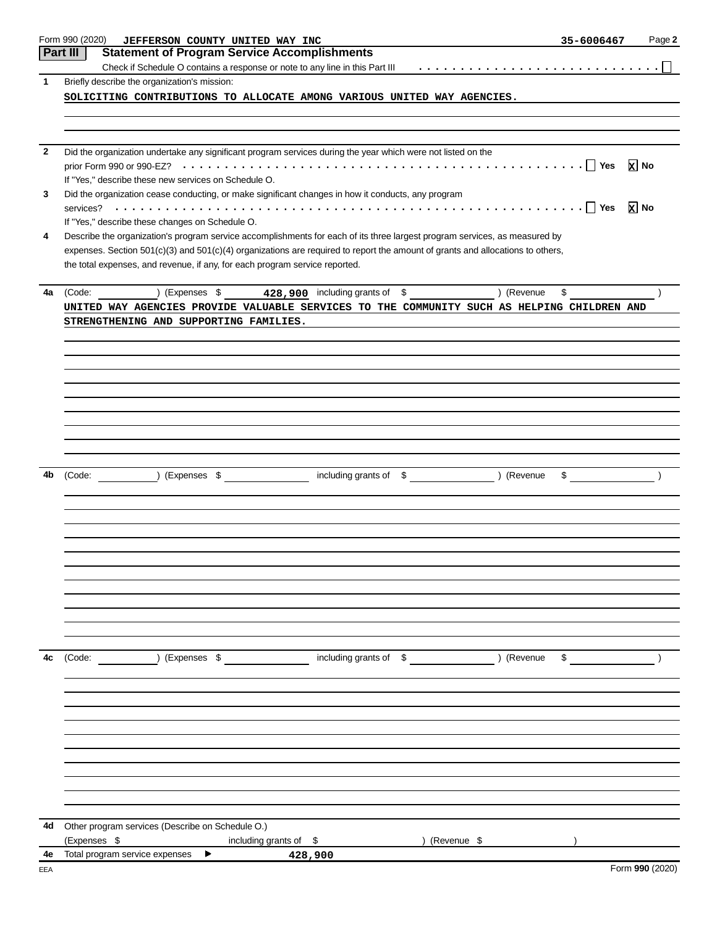| Form 990 (2020)                                      | JEFFERSON COUNTY UNITED WAY INC                                                                                                |                                 | 35-6006467<br>Page 2                                                   |
|------------------------------------------------------|--------------------------------------------------------------------------------------------------------------------------------|---------------------------------|------------------------------------------------------------------------|
| Part III                                             | <b>Statement of Program Service Accomplishments</b>                                                                            |                                 |                                                                        |
|                                                      |                                                                                                                                |                                 |                                                                        |
| 1<br>Briefly describe the organization's mission:    |                                                                                                                                |                                 |                                                                        |
|                                                      | SOLICITING CONTRIBUTIONS TO ALLOCATE AMONG VARIOUS UNITED WAY AGENCIES.                                                        |                                 |                                                                        |
|                                                      |                                                                                                                                |                                 |                                                                        |
|                                                      | Did the organization undertake any significant program services during the year which were not listed on the                   |                                 | $\mathbf{x}$ No                                                        |
| If "Yes," describe these new services on Schedule O. |                                                                                                                                |                                 |                                                                        |
|                                                      | Did the organization cease conducting, or make significant changes in how it conducts, any program                             |                                 |                                                                        |
|                                                      |                                                                                                                                |                                 |                                                                        |
| If "Yes," describe these changes on Schedule O.      |                                                                                                                                |                                 |                                                                        |
|                                                      | Describe the organization's program service accomplishments for each of its three largest program services, as measured by     |                                 |                                                                        |
|                                                      | expenses. Section 501(c)(3) and 501(c)(4) organizations are required to report the amount of grants and allocations to others, |                                 |                                                                        |
|                                                      | the total expenses, and revenue, if any, for each program service reported.                                                    |                                 |                                                                        |
| 4a<br>(Code:                                         | (Expenses $$$ 428,900 including grants of $$$ ) (Revenue                                                                       |                                 | \$                                                                     |
|                                                      | UNITED WAY AGENCIES PROVIDE VALUABLE SERVICES TO THE COMMUNITY SUCH AS HELPING CHILDREN AND                                    |                                 |                                                                        |
|                                                      | STRENGTHENING AND SUPPORTING FAMILIES.                                                                                         |                                 |                                                                        |
|                                                      |                                                                                                                                |                                 |                                                                        |
|                                                      |                                                                                                                                |                                 |                                                                        |
|                                                      |                                                                                                                                |                                 |                                                                        |
|                                                      |                                                                                                                                |                                 |                                                                        |
|                                                      |                                                                                                                                |                                 |                                                                        |
|                                                      |                                                                                                                                |                                 |                                                                        |
| ) (Expenses \$<br>4b<br>(Code:                       |                                                                                                                                | including grants of \$ (Revenue | $\begin{array}{ccccccc}\n\text{\$} & & & & \text{\(\AA)}\n\end{array}$ |
|                                                      |                                                                                                                                |                                 |                                                                        |
|                                                      |                                                                                                                                |                                 |                                                                        |
|                                                      |                                                                                                                                |                                 |                                                                        |
|                                                      |                                                                                                                                |                                 |                                                                        |
|                                                      |                                                                                                                                |                                 |                                                                        |
|                                                      |                                                                                                                                |                                 |                                                                        |
|                                                      |                                                                                                                                |                                 |                                                                        |
| 4c<br>(Code:                                         | ) (Expenses \$                                                                                                                 | including grants of \$ (Revenue |                                                                        |
|                                                      |                                                                                                                                |                                 |                                                                        |
|                                                      |                                                                                                                                |                                 |                                                                        |
|                                                      |                                                                                                                                |                                 |                                                                        |
|                                                      |                                                                                                                                |                                 |                                                                        |
|                                                      |                                                                                                                                |                                 |                                                                        |
|                                                      |                                                                                                                                |                                 |                                                                        |
|                                                      |                                                                                                                                |                                 |                                                                        |
|                                                      |                                                                                                                                |                                 |                                                                        |
| Other program services (Describe on Schedule O.)     |                                                                                                                                |                                 |                                                                        |
| 4d<br>(Expenses \$<br>Total program service expenses | including grants of $$$<br>▶                                                                                                   | ) (Revenue \$                   |                                                                        |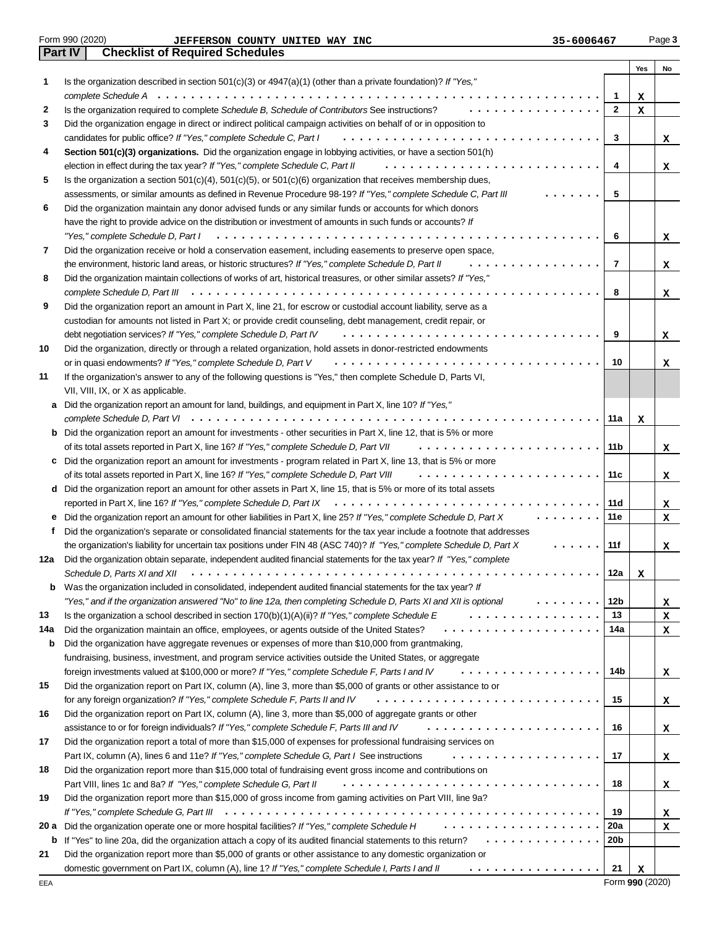|  | Form 990 (2020) |
|--|-----------------|
|  |                 |

| Form 990 (2020)        | UNITED<br><b>INC</b><br><b>WAY</b><br><b>COUNTY</b><br><b>JEFFERSON</b> | 35-6006467 | Page 3 |
|------------------------|-------------------------------------------------------------------------|------------|--------|
| $\overline{N}$<br>Part | <b>Checklist of Required Schedules</b>                                  |            |        |

|      |                                                                                                                                                                                                               |              | Yes | No |
|------|---------------------------------------------------------------------------------------------------------------------------------------------------------------------------------------------------------------|--------------|-----|----|
| 1    | Is the organization described in section $501(c)(3)$ or $4947(a)(1)$ (other than a private foundation)? If "Yes,"                                                                                             |              |     |    |
|      |                                                                                                                                                                                                               | 1            | x   |    |
| 2    | Is the organization required to complete Schedule B, Schedule of Contributors See instructions?                                                                                                               | $\mathbf{2}$ | x   |    |
| 3    | Did the organization engage in direct or indirect political campaign activities on behalf of or in opposition to                                                                                              |              |     |    |
|      | candidates for public office? If "Yes," complete Schedule C, Part I<br>.                                                                                                                                      | 3            |     | x  |
| 4    | Section 501(c)(3) organizations. Did the organization engage in lobbying activities, or have a section 501(h)                                                                                                 |              |     |    |
|      | election in effect during the tax year? If "Yes," complete Schedule C, Part II<br>.                                                                                                                           | 4            |     | x  |
| 5    | Is the organization a section $501(c)(4)$ , $501(c)(5)$ , or $501(c)(6)$ organization that receives membership dues,                                                                                          |              |     |    |
|      | assessments, or similar amounts as defined in Revenue Procedure 98-19? If "Yes," complete Schedule C, Part III                                                                                                | 5            |     |    |
| 6    | Did the organization maintain any donor advised funds or any similar funds or accounts for which donors                                                                                                       |              |     |    |
|      | have the right to provide advice on the distribution or investment of amounts in such funds or accounts? If                                                                                                   |              |     |    |
|      | "Yes," complete Schedule D, Part I                                                                                                                                                                            | 6            |     | x  |
| 7    | Did the organization receive or hold a conservation easement, including easements to preserve open space.                                                                                                     |              |     |    |
|      | the environment, historic land areas, or historic structures? If "Yes," complete Schedule D, Part II                                                                                                          | 7            |     | x  |
| 8    | Did the organization maintain collections of works of art, historical treasures, or other similar assets? If "Yes,"                                                                                           |              |     |    |
|      | complete Schedule D, Part III $\cdots \cdots \cdots \cdots \cdots \cdots \cdots \cdots \cdots \cdots \cdots \cdots$                                                                                           | 8            |     | x  |
| 9    | Did the organization report an amount in Part X, line 21, for escrow or custodial account liability, serve as a                                                                                               |              |     |    |
|      | custodian for amounts not listed in Part X; or provide credit counseling, debt management, credit repair, or<br>debt negotiation services? If "Yes," complete Schedule D, Part IV<br>.                        | 9            |     |    |
| 10   | Did the organization, directly or through a related organization, hold assets in donor-restricted endowments                                                                                                  |              |     | x  |
|      | or in quasi endowments? If "Yes," complete Schedule D, Part V                                                                                                                                                 | 10           |     | x  |
| 11   | If the organization's answer to any of the following questions is "Yes," then complete Schedule D, Parts VI,                                                                                                  |              |     |    |
|      | VII, VIII, IX, or X as applicable.                                                                                                                                                                            |              |     |    |
| a    | Did the organization report an amount for land, buildings, and equipment in Part X, line 10? If "Yes,"                                                                                                        |              |     |    |
|      |                                                                                                                                                                                                               | 11a          | x   |    |
|      | <b>b</b> Did the organization report an amount for investments - other securities in Part X, line 12, that is 5% or more                                                                                      |              |     |    |
|      | of its total assets reported in Part X, line 16? If "Yes," complete Schedule D, Part VII                                                                                                                      | 11 b         |     | x  |
| c    | Did the organization report an amount for investments - program related in Part X, line 13, that is 5% or more                                                                                                |              |     |    |
|      | of its total assets reported in Part X, line 16? If "Yes," complete Schedule D, Part VIII                                                                                                                     | 11 c         |     | x  |
|      | d Did the organization report an amount for other assets in Part X, line 15, that is 5% or more of its total assets                                                                                           |              |     |    |
|      | reported in Part X, line 16? If "Yes," complete Schedule D, Part IX $\cdots \cdots \cdots \cdots \cdots \cdots \cdots \cdots \cdots$                                                                          | 11 d         |     | x  |
| е    | Did the organization report an amount for other liabilities in Part X, line 25? If "Yes," complete Schedule D, Part X                                                                                         | 11 e         |     | x  |
| t    | Did the organization's separate or consolidated financial statements for the tax year include a footnote that addresses                                                                                       |              |     |    |
|      | the organization's liability for uncertain tax positions under FIN 48 (ASC 740)? If "Yes," complete Schedule D, Part X                                                                                        | 11f          |     | x  |
| 12a  | Did the organization obtain separate, independent audited financial statements for the tax year? If "Yes," complete                                                                                           |              |     |    |
|      | Schedule D, Parts XI and XII                                                                                                                                                                                  | 12a          | х   |    |
| b    | Was the organization included in consolidated, independent audited financial statements for the tax year? If                                                                                                  |              |     |    |
|      | "Yes," and if the organization answered "No" to line 12a, then completing Schedule D, Parts XI and XII is optional                                                                                            | 12b          |     | x  |
| 13   | Is the organization a school described in section $170(b)(1)(A)(ii)?$ If "Yes," complete Schedule E                                                                                                           | 13           |     | x  |
| 14a  | Did the organization maintain an office, employees, or agents outside of the United States?                                                                                                                   | 14a          |     | x  |
| b    | Did the organization have aggregate revenues or expenses of more than \$10,000 from grantmaking,<br>fundraising, business, investment, and program service activities outside the United States, or aggregate |              |     |    |
|      | foreign investments valued at \$100,000 or more? If "Yes," complete Schedule F, Parts I and IV<br>.                                                                                                           | 14b          |     |    |
| 15   | Did the organization report on Part IX, column (A), line 3, more than \$5,000 of grants or other assistance to or                                                                                             |              |     | x  |
|      | for any foreign organization? If "Yes," complete Schedule F, Parts II and IV                                                                                                                                  | 15           |     | x  |
| 16   | Did the organization report on Part IX, column (A), line 3, more than \$5,000 of aggregate grants or other                                                                                                    |              |     |    |
|      | assistance to or for foreign individuals? If "Yes," complete Schedule F, Parts III and IV<br>.                                                                                                                | 16           |     | x  |
| 17   | Did the organization report a total of more than \$15,000 of expenses for professional fundraising services on                                                                                                |              |     |    |
|      | Part IX, column (A), lines 6 and 11e? If "Yes," complete Schedule G, Part I See instructions<br>.                                                                                                             | 17           |     | x  |
| 18   | Did the organization report more than \$15,000 total of fundraising event gross income and contributions on                                                                                                   |              |     |    |
|      | Part VIII, lines 1c and 8a? If "Yes," complete Schedule G, Part II                                                                                                                                            | 18           |     | x  |
| 19   | Did the organization report more than \$15,000 of gross income from gaming activities on Part VIII, line 9a?                                                                                                  |              |     |    |
|      |                                                                                                                                                                                                               | 19           |     | x  |
| 20 a | Did the organization operate one or more hospital facilities? If "Yes," complete Schedule H                                                                                                                   | 20a          |     | x  |
| b    | If "Yes" to line 20a, did the organization attach a copy of its audited financial statements to this return?                                                                                                  | 20b          |     |    |
| 21   | Did the organization report more than \$5,000 of grants or other assistance to any domestic organization or                                                                                                   |              |     |    |
|      | domestic government on Part IX, column (A), line 1? If "Yes," complete Schedule I, Parts I and II<br>.                                                                                                        | 21           | x   |    |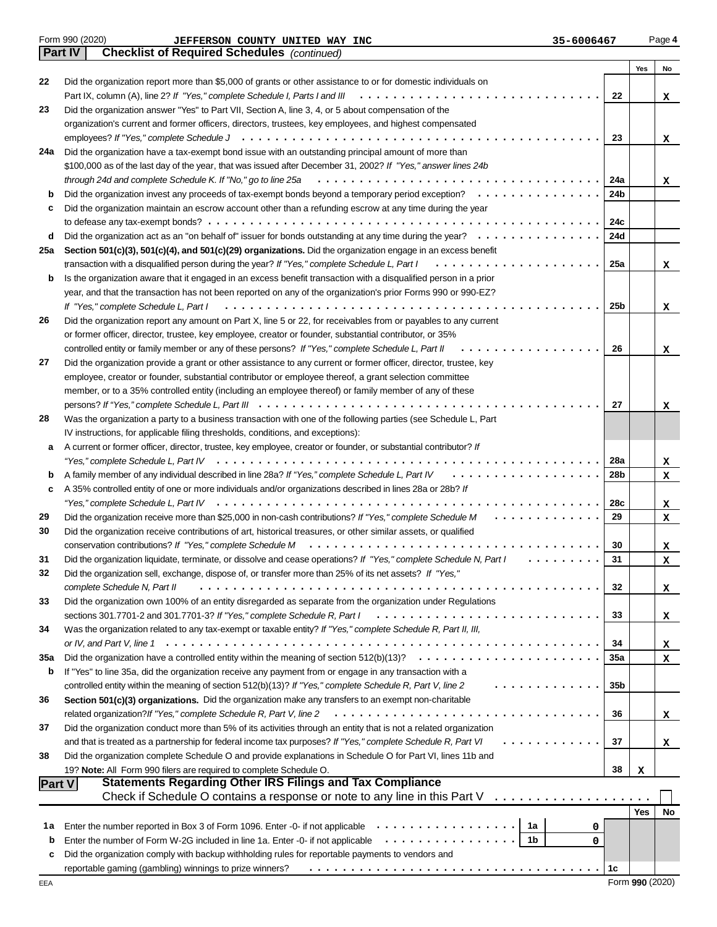| Part IV | <b>Checklist of Required Schedules</b> (continued)                                                                                                   |            |            |    |
|---------|------------------------------------------------------------------------------------------------------------------------------------------------------|------------|------------|----|
|         |                                                                                                                                                      |            | Yes        | No |
| 22      | Did the organization report more than \$5,000 of grants or other assistance to or for domestic individuals on                                        |            |            |    |
|         |                                                                                                                                                      | 22         |            | X  |
| 23      | Did the organization answer "Yes" to Part VII, Section A, line 3, 4, or 5 about compensation of the                                                  |            |            |    |
|         | organization's current and former officers, directors, trustees, key employees, and highest compensated                                              |            |            |    |
|         |                                                                                                                                                      | 23         |            | x  |
| 24a     | Did the organization have a tax-exempt bond issue with an outstanding principal amount of more than                                                  |            |            |    |
|         | \$100,000 as of the last day of the year, that was issued after December 31, 2002? If "Yes," answer lines 24b                                        |            |            |    |
|         | through 24d and complete Schedule K. If "No," go to line 25a                                                                                         | 24a        |            | X  |
| b       | Did the organization invest any proceeds of tax-exempt bonds beyond a temporary period exception?                                                    | 24b        |            |    |
| c       | Did the organization maintain an escrow account other than a refunding escrow at any time during the year                                            |            |            |    |
|         |                                                                                                                                                      | 24c        |            |    |
| d       | Did the organization act as an "on behalf of" issuer for bonds outstanding at any time during the year?                                              | 24d        |            |    |
| 25a     | Section 501(c)(3), 501(c)(4), and 501(c)(29) organizations. Did the organization engage in an excess benefit                                         |            |            |    |
|         | transaction with a disqualified person during the year? If "Yes," complete Schedule L, Part I                                                        | 25a        |            | x  |
| b       | Is the organization aware that it engaged in an excess benefit transaction with a disqualified person in a prior                                     |            |            |    |
|         | year, and that the transaction has not been reported on any of the organization's prior Forms 990 or 990-EZ?                                         |            |            |    |
|         |                                                                                                                                                      | 25b        |            |    |
|         |                                                                                                                                                      |            |            | x  |
| 26      | Did the organization report any amount on Part X, line 5 or 22, for receivables from or payables to any current                                      |            |            |    |
|         | or former officer, director, trustee, key employee, creator or founder, substantial contributor, or 35%<br>.                                         | 26         |            |    |
|         | controlled entity or family member or any of these persons? If "Yes," complete Schedule L, Part II                                                   |            |            | x  |
| 27      | Did the organization provide a grant or other assistance to any current or former officer, director, trustee, key                                    |            |            |    |
|         | employee, creator or founder, substantial contributor or employee thereof, a grant selection committee                                               |            |            |    |
|         | member, or to a 35% controlled entity (including an employee thereof) or family member of any of these                                               |            |            |    |
|         |                                                                                                                                                      | 27         |            | х  |
| 28      | Was the organization a party to a business transaction with one of the following parties (see Schedule L, Part                                       |            |            |    |
|         | IV instructions, for applicable filing thresholds, conditions, and exceptions):                                                                      |            |            |    |
| а       | A current or former officer, director, trustee, key employee, creator or founder, or substantial contributor? If                                     |            |            |    |
|         |                                                                                                                                                      | <b>28a</b> |            | x  |
| b       |                                                                                                                                                      | 28b        |            | x. |
| c       | A 35% controlled entity of one or more individuals and/or organizations described in lines 28a or 28b? If                                            |            |            |    |
|         |                                                                                                                                                      | 28c        |            | x  |
| 29      | Did the organization receive more than \$25,000 in non-cash contributions? If "Yes," complete Schedule M<br>.                                        | 29         |            | x  |
| 30      | Did the organization receive contributions of art, historical treasures, or other similar assets, or qualified                                       |            |            |    |
|         |                                                                                                                                                      | 30         |            | X. |
| 31      | Did the organization liquidate, terminate, or dissolve and cease operations? If "Yes," complete Schedule N, Part I<br>.                              | 31         |            | X  |
| 32      | Did the organization sell, exchange, dispose of, or transfer more than 25% of its net assets? If "Yes,"                                              |            |            |    |
|         | complete Schedule N, Part II                                                                                                                         | 32         |            | X. |
| 33      | Did the organization own 100% of an entity disregarded as separate from the organization under Regulations                                           |            |            |    |
|         | sections 301.7701-2 and 301.7701-3? If "Yes," complete Schedule R, Part I                                                                            | 33         |            | X. |
| 34      | Was the organization related to any tax-exempt or taxable entity? If "Yes," complete Schedule R, Part II, III,                                       |            |            |    |
|         |                                                                                                                                                      | 34         |            | x. |
| 35a     |                                                                                                                                                      | <b>35a</b> |            | X. |
| b       | If "Yes" to line 35a, did the organization receive any payment from or engage in any transaction with a                                              |            |            |    |
|         | controlled entity within the meaning of section 512(b)(13)? If "Yes," complete Schedule R, Part V, line 2                                            | 35b        |            |    |
| 36      | Section 501(c)(3) organizations. Did the organization make any transfers to an exempt non-charitable                                                 |            |            |    |
|         | related organization? If "Yes," complete Schedule R, Part V, line 2                                                                                  | 36         |            | X. |
| 37      | Did the organization conduct more than 5% of its activities through an entity that is not a related organization                                     |            |            |    |
|         | and that is treated as a partnership for federal income tax purposes? If "Yes," complete Schedule R, Part VI                                         | 37         |            | x. |
| 38      | Did the organization complete Schedule O and provide explanations in Schedule O for Part VI, lines 11b and                                           |            |            |    |
|         | 19? Note: All Form 990 filers are required to complete Schedule O.                                                                                   | 38         | x          |    |
| Part V  | <b>Statements Regarding Other IRS Filings and Tax Compliance</b>                                                                                     |            |            |    |
|         | Check if Schedule O contains a response or note to any line in this Part V                                                                           |            |            |    |
|         |                                                                                                                                                      |            | <b>Yes</b> | No |
| 1a      | Enter the number reported in Box 3 of Form 1096. Enter -0- if not applicable $\cdots \cdots \cdots \cdots$<br>1a<br>0                                |            |            |    |
| b       | Enter the number of Form W-2G included in line 1a. Enter -0- if not applicable<br>1b<br>0                                                            |            |            |    |
| c       | Did the organization comply with backup withholding rules for reportable payments to vendors and                                                     |            |            |    |
|         | reportable gaming (gambling) winnings to prize winners? Fig. of $\cdots$ , and all $\cdots$ , and all $\cdots$ , and all $\cdots$ , and all $\cdots$ | 1c         |            |    |
|         |                                                                                                                                                      |            |            |    |

Form 990 (2020) **Page 4 JEFFERSON COUNTY UNITED WAY INC Page 4 35-6006467** Page 4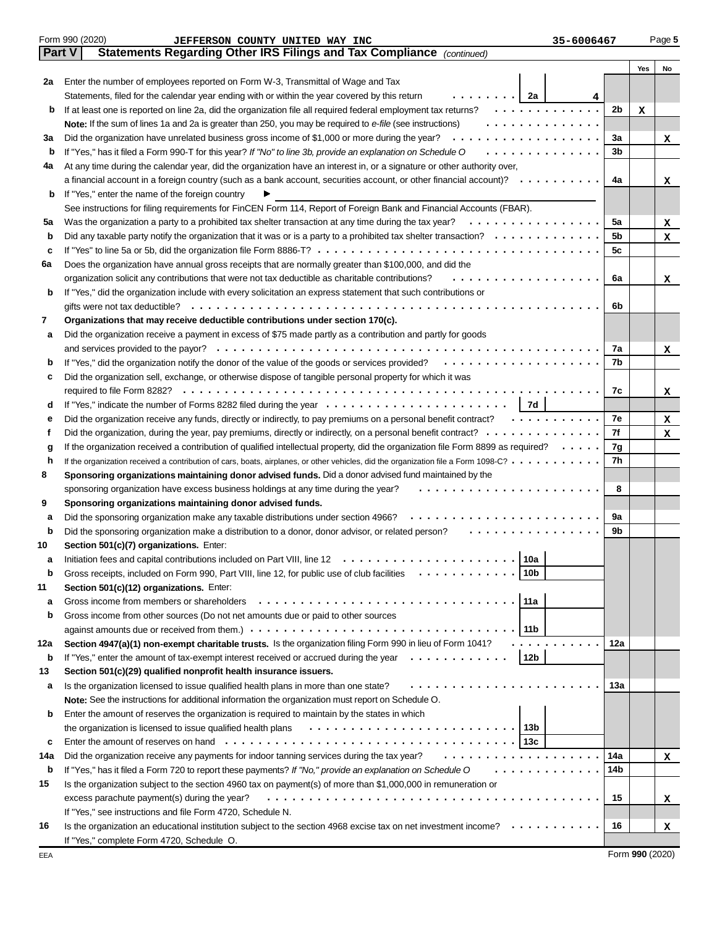|        | Form 990 (2020)<br>35-6006467<br>JEFFERSON COUNTY UNITED WAY INC                                                                          |                |     | Page 5 |
|--------|-------------------------------------------------------------------------------------------------------------------------------------------|----------------|-----|--------|
| Part V | Statements Regarding Other IRS Filings and Tax Compliance (continued)                                                                     |                |     |        |
|        |                                                                                                                                           |                | Yes | No     |
| 2a     | Enter the number of employees reported on Form W-3, Transmittal of Wage and Tax                                                           |                |     |        |
|        | .   2a<br>Statements, filed for the calendar year ending with or within the year covered by this return<br>4                              |                |     |        |
| b      | If at least one is reported on line 2a, did the organization file all required federal employment tax returns?<br>.                       | 2 <sub>b</sub> | x   |        |
|        | Note: If the sum of lines 1a and 2a is greater than 250, you may be required to e-file (see instructions)<br>.                            |                |     |        |
| За     | Did the organization have unrelated business gross income of \$1,000 or more during the year?<br>.                                        | За             |     | x      |
| b      | .<br>If "Yes," has it filed a Form 990-T for this year? If "No" to line 3b, provide an explanation on Schedule O                          | 3b             |     |        |
| 4a     | At any time during the calendar year, did the organization have an interest in, or a signature or other authority over,                   |                |     |        |
|        | a financial account in a foreign country (such as a bank account, securities account, or other financial account)? $\cdots \cdots \cdots$ | 4a             |     | x      |
| b      | If "Yes," enter the name of the foreign country                                                                                           |                |     |        |
|        | See instructions for filing requirements for FinCEN Form 114, Report of Foreign Bank and Financial Accounts (FBAR).                       |                |     |        |
| 5a     | .<br>Was the organization a party to a prohibited tax shelter transaction at any time during the tax year?                                | 5a             |     | x      |
| b      |                                                                                                                                           | 5b             |     | x      |
| c      |                                                                                                                                           | 5с             |     |        |
| 6a     | Does the organization have annual gross receipts that are normally greater than \$100,000, and did the                                    |                |     |        |
|        | organization solicit any contributions that were not tax deductible as charitable contributions?<br>.                                     | 6а             |     | x      |
| b      | If "Yes," did the organization include with every solicitation an express statement that such contributions or                            |                |     |        |
|        |                                                                                                                                           | 6b             |     |        |
| 7      | Organizations that may receive deductible contributions under section 170(c).                                                             |                |     |        |
| а      | Did the organization receive a payment in excess of \$75 made partly as a contribution and partly for goods                               |                |     |        |
|        |                                                                                                                                           | 7a             |     | x      |
| b      | If "Yes," did the organization notify the donor of the value of the goods or services provided?                                           | 7b             |     |        |
| c      | Did the organization sell, exchange, or otherwise dispose of tangible personal property for which it was                                  |                |     |        |
|        |                                                                                                                                           | 7c             |     | x      |
| d      | 7d                                                                                                                                        |                |     |        |
| е      | Did the organization receive any funds, directly or indirectly, to pay premiums on a personal benefit contract?                           | 7e             |     | x      |
| f      |                                                                                                                                           | 7f             |     | x      |
| g      | If the organization received a contribution of qualified intellectual property, did the organization file Form 8899 as required?          | 7g             |     |        |
| h      | If the organization received a contribution of cars, boats, airplanes, or other vehicles, did the organization file a Form 1098-C?        | 7h             |     |        |
| 8      | Sponsoring organizations maintaining donor advised funds. Did a donor advised fund maintained by the                                      |                |     |        |
|        | sponsoring organization have excess business holdings at any time during the year?                                                        | 8              |     |        |
| 9      | Sponsoring organizations maintaining donor advised funds.                                                                                 |                |     |        |
| а      | Did the sponsoring organization make any taxable distributions under section 4966?<br>.                                                   | 9a             |     |        |
| b      | Did the sponsoring organization make a distribution to a donor, donor advisor, or related person?                                         | 9b             |     |        |
| 10     | Section 501(c)(7) organizations. Enter:                                                                                                   |                |     |        |
| а      |                                                                                                                                           |                |     |        |
| b      | 10b<br>Gross receipts, included on Form 990, Part VIII, line 12, for public use of club facilities<br>.                                   |                |     |        |
| 11     | Section 501(c)(12) organizations. Enter:                                                                                                  |                |     |        |
| а      | 11a<br>Gross income from members or shareholders                                                                                          |                |     |        |
| b      | Gross income from other sources (Do not net amounts due or paid to other sources                                                          |                |     |        |
|        | 11 b                                                                                                                                      |                |     |        |
| 12a    | Section 4947(a)(1) non-exempt charitable trusts. Is the organization filing Form 990 in lieu of Form 1041?                                | 12a            |     |        |
| b      | 12b<br>If "Yes," enter the amount of tax-exempt interest received or accrued during the year $\dots \dots \dots \dots$                    |                |     |        |
| 13     | Section 501(c)(29) qualified nonprofit health insurance issuers.                                                                          |                |     |        |
| а      | Is the organization licensed to issue qualified health plans in more than one state?                                                      | 13a            |     |        |
|        | Note: See the instructions for additional information the organization must report on Schedule O.                                         |                |     |        |
| b      | Enter the amount of reserves the organization is required to maintain by the states in which                                              |                |     |        |
|        |                                                                                                                                           |                |     |        |
|        | the organization is licensed to issue qualified health plans                                                                              |                |     |        |
| c      | .                                                                                                                                         |                |     |        |
| 14a    | Did the organization receive any payments for indoor tanning services during the tax year?                                                | 14a            |     | x      |
| b      | .<br>If "Yes," has it filed a Form 720 to report these payments? If "No," provide an explanation on Schedule O                            | 14b            |     |        |
| 15     | Is the organization subject to the section 4960 tax on payment(s) of more than \$1,000,000 in remuneration or                             |                |     |        |
|        | excess parachute payment(s) during the year?                                                                                              | 15             |     | x      |
|        | If "Yes," see instructions and file Form 4720, Schedule N.                                                                                |                |     |        |
| 16     | Is the organization an educational institution subject to the section 4968 excise tax on net investment income? $\cdots \cdots$           | 16             |     | x      |
|        | If "Yes," complete Form 4720, Schedule O.                                                                                                 |                |     |        |

Form **990** (2020)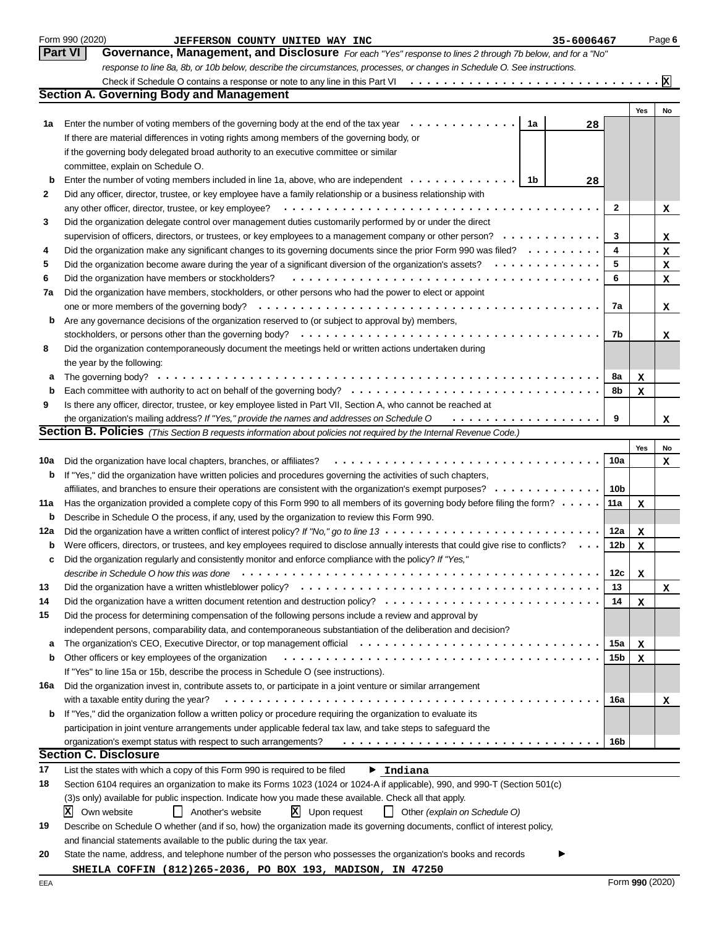|          | Form 990 (2020)<br>JEFFERSON COUNTY UNITED WAY INC<br>35-6006467                                                                                                                                                               |                 |                  | Page 6           |
|----------|--------------------------------------------------------------------------------------------------------------------------------------------------------------------------------------------------------------------------------|-----------------|------------------|------------------|
|          | <b>Part VI</b><br>Governance, Management, and Disclosure For each "Yes" response to lines 2 through 7b below, and for a "No"                                                                                                   |                 |                  |                  |
|          | response to line 8a, 8b, or 10b below, describe the circumstances, processes, or changes in Schedule O. See instructions.                                                                                                      |                 |                  |                  |
|          |                                                                                                                                                                                                                                |                 |                  |                  |
|          | <b>Section A. Governing Body and Management</b>                                                                                                                                                                                |                 |                  |                  |
|          |                                                                                                                                                                                                                                |                 | Yes              | No               |
| 1a       | Enter the number of voting members of the governing body at the end of the tax year<br>1a<br>28                                                                                                                                |                 |                  |                  |
|          | If there are material differences in voting rights among members of the governing body, or                                                                                                                                     |                 |                  |                  |
|          | if the governing body delegated broad authority to an executive committee or similar                                                                                                                                           |                 |                  |                  |
|          | committee, explain on Schedule O.                                                                                                                                                                                              |                 |                  |                  |
| b        | Enter the number of voting members included in line 1a, above, who are independent<br>1b<br>28                                                                                                                                 |                 |                  |                  |
| 2        | Did any officer, director, trustee, or key employee have a family relationship or a business relationship with                                                                                                                 |                 |                  |                  |
|          | any other officer, director, trustee, or key employee?                                                                                                                                                                         | $\mathbf{2}$    |                  | x                |
| 3        | Did the organization delegate control over management duties customarily performed by or under the direct                                                                                                                      | 3               |                  |                  |
| 4        | supervision of officers, directors, or trustees, or key employees to a management company or other person?<br>Did the organization make any significant changes to its governing documents since the prior Form 990 was filed? | 4               |                  | x<br>$\mathbf x$ |
| 5        | Did the organization become aware during the year of a significant diversion of the organization's assets?                                                                                                                     | 5               |                  | x                |
| 6        | Did the organization have members or stockholders?                                                                                                                                                                             | 6               |                  | x                |
| 7a       | Did the organization have members, stockholders, or other persons who had the power to elect or appoint                                                                                                                        |                 |                  |                  |
|          |                                                                                                                                                                                                                                | 7a              |                  | x                |
| b        | Are any governance decisions of the organization reserved to (or subject to approval by) members,                                                                                                                              |                 |                  |                  |
|          |                                                                                                                                                                                                                                | 7b              |                  | х                |
| 8        | Did the organization contemporaneously document the meetings held or written actions undertaken during                                                                                                                         |                 |                  |                  |
|          | the year by the following:                                                                                                                                                                                                     |                 |                  |                  |
| а        |                                                                                                                                                                                                                                | 8а              | x                |                  |
|          |                                                                                                                                                                                                                                | 8b              | x                |                  |
| 9        | Is there any officer, director, trustee, or key employee listed in Part VII, Section A, who cannot be reached at                                                                                                               |                 |                  |                  |
|          |                                                                                                                                                                                                                                | 9               |                  | x                |
|          | Section B. Policies (This Section B requests information about policies not required by the Internal Revenue Code.)                                                                                                            |                 |                  |                  |
|          |                                                                                                                                                                                                                                |                 | Yes              | No               |
| 10a      | Did the organization have local chapters, branches, or affiliates?                                                                                                                                                             | 10a             |                  | x                |
| b        | If "Yes," did the organization have written policies and procedures governing the activities of such chapters,                                                                                                                 |                 |                  |                  |
|          | affiliates, and branches to ensure their operations are consistent with the organization's exempt purposes? $\cdots \cdots \cdots$                                                                                             | 10b             |                  |                  |
| 11a      | Has the organization provided a complete copy of this Form 990 to all members of its governing body before filing the form?                                                                                                    | 11a             | X                |                  |
| b        | Describe in Schedule O the process, if any, used by the organization to review this Form 990.                                                                                                                                  |                 |                  |                  |
| 12a<br>b | Were officers, directors, or trustees, and key employees required to disclose annually interests that could give rise to conflicts?                                                                                            | 12a<br>12b      | x<br>$\mathbf x$ |                  |
| c        | Did the organization regularly and consistently monitor and enforce compliance with the policy? If "Yes,                                                                                                                       |                 |                  |                  |
|          | describe in Schedule O how this was done                                                                                                                                                                                       | 12c             | х                |                  |
| 13       |                                                                                                                                                                                                                                | 13              |                  | x                |
| 14       |                                                                                                                                                                                                                                | 14              | x                |                  |
| 15       | Did the process for determining compensation of the following persons include a review and approval by                                                                                                                         |                 |                  |                  |
|          | independent persons, comparability data, and contemporaneous substantiation of the deliberation and decision?                                                                                                                  |                 |                  |                  |
| а        |                                                                                                                                                                                                                                | 15a             | x                |                  |
| b        | Other officers or key employees of the organization                                                                                                                                                                            | 15 <sub>b</sub> | X                |                  |
|          | If "Yes" to line 15a or 15b, describe the process in Schedule O (see instructions).                                                                                                                                            |                 |                  |                  |
| 16a      | Did the organization invest in, contribute assets to, or participate in a joint venture or similar arrangement                                                                                                                 |                 |                  |                  |
|          | with a taxable entity during the year?                                                                                                                                                                                         | 16a             |                  | х                |
| b        | If "Yes," did the organization follow a written policy or procedure requiring the organization to evaluate its                                                                                                                 |                 |                  |                  |
|          | participation in joint venture arrangements under applicable federal tax law, and take steps to safeguard the                                                                                                                  |                 |                  |                  |
|          | organization's exempt status with respect to such arrangements?                                                                                                                                                                | 16b             |                  |                  |
|          | <b>Section C. Disclosure</b>                                                                                                                                                                                                   |                 |                  |                  |
| 17       | List the states with which a copy of this Form 990 is required to be filed<br>$\blacktriangleright$ Indiana                                                                                                                    |                 |                  |                  |
| 18       | Section 6104 requires an organization to make its Forms 1023 (1024 or 1024-A if applicable), 990, and 990-T (Section 501(c)                                                                                                    |                 |                  |                  |
|          | (3)s only) available for public inspection. Indicate how you made these available. Check all that apply.<br>x<br>区<br>Own website<br>Upon request<br>Another's website<br>Other (explain on Schedule O)                        |                 |                  |                  |
| 19       | Describe on Schedule O whether (and if so, how) the organization made its governing documents, conflict of interest policy,                                                                                                    |                 |                  |                  |
|          | and financial statements available to the public during the tax year.                                                                                                                                                          |                 |                  |                  |
| 20       | State the name, address, and telephone number of the person who possesses the organization's books and records                                                                                                                 |                 |                  |                  |
|          | SHEILA COFFIN (812)265-2036, PO BOX 193, MADISON, IN 47250                                                                                                                                                                     |                 |                  |                  |
|          |                                                                                                                                                                                                                                |                 |                  |                  |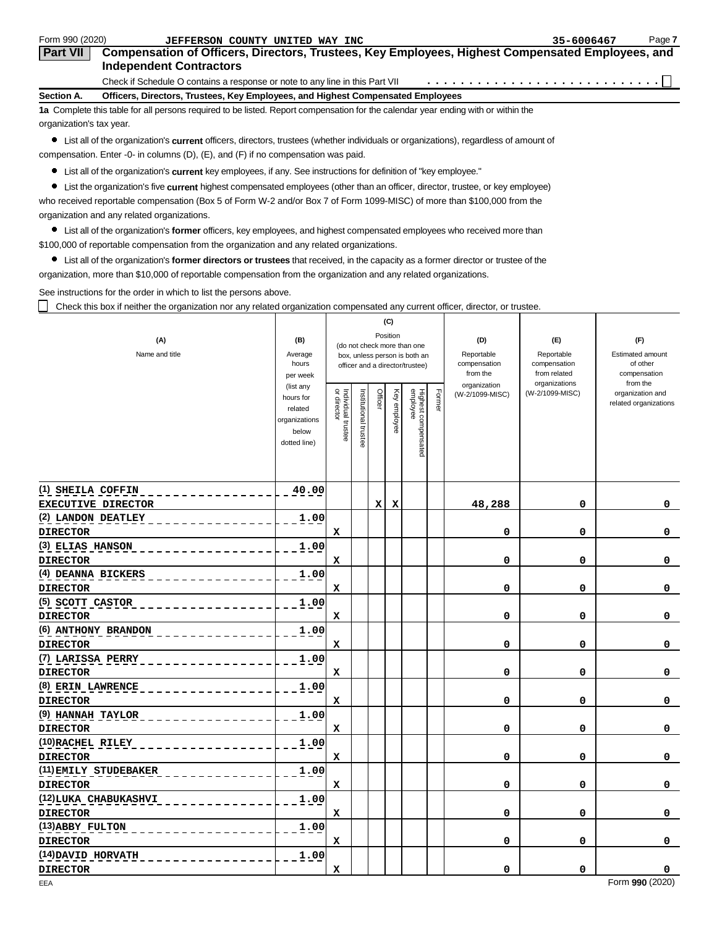| Form 990 (2020)                                                                                                                   | JEFFERSON COUNTY UNITED WAY INC                                                                                                    | 35-6006467 | Page 7 |  |  |  |  |  |  |
|-----------------------------------------------------------------------------------------------------------------------------------|------------------------------------------------------------------------------------------------------------------------------------|------------|--------|--|--|--|--|--|--|
| <b>Part VII</b>                                                                                                                   | Compensation of Officers, Directors, Trustees, Key Employees, Highest Compensated Employees, and<br><b>Independent Contractors</b> |            |        |  |  |  |  |  |  |
|                                                                                                                                   |                                                                                                                                    |            |        |  |  |  |  |  |  |
| Section A.                                                                                                                        | Officers, Directors, Trustees, Key Employees, and Highest Compensated Employees                                                    |            |        |  |  |  |  |  |  |
| 1a Complete this table for all persons required to be listed. Report compensation for the calendar year ending with or within the |                                                                                                                                    |            |        |  |  |  |  |  |  |
|                                                                                                                                   | organization's tax year.                                                                                                           |            |        |  |  |  |  |  |  |

List all of the organization's **current** officers, directors, trustees (whether individuals or organizations), regardless of amount of compensation. Enter -0- in columns (D), (E), and (F) if no compensation was paid.

List all of the organization's **current** key employees, if any. See instructions for definition of "key employee."

List the organization's five **current** highest compensated employees (other than an officer, director, trustee, or key employee) who received reportable compensation (Box 5 of Form W-2 and/or Box 7 of Form 1099-MISC) of more than \$100,000 from the organization and any related organizations.

List all of the organization's **former** officers, key employees, and highest compensated employees who received more than

\$100,000 of reportable compensation from the organization and any related organizations.

List all of the organization's **former directors or trustees** that received, in the capacity as a former director or trustee of the organization, more than \$10,000 of reportable compensation from the organization and any related organizations.

See instructions for the order in which to list the persons above.

П Check this box if neither the organization nor any related organization compensated any current officer, director, or trustee.

|                                        |                          |                                                                          |                      |        | (C)          |                                 |        |                          |                              |                                           |
|----------------------------------------|--------------------------|--------------------------------------------------------------------------|----------------------|--------|--------------|---------------------------------|--------|--------------------------|------------------------------|-------------------------------------------|
| (A)                                    | (B)                      | Position<br>(do not check more than one<br>box, unless person is both an |                      |        |              |                                 |        | (D)                      | (E)                          | (F)                                       |
| Name and title                         | Average                  |                                                                          |                      |        |              |                                 |        | Reportable               | Reportable                   | <b>Estimated amount</b>                   |
|                                        | hours<br>per week        |                                                                          |                      |        |              | officer and a director/trustee) |        | compensation<br>from the | compensation<br>from related | of other<br>compensation                  |
|                                        | (list any                |                                                                          |                      |        |              |                                 |        | organization             | organizations                | from the                                  |
|                                        | hours for                | or director                                                              |                      | Office |              |                                 | Former | (W-2/1099-MISC)          | (W-2/1099-MISC)              | organization and<br>related organizations |
|                                        | related<br>organizations | Individual trustee                                                       | nstitutional trustee |        | Key employee | Highest compensated<br>employee |        |                          |                              |                                           |
|                                        | below                    |                                                                          |                      |        |              |                                 |        |                          |                              |                                           |
|                                        | dotted line)             |                                                                          |                      |        |              |                                 |        |                          |                              |                                           |
|                                        |                          |                                                                          |                      |        |              |                                 |        |                          |                              |                                           |
|                                        |                          |                                                                          |                      |        |              |                                 |        |                          |                              |                                           |
| (1) SHEILA COFFIN                      | 40.00                    |                                                                          |                      |        |              |                                 |        |                          |                              |                                           |
| <b>EXECUTIVE DIRECTOR</b>              |                          |                                                                          |                      | x      | х            |                                 |        | 48,288                   | 0                            | 0                                         |
| (2) LANDON DEATLEY                     | 1.00                     |                                                                          |                      |        |              |                                 |        |                          |                              |                                           |
| <b>DIRECTOR</b>                        |                          | x                                                                        |                      |        |              |                                 |        | 0                        | 0                            | 0                                         |
| (3) ELIAS HANSON                       | 1.00                     |                                                                          |                      |        |              |                                 |        |                          |                              |                                           |
| <b>DIRECTOR</b>                        |                          | x                                                                        |                      |        |              |                                 |        | 0                        | 0                            | 0                                         |
| (4) DEANNA BICKERS                     | 1.00                     |                                                                          |                      |        |              |                                 |        |                          |                              |                                           |
| <b>DIRECTOR</b>                        |                          | $\mathbf x$                                                              |                      |        |              |                                 |        | 0                        | 0                            | 0                                         |
| (5) SCOTT CASTOR                       | 1.00                     |                                                                          |                      |        |              |                                 |        | 0                        | 0                            |                                           |
| <b>DIRECTOR</b><br>(6) ANTHONY BRANDON | 1.00                     | x                                                                        |                      |        |              |                                 |        |                          |                              | 0                                         |
| <b>DIRECTOR</b>                        |                          | x                                                                        |                      |        |              |                                 |        | 0                        | 0                            | 0                                         |
| (7) LARISSA PERRY                      | 1.00                     |                                                                          |                      |        |              |                                 |        |                          |                              |                                           |
| <b>DIRECTOR</b>                        |                          | x                                                                        |                      |        |              |                                 |        | 0                        | 0                            | 0                                         |
| (8) ERIN LAWRENCE                      | 1.00                     |                                                                          |                      |        |              |                                 |        |                          |                              |                                           |
| <b>DIRECTOR</b>                        |                          | x                                                                        |                      |        |              |                                 |        | 0                        | 0                            | 0                                         |
| (9) HANNAH TAYLOR                      | 1.00                     |                                                                          |                      |        |              |                                 |        |                          |                              |                                           |
| <b>DIRECTOR</b>                        |                          | x                                                                        |                      |        |              |                                 |        | 0                        | 0                            | 0                                         |
| (10) RACHEL RILEY                      | 1.00                     |                                                                          |                      |        |              |                                 |        |                          |                              |                                           |
| <b>DIRECTOR</b>                        |                          | x                                                                        |                      |        |              |                                 |        | 0                        | 0                            | 0                                         |
| (11) EMILY STUDEBAKER                  | 1.00                     |                                                                          |                      |        |              |                                 |        |                          |                              |                                           |
| <b>DIRECTOR</b>                        |                          | x                                                                        |                      |        |              |                                 |        | 0                        | 0                            | 0                                         |
| (12) LUKA CHABUKASHVI                  | 1.00                     |                                                                          |                      |        |              |                                 |        |                          |                              |                                           |
| <b>DIRECTOR</b>                        |                          | x                                                                        |                      |        |              |                                 |        | 0                        | 0                            | 0                                         |
| (13) ABBY FULTON                       | 1.00                     |                                                                          |                      |        |              |                                 |        |                          |                              |                                           |
| <b>DIRECTOR</b>                        |                          | x                                                                        |                      |        |              |                                 |        | 0                        | 0                            | 0                                         |
| (14) DAVID HORVATH                     | 1.00                     |                                                                          |                      |        |              |                                 |        |                          |                              |                                           |
| <b>DIRECTOR</b>                        |                          | x                                                                        |                      |        |              |                                 |        | 0                        | 0                            | 0<br>m.<br>0.001(0000)                    |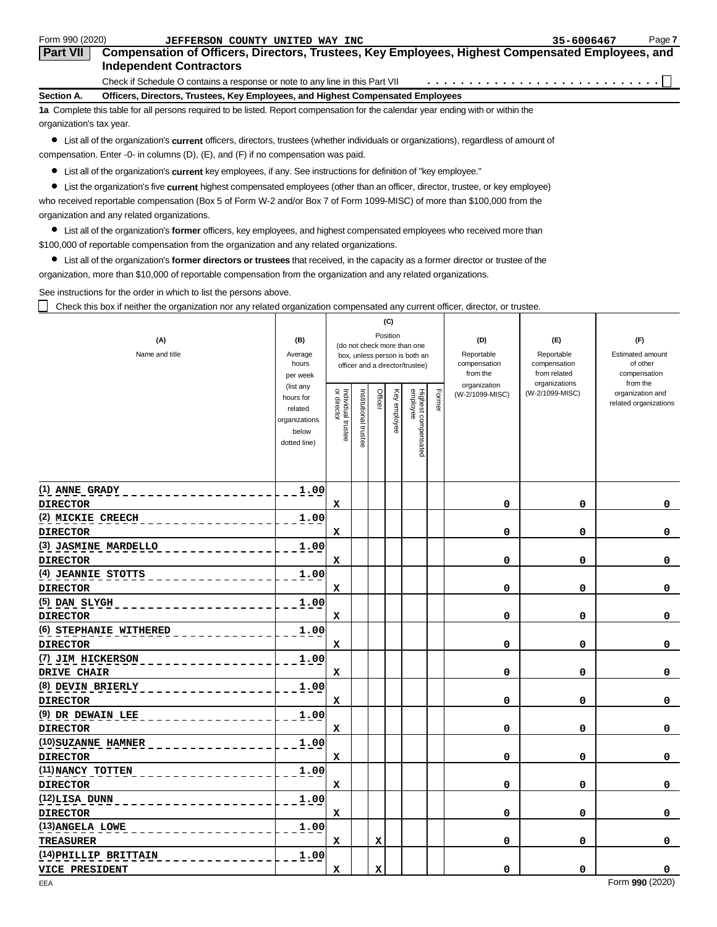| Form 990 (2020)                                                                                                                   | JEFFERSON COUNTY UNITED WAY INC                                                                                                    | 35-6006467 | Page 7 |  |  |  |  |  |  |
|-----------------------------------------------------------------------------------------------------------------------------------|------------------------------------------------------------------------------------------------------------------------------------|------------|--------|--|--|--|--|--|--|
| <b>Part VII</b>                                                                                                                   | Compensation of Officers, Directors, Trustees, Key Employees, Highest Compensated Employees, and<br><b>Independent Contractors</b> |            |        |  |  |  |  |  |  |
|                                                                                                                                   |                                                                                                                                    |            |        |  |  |  |  |  |  |
| Section A.                                                                                                                        | Officers, Directors, Trustees, Key Employees, and Highest Compensated Employees                                                    |            |        |  |  |  |  |  |  |
| 1a Complete this table for all persons required to be listed. Report compensation for the calendar year ending with or within the |                                                                                                                                    |            |        |  |  |  |  |  |  |
|                                                                                                                                   | organization's tax year.                                                                                                           |            |        |  |  |  |  |  |  |

List all of the organization's **current** officers, directors, trustees (whether individuals or organizations), regardless of amount of compensation. Enter -0- in columns (D), (E), and (F) if no compensation was paid.

List all of the organization's **current** key employees, if any. See instructions for definition of "key employee."

List the organization's five **current** highest compensated employees (other than an officer, director, trustee, or key employee) who received reportable compensation (Box 5 of Form W-2 and/or Box 7 of Form 1099-MISC) of more than \$100,000 from the organization and any related organizations.

List all of the organization's **former** officers, key employees, and highest compensated employees who received more than

\$100,000 of reportable compensation from the organization and any related organizations.

List all of the organization's **former directors or trustees** that received, in the capacity as a former director or trustee of the organization, more than \$10,000 of reportable compensation from the organization and any related organizations.

See instructions for the order in which to list the persons above.

П Check this box if neither the organization nor any related organization compensated any current officer, director, or trustee.

|                        |                        |                                         |                       |         | (C)          |                                 |        |                          |                              |                                           |  |
|------------------------|------------------------|-----------------------------------------|-----------------------|---------|--------------|---------------------------------|--------|--------------------------|------------------------------|-------------------------------------------|--|
| (A)                    | (B)                    | Position<br>(do not check more than one |                       |         |              | (D)                             | (F)    | (F)                      |                              |                                           |  |
| Name and title         | Average                |                                         |                       |         |              | box, unless person is both an   |        | Reportable               | Reportable                   |                                           |  |
|                        | hours<br>per week      |                                         |                       |         |              | officer and a director/trustee) |        | compensation<br>from the | compensation<br>from related | of other<br>compensation                  |  |
|                        | (list any              |                                         |                       |         |              |                                 |        | organization             | organizations                | from the                                  |  |
|                        | hours for              | Individual trustee<br>or director       | Institutional trustee | Officer | Key employee | Highest compensated<br>employee | Former | (W-2/1099-MISC)          | (W-2/1099-MISC)              | organization and<br>related organizations |  |
|                        | related                |                                         |                       |         |              |                                 |        |                          |                              |                                           |  |
|                        | organizations<br>below |                                         |                       |         |              |                                 |        |                          |                              |                                           |  |
|                        | dotted line)           |                                         |                       |         |              |                                 |        |                          |                              |                                           |  |
|                        |                        |                                         |                       |         |              |                                 |        |                          |                              |                                           |  |
|                        |                        |                                         |                       |         |              |                                 |        |                          |                              |                                           |  |
| (1) ANNE GRADY         | 1.00                   |                                         |                       |         |              |                                 |        |                          |                              |                                           |  |
| <b>DIRECTOR</b>        |                        | x                                       |                       |         |              |                                 |        | 0                        | 0                            | 0                                         |  |
| (2) MICKIE CREECH      | 1.00                   |                                         |                       |         |              |                                 |        |                          |                              |                                           |  |
| <b>DIRECTOR</b>        |                        | x                                       |                       |         |              |                                 |        | 0                        | 0                            | 0                                         |  |
| (3) JASMINE MARDELLO   | 1.00                   |                                         |                       |         |              |                                 |        |                          |                              |                                           |  |
| <b>DIRECTOR</b>        |                        | X                                       |                       |         |              |                                 |        | 0                        | 0                            | 0                                         |  |
| (4) JEANNIE STOTTS     | 1.00                   |                                         |                       |         |              |                                 |        |                          |                              |                                           |  |
| <b>DIRECTOR</b>        |                        | X                                       |                       |         |              |                                 |        | 0                        | 0                            | 0                                         |  |
| $(5)$ $DAN$ $SLYGH$    | 1.00                   |                                         |                       |         |              |                                 |        |                          |                              |                                           |  |
| <b>DIRECTOR</b>        |                        | x                                       |                       |         |              |                                 |        | 0                        | 0                            | 0                                         |  |
| (6) STEPHANIE WITHERED | 1.00                   |                                         |                       |         |              |                                 |        |                          |                              |                                           |  |
| <b>DIRECTOR</b>        |                        | x                                       |                       |         |              |                                 |        | 0                        | 0                            | 0                                         |  |
| (7) JIM HICKERSON      | 1.00                   |                                         |                       |         |              |                                 |        |                          |                              |                                           |  |
| DRIVE CHAIR            |                        | x                                       |                       |         |              |                                 |        | 0                        | 0                            | 0                                         |  |
| (8) DEVIN BRIERLY      | 1.00                   |                                         |                       |         |              |                                 |        |                          |                              |                                           |  |
| <b>DIRECTOR</b>        |                        | x                                       |                       |         |              |                                 |        | 0                        | 0                            | 0                                         |  |
| (9) DR DEWAIN LEE      | 1.00                   |                                         |                       |         |              |                                 |        |                          |                              |                                           |  |
| <b>DIRECTOR</b>        |                        | x                                       |                       |         |              |                                 |        | 0                        | 0                            | 0                                         |  |
| (10) SUZANNE HAMNER    | 1.00                   |                                         |                       |         |              |                                 |        |                          |                              |                                           |  |
| <b>DIRECTOR</b>        |                        | X                                       |                       |         |              |                                 |        | 0                        | 0                            | 0                                         |  |
| (11) NANCY TOTTEN      | 1.00                   |                                         |                       |         |              |                                 |        |                          |                              |                                           |  |
| <b>DIRECTOR</b>        |                        | x                                       |                       |         |              |                                 |        | 0                        | 0                            | 0                                         |  |
| (12)LISA DUNN          | 1.00                   |                                         |                       |         |              |                                 |        |                          |                              |                                           |  |
| <b>DIRECTOR</b>        |                        | x                                       |                       |         |              |                                 |        | 0                        | 0                            | 0                                         |  |
| (13) ANGELA LOWE       | 1.00                   |                                         |                       |         |              |                                 |        |                          |                              |                                           |  |
| <b>TREASURER</b>       |                        | x                                       |                       | x       |              |                                 |        | 0                        | 0                            | 0                                         |  |
| (14) PHILLIP BRITTAIN  | 1.00                   |                                         |                       |         |              |                                 |        |                          |                              |                                           |  |
| VICE PRESIDENT         |                        | x                                       |                       | x       |              |                                 |        | 0                        | 0                            | 0<br>e.<br>0.001(0000)                    |  |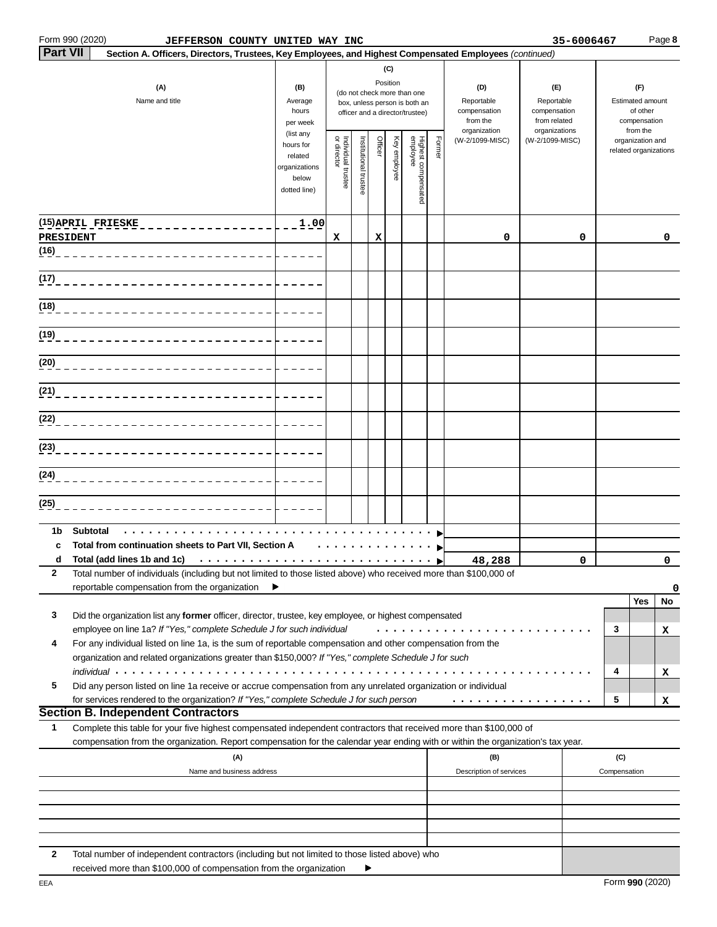|                 | Form 990 (2020)<br>JEFFERSON COUNTY UNITED WAY INC                                                                                                                                                                                                                                             |                                                                             |                                   |                       |         |                 |                                                                                                 |                                                               |                                |                                                                    | 35-6006467 |                                                                 |                                           | Page 8       |
|-----------------|------------------------------------------------------------------------------------------------------------------------------------------------------------------------------------------------------------------------------------------------------------------------------------------------|-----------------------------------------------------------------------------|-----------------------------------|-----------------------|---------|-----------------|-------------------------------------------------------------------------------------------------|---------------------------------------------------------------|--------------------------------|--------------------------------------------------------------------|------------|-----------------------------------------------------------------|-------------------------------------------|--------------|
| <b>Part VII</b> | Section A. Officers, Directors, Trustees, Key Employees, and Highest Compensated Employees (continued)                                                                                                                                                                                         |                                                                             |                                   |                       |         |                 |                                                                                                 |                                                               |                                |                                                                    |            |                                                                 |                                           |              |
|                 | (A)<br>Name and title                                                                                                                                                                                                                                                                          | (B)<br>Average<br>hours<br>per week                                         |                                   |                       |         | (C)<br>Position | (do not check more than one<br>box, unless person is both an<br>officer and a director/trustee) | (D)<br>Reportable<br>compensation<br>from the<br>organization |                                | (E)<br>Reportable<br>compensation<br>from related<br>organizations |            | (F)<br>Estimated amount<br>of other<br>compensation<br>from the |                                           |              |
|                 |                                                                                                                                                                                                                                                                                                | (list any<br>hours for<br>related<br>organizations<br>below<br>dotted line) | or director<br>Individual trustee | Institutional trustee | Officer | Key employee    | Highest compensated<br>employee                                                                 | Former                                                        | (W-2/1099-MISC)                | (W-2/1099-MISC)                                                    |            |                                                                 | organization and<br>related organizations |              |
|                 | (15) APRIL FRIESKE<br>PRESIDENT                                                                                                                                                                                                                                                                | 1.00                                                                        | x                                 |                       | х       |                 |                                                                                                 |                                                               | 0                              |                                                                    | 0          |                                                                 |                                           | $\mathbf{0}$ |
| (16)            |                                                                                                                                                                                                                                                                                                |                                                                             |                                   |                       |         |                 |                                                                                                 |                                                               |                                |                                                                    |            |                                                                 |                                           |              |
| (17)            |                                                                                                                                                                                                                                                                                                |                                                                             |                                   |                       |         |                 |                                                                                                 |                                                               |                                |                                                                    |            |                                                                 |                                           |              |
| (18)            |                                                                                                                                                                                                                                                                                                |                                                                             |                                   |                       |         |                 |                                                                                                 |                                                               |                                |                                                                    |            |                                                                 |                                           |              |
| (19)            |                                                                                                                                                                                                                                                                                                |                                                                             |                                   |                       |         |                 |                                                                                                 |                                                               |                                |                                                                    |            |                                                                 |                                           |              |
| (20)            |                                                                                                                                                                                                                                                                                                |                                                                             |                                   |                       |         |                 |                                                                                                 |                                                               |                                |                                                                    |            |                                                                 |                                           |              |
| (21)            |                                                                                                                                                                                                                                                                                                |                                                                             |                                   |                       |         |                 |                                                                                                 |                                                               |                                |                                                                    |            |                                                                 |                                           |              |
| (22)            |                                                                                                                                                                                                                                                                                                |                                                                             |                                   |                       |         |                 |                                                                                                 |                                                               |                                |                                                                    |            |                                                                 |                                           |              |
| (23)            |                                                                                                                                                                                                                                                                                                |                                                                             |                                   |                       |         |                 |                                                                                                 |                                                               |                                |                                                                    |            |                                                                 |                                           |              |
| (24)            |                                                                                                                                                                                                                                                                                                |                                                                             |                                   |                       |         |                 |                                                                                                 |                                                               |                                |                                                                    |            |                                                                 |                                           |              |
| (25)            |                                                                                                                                                                                                                                                                                                |                                                                             |                                   |                       |         |                 |                                                                                                 |                                                               |                                |                                                                    |            |                                                                 |                                           |              |
| 1b<br>c<br>d    | <b>Subtotal</b><br>Total from continuation sheets to Part VII, Section A                                                                                                                                                                                                                       |                                                                             |                                   |                       |         |                 |                                                                                                 |                                                               | 48,288                         |                                                                    | 0          |                                                                 |                                           | $\Omega$     |
| 2               | Total number of individuals (including but not limited to those listed above) who received more than \$100,000 of<br>reportable compensation from the organization                                                                                                                             | ►                                                                           |                                   |                       |         |                 |                                                                                                 |                                                               |                                |                                                                    |            |                                                                 |                                           | 0            |
| 3               | Did the organization list any former officer, director, trustee, key employee, or highest compensated                                                                                                                                                                                          |                                                                             |                                   |                       |         |                 |                                                                                                 |                                                               |                                |                                                                    |            |                                                                 | Yes                                       | No           |
| 4               | employee on line 1a? If "Yes," complete Schedule J for such individual<br>For any individual listed on line 1a, is the sum of reportable compensation and other compensation from the<br>organization and related organizations greater than \$150,000? If "Yes," complete Schedule J for such |                                                                             |                                   |                       |         |                 |                                                                                                 |                                                               |                                |                                                                    |            | 3                                                               |                                           | х            |
| 5               | <i>individual</i><br>Did any person listed on line 1a receive or accrue compensation from any unrelated organization or individual<br>for services rendered to the organization? If "Yes," complete Schedule J for such person                                                                 |                                                                             |                                   |                       |         |                 |                                                                                                 |                                                               | .                              |                                                                    |            | 4<br>5                                                          |                                           | x<br>x       |
|                 | <b>Section B. Independent Contractors</b>                                                                                                                                                                                                                                                      |                                                                             |                                   |                       |         |                 |                                                                                                 |                                                               |                                |                                                                    |            |                                                                 |                                           |              |
| 1               | Complete this table for your five highest compensated independent contractors that received more than \$100,000 of<br>compensation from the organization. Report compensation for the calendar year ending with or within the organization's tax year.                                         |                                                                             |                                   |                       |         |                 |                                                                                                 |                                                               |                                |                                                                    |            |                                                                 |                                           |              |
|                 | (A)<br>Name and business address                                                                                                                                                                                                                                                               |                                                                             |                                   |                       |         |                 |                                                                                                 |                                                               | (B)<br>Description of services |                                                                    |            | (C)<br>Compensation                                             |                                           |              |
|                 |                                                                                                                                                                                                                                                                                                |                                                                             |                                   |                       |         |                 |                                                                                                 |                                                               |                                |                                                                    |            |                                                                 |                                           |              |
|                 |                                                                                                                                                                                                                                                                                                |                                                                             |                                   |                       |         |                 |                                                                                                 |                                                               |                                |                                                                    |            |                                                                 |                                           |              |
| 2               | Total number of independent contractors (including but not limited to those listed above) who                                                                                                                                                                                                  |                                                                             |                                   |                       |         |                 |                                                                                                 |                                                               |                                |                                                                    |            |                                                                 |                                           |              |
|                 | received more than \$100,000 of compensation from the organization                                                                                                                                                                                                                             |                                                                             |                                   |                       |         |                 |                                                                                                 |                                                               |                                |                                                                    |            |                                                                 |                                           |              |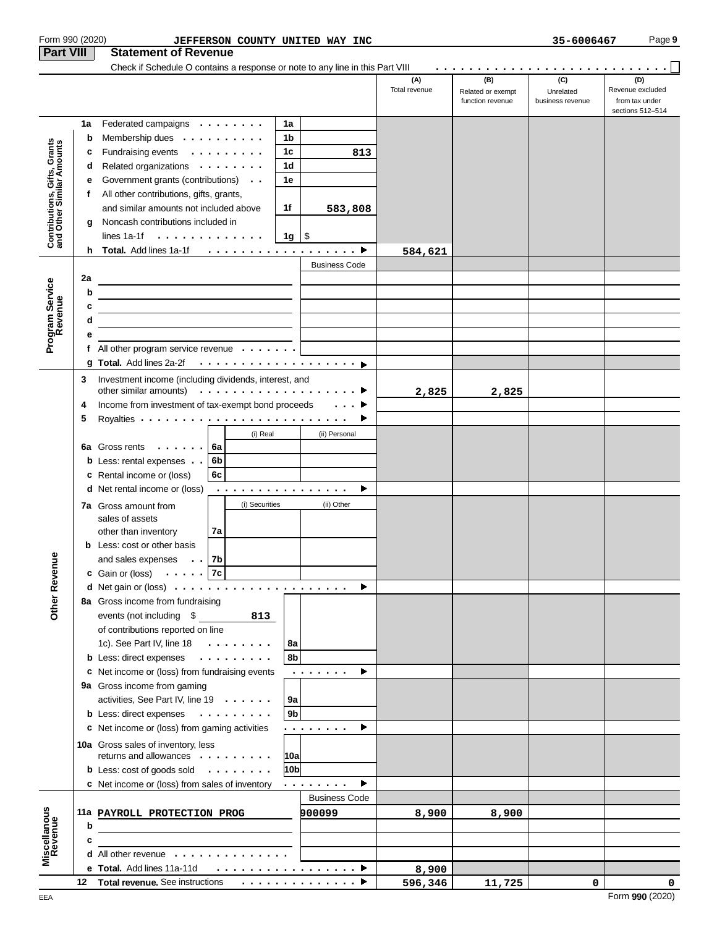| <b>Part VIII</b>                                          | Form 990 (2020)<br>JEFFERSON COUNTY UNITED WAY INC<br><b>Statement of Revenue</b>                                             |                      |                                              | 35-6006467                           | Page 9                                                        |
|-----------------------------------------------------------|-------------------------------------------------------------------------------------------------------------------------------|----------------------|----------------------------------------------|--------------------------------------|---------------------------------------------------------------|
|                                                           | Check if Schedule O contains a response or note to any line in this Part VIII                                                 |                      |                                              |                                      |                                                               |
|                                                           |                                                                                                                               | (A)<br>Total revenue | (B)<br>Related or exempt<br>function revenue | (C)<br>Unrelated<br>business revenue | (D)<br>Revenue excluded<br>from tax under<br>sections 512-514 |
|                                                           | Federated campaigns<br>1a<br>1a                                                                                               |                      |                                              |                                      |                                                               |
|                                                           | 1b<br>Membership dues<br>b                                                                                                    |                      |                                              |                                      |                                                               |
| Contributions, Gifts, Grants<br>and Other Similar Amounts | Fundraising events<br>1 <sub>c</sub><br>c<br>813                                                                              |                      |                                              |                                      |                                                               |
|                                                           | 1d<br>Related organizations<br>d                                                                                              |                      |                                              |                                      |                                                               |
|                                                           | 1e<br>Government grants (contributions) .<br>е                                                                                |                      |                                              |                                      |                                                               |
|                                                           | All other contributions, gifts, grants,<br>f                                                                                  |                      |                                              |                                      |                                                               |
|                                                           | and similar amounts not included above<br>1f<br>583,808                                                                       |                      |                                              |                                      |                                                               |
|                                                           | Noncash contributions included in<br>g<br>lines 1a-1f $\cdots$ , $\cdots$ , $\cdots$<br>$1g \mid$ \$                          |                      |                                              |                                      |                                                               |
|                                                           |                                                                                                                               | 584,621              |                                              |                                      |                                                               |
|                                                           | <b>Business Code</b>                                                                                                          |                      |                                              |                                      |                                                               |
|                                                           | 2a                                                                                                                            |                      |                                              |                                      |                                                               |
| Program Service<br>Revenue                                | b<br><u> 1989 - Johann Stoff, fransk politik (f. 1989)</u>                                                                    |                      |                                              |                                      |                                                               |
|                                                           | c<br><u> 1989 - Johann Stein, fransk politik (d. 1989)</u>                                                                    |                      |                                              |                                      |                                                               |
|                                                           | d                                                                                                                             |                      |                                              |                                      |                                                               |
|                                                           | е                                                                                                                             |                      |                                              |                                      |                                                               |
|                                                           | f All other program service revenue $\cdots$                                                                                  |                      |                                              |                                      |                                                               |
|                                                           |                                                                                                                               |                      |                                              |                                      |                                                               |
|                                                           | Investment income (including dividends, interest, and<br>3                                                                    |                      |                                              |                                      |                                                               |
|                                                           | Income from investment of tax-exempt bond proceeds<br>$\ldots$ .<br>4                                                         | 2,825                | 2,825                                        |                                      |                                                               |
|                                                           | 5<br>►                                                                                                                        |                      |                                              |                                      |                                                               |
|                                                           | (i) Real<br>(ii) Personal                                                                                                     |                      |                                              |                                      |                                                               |
|                                                           | 6a Gross rents<br>  6a                                                                                                        |                      |                                              |                                      |                                                               |
|                                                           | <b>b</b> Less: rental expenses $\cdot$ $\cdot$<br>6b                                                                          |                      |                                              |                                      |                                                               |
|                                                           | 6c<br>c Rental income or (loss)                                                                                               |                      |                                              |                                      |                                                               |
|                                                           | <b>d</b> Net rental income or (loss)<br>►<br>.                                                                                |                      |                                              |                                      |                                                               |
|                                                           | (i) Securities<br>(ii) Other<br>7a Gross amount from                                                                          |                      |                                              |                                      |                                                               |
|                                                           | sales of assets                                                                                                               |                      |                                              |                                      |                                                               |
|                                                           | 7a<br>other than inventory                                                                                                    |                      |                                              |                                      |                                                               |
|                                                           | <b>b</b> Less: cost or other basis                                                                                            |                      |                                              |                                      |                                                               |
|                                                           | and sales expenses $\cdot \cdot  $ 7b                                                                                         |                      |                                              |                                      |                                                               |
| Other Revenu                                              | <b>c</b> Gain or (loss) $\cdot \cdot \cdot \cdot$ 7c<br>۰.                                                                    |                      |                                              |                                      |                                                               |
|                                                           | 8a Gross income from fundraising                                                                                              |                      |                                              |                                      |                                                               |
|                                                           | events (not including \$<br>813                                                                                               |                      |                                              |                                      |                                                               |
|                                                           | of contributions reported on line                                                                                             |                      |                                              |                                      |                                                               |
|                                                           | 8a<br>1c). See Part IV, line $18 \cdot \cdot \cdot \cdot \cdot \cdot \cdot$                                                   |                      |                                              |                                      |                                                               |
|                                                           | 8b<br>b Less: direct expenses                                                                                                 |                      |                                              |                                      |                                                               |
|                                                           | c Net income or (loss) from fundraising events<br>►<br>$\alpha$ , $\alpha$ , $\alpha$ , $\alpha$ , $\alpha$ , $\alpha$        |                      |                                              |                                      |                                                               |
|                                                           | 9a Gross income from gaming                                                                                                   |                      |                                              |                                      |                                                               |
|                                                           | activities, See Part IV, line 19<br>9a                                                                                        |                      |                                              |                                      |                                                               |
|                                                           | 9 <sub>b</sub><br>b Less: direct expenses                                                                                     |                      |                                              |                                      |                                                               |
|                                                           | c Net income or (loss) from gaming activities<br>▶<br>.                                                                       |                      |                                              |                                      |                                                               |
|                                                           | 10a Gross sales of inventory, less                                                                                            |                      |                                              |                                      |                                                               |
|                                                           | returns and allowances<br> 10a <br>10 <sub>b</sub><br><b>b</b> Less: cost of goods sold                                       |                      |                                              |                                      |                                                               |
|                                                           | Þ.<br>c Net income or (loss) from sales of inventory<br>$\mathbf{r}$ , and $\mathbf{r}$ , and $\mathbf{r}$ , and $\mathbf{r}$ |                      |                                              |                                      |                                                               |
|                                                           | <b>Business Code</b>                                                                                                          |                      |                                              |                                      |                                                               |
|                                                           | 11a PAYROLL PROTECTION PROG<br>900099                                                                                         | 8,900                | 8,900                                        |                                      |                                                               |
|                                                           | b<br><u> 1989 - Johann Barbara, martin amerikan basar dan berasal dalam basar dalam basar dalam basar dalam basar dala</u>    |                      |                                              |                                      |                                                               |
|                                                           | c                                                                                                                             |                      |                                              |                                      |                                                               |
| Miscellanous<br>Revenue                                   | d All other revenue                                                                                                           |                      |                                              |                                      |                                                               |
|                                                           | e Total. Add lines 11a-11d $\cdots$ , $\blacktriangleright$                                                                   | 8,900                |                                              |                                      |                                                               |
|                                                           | 12 Total revenue. See instructions ▶                                                                                          | 596,346              | 11,725                                       | $\mathbf 0$                          | 0                                                             |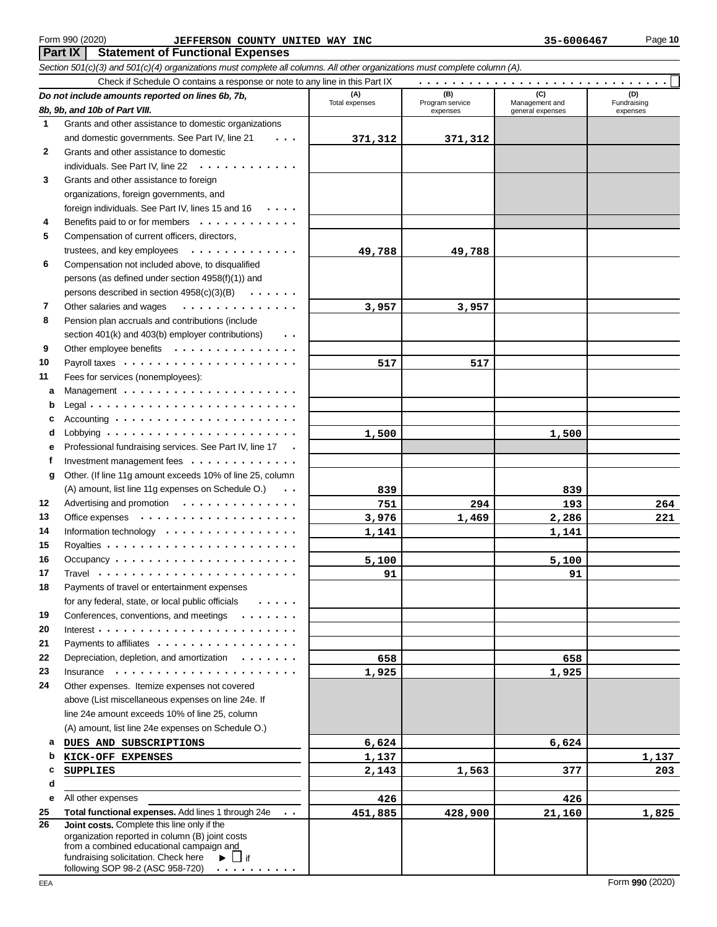## Form 990 (2020) **Page 10 JEFFERSON COUNTY UNITED WAY INC** 35-6006467 Page 10

**Part IX | Statement of Functional Expenses** 

*Section 501(c)(3) and 501(c)(4) organizations must complete all columns. All other organizations must complete column (A).* Check if Schedule O contains a response or note to any line in this Part IX *Do not include amounts reported on lines 6b, 7b,* **(A) (B) (C) (D)** Total expenses **Program service** Management and Pundraising expenses | general expenses | expenses . . . . . . . . . . . . . . . . . . . . . . . . . . . . . .

|              | 8b, 9b, and 10b of Part VIII.                                                                                                                                                                                                                                    | Total expenses | Program service<br>expenses | Management and<br>general expenses | Fundraising<br>expenses |
|--------------|------------------------------------------------------------------------------------------------------------------------------------------------------------------------------------------------------------------------------------------------------------------|----------------|-----------------------------|------------------------------------|-------------------------|
| -1           | Grants and other assistance to domestic organizations                                                                                                                                                                                                            |                |                             |                                    |                         |
|              | and domestic governments. See Part IV, line 21<br>$\cdots$                                                                                                                                                                                                       | 371,312        | 371,312                     |                                    |                         |
| $\mathbf{2}$ | Grants and other assistance to domestic                                                                                                                                                                                                                          |                |                             |                                    |                         |
|              | individuals. See Part IV, line 22                                                                                                                                                                                                                                |                |                             |                                    |                         |
| 3            | Grants and other assistance to foreign                                                                                                                                                                                                                           |                |                             |                                    |                         |
|              | organizations, foreign governments, and                                                                                                                                                                                                                          |                |                             |                                    |                         |
|              | foreign individuals. See Part IV, lines 15 and 16                                                                                                                                                                                                                |                |                             |                                    |                         |
| 4            | Benefits paid to or for members                                                                                                                                                                                                                                  |                |                             |                                    |                         |
| 5            | Compensation of current officers, directors,                                                                                                                                                                                                                     |                |                             |                                    |                         |
|              | trustees, and key employees $\cdots$ ,                                                                                                                                                                                                                           | 49,788         | 49,788                      |                                    |                         |
| 6            | Compensation not included above, to disqualified                                                                                                                                                                                                                 |                |                             |                                    |                         |
|              | persons (as defined under section 4958(f)(1)) and                                                                                                                                                                                                                |                |                             |                                    |                         |
|              | persons described in section 4958(c)(3)(B)<br>$\mathbf{a}$ , $\mathbf{a}$ , $\mathbf{a}$ , $\mathbf{a}$ , $\mathbf{a}$ , $\mathbf{a}$                                                                                                                            |                |                             |                                    |                         |
| 7            | Other salaries and wages<br>.                                                                                                                                                                                                                                    | 3,957          | 3,957                       |                                    |                         |
| 8            | Pension plan accruals and contributions (include                                                                                                                                                                                                                 |                |                             |                                    |                         |
|              | section 401(k) and 403(b) employer contributions)<br>$\sim$ $\sim$                                                                                                                                                                                               |                |                             |                                    |                         |
| 9            | Other employee benefits                                                                                                                                                                                                                                          |                |                             |                                    |                         |
| 10           |                                                                                                                                                                                                                                                                  | 517            | 517                         |                                    |                         |
| 11           | Fees for services (nonemployees):                                                                                                                                                                                                                                |                |                             |                                    |                         |
| а            |                                                                                                                                                                                                                                                                  |                |                             |                                    |                         |
| b            |                                                                                                                                                                                                                                                                  |                |                             |                                    |                         |
| c            |                                                                                                                                                                                                                                                                  |                |                             |                                    |                         |
| d            |                                                                                                                                                                                                                                                                  | 1,500          |                             | 1,500                              |                         |
| е            | Professional fundraising services. See Part IV, line 17                                                                                                                                                                                                          |                |                             |                                    |                         |
| f            | Investment management fees $\cdots$ ,                                                                                                                                                                                                                            |                |                             |                                    |                         |
| g            | Other. (If line 11g amount exceeds 10% of line 25, column                                                                                                                                                                                                        |                |                             |                                    |                         |
|              | (A) amount, list line 11g expenses on Schedule O.)<br>$\sim$ $\sim$                                                                                                                                                                                              | 839            |                             | 839                                |                         |
| 12           | Advertising and promotion                                                                                                                                                                                                                                        | 751            | 294                         | 193                                | 264                     |
| 13           |                                                                                                                                                                                                                                                                  | 3,976          | 1,469                       | 2,286                              | 221                     |
| 14           | Information technology $\cdots$ , , , ,                                                                                                                                                                                                                          | 1,141          |                             | 1,141                              |                         |
| 15           |                                                                                                                                                                                                                                                                  |                |                             |                                    |                         |
| 16           | Occupancy $\cdots$ $\cdots$ $\cdots$ $\cdots$ $\cdots$ $\cdots$ $\cdots$ $\cdots$ $\cdots$                                                                                                                                                                       | 5,100          |                             | 5,100                              |                         |
| 17           |                                                                                                                                                                                                                                                                  | 91             |                             | 91                                 |                         |
| 18           | Payments of travel or entertainment expenses                                                                                                                                                                                                                     |                |                             |                                    |                         |
|              | for any federal, state, or local public officials                                                                                                                                                                                                                |                |                             |                                    |                         |
| 19           | Conferences, conventions, and meetings                                                                                                                                                                                                                           |                |                             |                                    |                         |
| 20<br>21     | Interest $\cdots$ $\cdots$ $\cdots$ $\cdots$ $\cdots$ $\cdots$<br>Payments to affiliates                                                                                                                                                                         |                |                             |                                    |                         |
| 22           | Depreciation, depletion, and amortization                                                                                                                                                                                                                        | 658            |                             | 658                                |                         |
| 23           | $Insurance \rightarrow \cdots \cdots \cdots \cdots$                                                                                                                                                                                                              | 1,925          |                             | 1,925                              |                         |
| 24           | Other expenses. Itemize expenses not covered                                                                                                                                                                                                                     |                |                             |                                    |                         |
|              | above (List miscellaneous expenses on line 24e. If                                                                                                                                                                                                               |                |                             |                                    |                         |
|              | line 24e amount exceeds 10% of line 25, column                                                                                                                                                                                                                   |                |                             |                                    |                         |
|              | (A) amount, list line 24e expenses on Schedule O.)                                                                                                                                                                                                               |                |                             |                                    |                         |
| а            | DUES AND SUBSCRIPTIONS                                                                                                                                                                                                                                           | 6,624          |                             | 6,624                              |                         |
| b            | KICK-OFF EXPENSES                                                                                                                                                                                                                                                | 1,137          |                             |                                    | 1,137                   |
| c            | <b>SUPPLIES</b>                                                                                                                                                                                                                                                  | 2,143          | 1,563                       | 377                                | 203                     |
| d            |                                                                                                                                                                                                                                                                  |                |                             |                                    |                         |
| е            | All other expenses                                                                                                                                                                                                                                               | 426            |                             | 426                                |                         |
| 25           | Total functional expenses. Add lines 1 through 24e<br>$\sim$ 10 $\pm$                                                                                                                                                                                            | 451,885        | 428,900                     | 21,160                             | 1,825                   |
| 26           | Joint costs. Complete this line only if the<br>organization reported in column (B) joint costs<br>from a combined educational campaign and<br>fundraising solicitation. Check here<br>$\overline{\phantom{a}}$ if<br>Þ.<br>following SOP 98-2 (ASC 958-720)<br>. |                |                             |                                    |                         |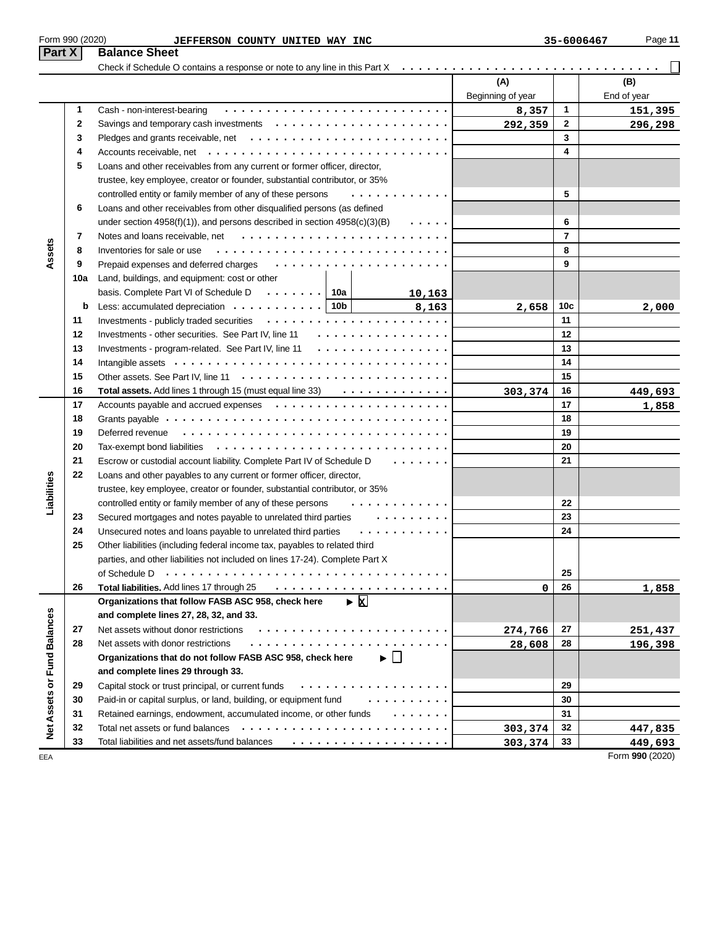| Form 990 (2020)<br>Part X         | JEFFERSON COUNTY UNITED WAY INC<br><b>Balance Sheet</b>                                                                                                                                                                                                                                    |                   | 35-6006467              | Page 11                    |
|-----------------------------------|--------------------------------------------------------------------------------------------------------------------------------------------------------------------------------------------------------------------------------------------------------------------------------------------|-------------------|-------------------------|----------------------------|
|                                   | Check if Schedule O contains a response or note to any line in this Part X                                                                                                                                                                                                                 |                   |                         |                            |
|                                   |                                                                                                                                                                                                                                                                                            | (A)               |                         | (B)                        |
|                                   |                                                                                                                                                                                                                                                                                            | Beginning of year |                         | End of year                |
| 1                                 | Cash - non-interest-bearing                                                                                                                                                                                                                                                                | 8,357             | 1                       | 151,395                    |
| 2                                 |                                                                                                                                                                                                                                                                                            | 292,359           | $\mathbf{2}$            | 296,298                    |
| 3                                 |                                                                                                                                                                                                                                                                                            |                   | 3                       |                            |
| 4                                 |                                                                                                                                                                                                                                                                                            |                   | $\overline{\mathbf{4}}$ |                            |
| 5                                 | Loans and other receivables from any current or former officer, director,                                                                                                                                                                                                                  |                   |                         |                            |
|                                   | trustee, key employee, creator or founder, substantial contributor, or 35%                                                                                                                                                                                                                 |                   |                         |                            |
|                                   | controlled entity or family member of any of these persons<br>.                                                                                                                                                                                                                            |                   | 5                       |                            |
| 6                                 | Loans and other receivables from other disqualified persons (as defined                                                                                                                                                                                                                    |                   |                         |                            |
|                                   | under section $4958(f)(1)$ , and persons described in section $4958(c)(3)(B)$<br>$\sim$ 100 $\sim$ 100 $\sim$                                                                                                                                                                              |                   | 6                       |                            |
| 7                                 |                                                                                                                                                                                                                                                                                            |                   | $\overline{7}$          |                            |
| Assets<br>8                       | Inventories for sale or use                                                                                                                                                                                                                                                                |                   | 8                       |                            |
| 9                                 | Prepaid expenses and deferred charges                                                                                                                                                                                                                                                      |                   | 9                       |                            |
| 10a                               | Land, buildings, and equipment: cost or other                                                                                                                                                                                                                                              |                   |                         |                            |
|                                   | basis. Complete Part VI of Schedule D $\cdots \cdots$ 10a<br>10,163                                                                                                                                                                                                                        |                   |                         |                            |
| b                                 | Less: accumulated depreciation $\cdots \cdots \cdots$ 10b<br>8,163                                                                                                                                                                                                                         | 2,658             | 10c                     | 2,000                      |
| 11                                |                                                                                                                                                                                                                                                                                            |                   | 11                      |                            |
| 12                                | Investments - other securities. See Part IV, line 11<br>.                                                                                                                                                                                                                                  |                   | 12                      |                            |
| 13                                | .<br>Investments - program-related. See Part IV, line 11                                                                                                                                                                                                                                   |                   | 13                      |                            |
| 14                                |                                                                                                                                                                                                                                                                                            |                   | 14                      |                            |
| 15                                |                                                                                                                                                                                                                                                                                            |                   | 15                      |                            |
| 16                                | Total assets. Add lines 1 through 15 (must equal line 33) $\cdots$                                                                                                                                                                                                                         |                   | 16                      |                            |
| 17                                |                                                                                                                                                                                                                                                                                            | 303,374           | 17                      | 449,693                    |
| 18                                |                                                                                                                                                                                                                                                                                            |                   | 18                      | 1,858                      |
| 19                                |                                                                                                                                                                                                                                                                                            |                   | 19                      |                            |
| 20                                |                                                                                                                                                                                                                                                                                            |                   | 20                      |                            |
| 21                                | Escrow or custodial account liability. Complete Part IV of Schedule D<br>$\mathbf{r}$ , and $\mathbf{r}$ , and $\mathbf{r}$ , and $\mathbf{r}$                                                                                                                                             |                   | 21                      |                            |
| 22                                |                                                                                                                                                                                                                                                                                            |                   |                         |                            |
|                                   | Loans and other payables to any current or former officer, director,                                                                                                                                                                                                                       |                   |                         |                            |
| Liabilities                       | trustee, key employee, creator or founder, substantial contributor, or 35%<br>controlled entity or family member of any of these persons                                                                                                                                                   |                   | 22                      |                            |
|                                   |                                                                                                                                                                                                                                                                                            |                   | 23                      |                            |
| 23<br>24                          | Secured mortgages and notes payable to unrelated third parties<br>$\mathbf{1} \quad \mathbf{1} \quad \mathbf{1} \quad \mathbf{1} \quad \mathbf{1} \quad \mathbf{1} \quad \mathbf{1} \quad \mathbf{1} \quad \mathbf{1} \quad \mathbf{1} \quad \mathbf{1} \quad \mathbf{1} \quad \mathbf{1}$ |                   | 24                      |                            |
| 25                                | Unsecured notes and loans payable to unrelated third parties                                                                                                                                                                                                                               |                   |                         |                            |
|                                   | Other liabilities (including federal income tax, payables to related third<br>parties, and other liabilities not included on lines 17-24). Complete Part X                                                                                                                                 |                   |                         |                            |
|                                   |                                                                                                                                                                                                                                                                                            |                   | 25                      |                            |
| 26                                | of Schedule D<br>Total liabilities. Add lines 17 through 25                                                                                                                                                                                                                                |                   | 26                      |                            |
|                                   | $\triangleright$ <b>x</b><br>Organizations that follow FASB ASC 958, check here                                                                                                                                                                                                            | 0                 |                         | 1,858                      |
|                                   | and complete lines 27, 28, 32, and 33.                                                                                                                                                                                                                                                     |                   |                         |                            |
| 27                                | Net assets without donor restrictions                                                                                                                                                                                                                                                      |                   | 27                      |                            |
| 28                                | Net assets with donor restrictions                                                                                                                                                                                                                                                         | 274,766           | 28                      | 251,437                    |
|                                   | Organizations that do not follow FASB ASC 958, check here<br>▶ │ │                                                                                                                                                                                                                         | 28,608            |                         | 196,398                    |
|                                   |                                                                                                                                                                                                                                                                                            |                   |                         |                            |
|                                   | and complete lines 29 through 33.                                                                                                                                                                                                                                                          |                   | 29                      |                            |
| 29                                | Capital stock or trust principal, or current funds<br>.                                                                                                                                                                                                                                    |                   |                         |                            |
| 30                                | Paid-in or capital surplus, or land, building, or equipment fund<br>.                                                                                                                                                                                                                      |                   | 30                      |                            |
| Net Assets or Fund Balances<br>31 | Retained earnings, endowment, accumulated income, or other funds                                                                                                                                                                                                                           |                   | 31                      |                            |
| 32                                |                                                                                                                                                                                                                                                                                            | 303,374           | 32                      | 447,835                    |
| 33<br>EEA                         | Total liabilities and net assets/fund balances                                                                                                                                                                                                                                             | 303,374           | 33                      | 449,693<br>Form 990 (2020) |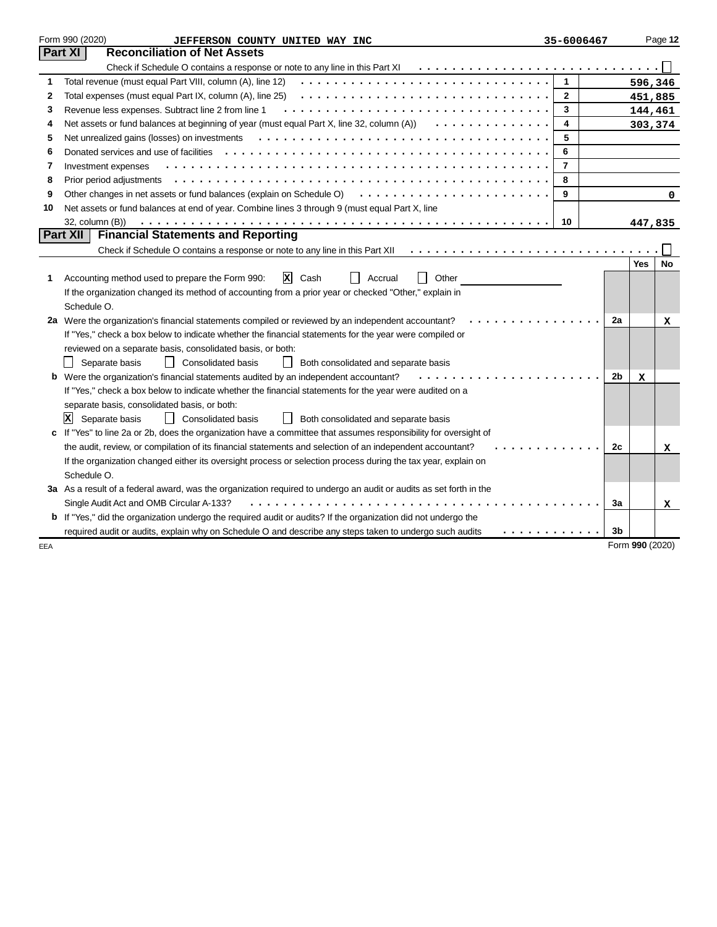|     | Form 990 (2020)<br>JEFFERSON COUNTY UNITED WAY INC                                                                    | 35-6006467     |    | Page 12          |
|-----|-----------------------------------------------------------------------------------------------------------------------|----------------|----|------------------|
|     | <b>Reconciliation of Net Assets</b><br>Part XI                                                                        |                |    |                  |
|     | Check if Schedule O contains a response or note to any line in this Part XI                                           |                |    |                  |
| 1   | Total revenue (must equal Part VIII, column (A), line 12)                                                             | $\mathbf{1}$   |    | 596,346          |
| 2   | Total expenses (must equal Part IX, column (A), line 25)                                                              | $\mathbf{2}$   |    | 451,885          |
| 3   | Revenue less expenses. Subtract line 2 from line 1                                                                    | 3              |    | 144,461          |
| 4   | Net assets or fund balances at beginning of year (must equal Part X, line 32, column (A))<br>.                        | 4              |    | 303,374          |
| 5   | Net unrealized gains (losses) on investments                                                                          | 5              |    |                  |
| 6   | Donated services and use of facilities                                                                                | 6              |    |                  |
| 7   | Investment expenses                                                                                                   | $\overline{7}$ |    |                  |
| 8   |                                                                                                                       | 8              |    |                  |
| 9   | Other changes in net assets or fund balances (explain on Schedule O)                                                  | 9              |    | 0                |
| 10  | Net assets or fund balances at end of year. Combine lines 3 through 9 (must equal Part X, line                        |                |    |                  |
|     | 32, column (B))                                                                                                       | 10             |    | 447,835          |
|     | <b>Financial Statements and Reporting</b><br><b>Part XII</b>                                                          |                |    |                  |
|     | Check if Schedule O contains a response or note to any line in this Part XII                                          |                |    |                  |
|     |                                                                                                                       |                |    | <b>Yes</b><br>No |
| 1.  | ΙxΙ<br>Accounting method used to prepare the Form 990:<br>Cash<br>Accrual<br>Other                                    |                |    |                  |
|     | If the organization changed its method of accounting from a prior year or checked "Other," explain in                 |                |    |                  |
|     | Schedule O.                                                                                                           |                |    |                  |
|     | 2a Were the organization's financial statements compiled or reviewed by an independent accountant?                    |                | 2a | х                |
|     | If "Yes," check a box below to indicate whether the financial statements for the year were compiled or                |                |    |                  |
|     | reviewed on a separate basis, consolidated basis, or both:                                                            |                |    |                  |
|     | Consolidated basis<br>Separate basis<br>Both consolidated and separate basis                                          |                |    |                  |
|     | <b>b</b> Were the organization's financial statements audited by an independent accountant?                           |                | 2b | x                |
|     | If "Yes," check a box below to indicate whether the financial statements for the year were audited on a               |                |    |                  |
|     | separate basis, consolidated basis, or both:                                                                          |                |    |                  |
|     | x<br>Separate basis<br><b>Consolidated basis</b><br>Both consolidated and separate basis<br>$\Box$                    |                |    |                  |
|     | If "Yes" to line 2a or 2b, does the organization have a committee that assumes responsibility for oversight of        |                |    |                  |
|     | the audit, review, or compilation of its financial statements and selection of an independent accountant?             |                | 2c | x                |
|     | If the organization changed either its oversight process or selection process during the tax year, explain on         |                |    |                  |
|     | Schedule O.                                                                                                           |                |    |                  |
|     | 3a As a result of a federal award, was the organization required to undergo an audit or audits as set forth in the    |                |    |                  |
|     | Single Audit Act and OMB Circular A-133?                                                                              |                | 3a | x                |
|     | <b>b</b> If "Yes," did the organization undergo the required audit or audits? If the organization did not undergo the |                |    |                  |
|     | required audit or audits, explain why on Schedule O and describe any steps taken to undergo such audits               | .              | 3b |                  |
| EEA |                                                                                                                       |                |    | Form 990 (2020)  |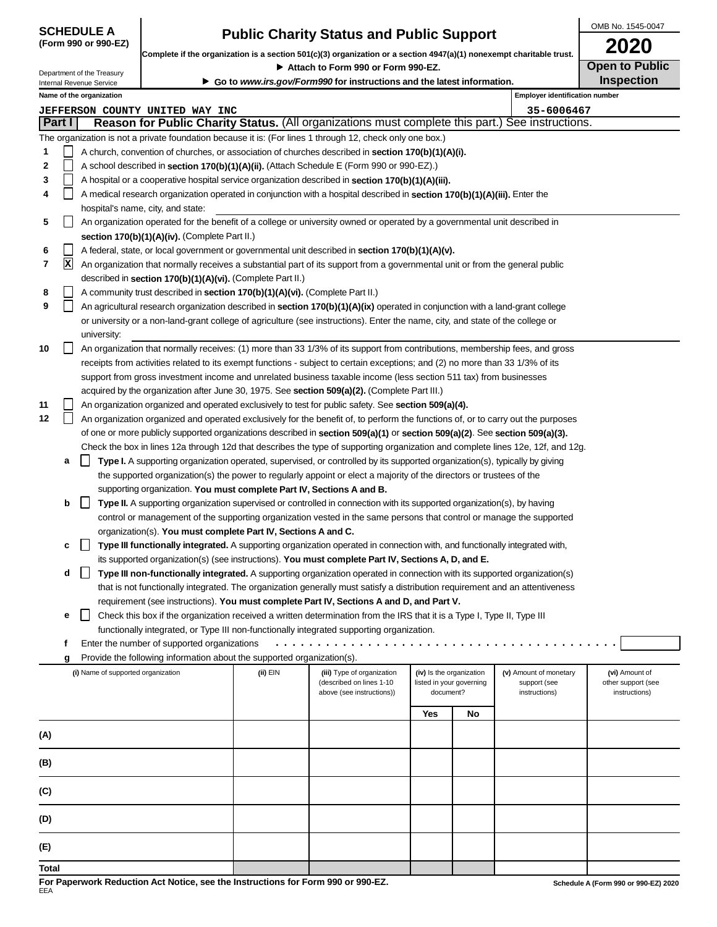| <b>SCHEDULE A</b>    |  |
|----------------------|--|
| (Form 990 or 990-EZ) |  |

# **Public Charity Status and Public Support**

OMB No. 1545-0047 **2020**

| Complete if the organization is a section 501(c)(3) organization or a section 4947(a)(1) nonexempt charitable trust. |                                                                                                                                                                            |                                    |                                                                                  | ZUZU                                                                   |                                                                                                                                  |                          |                          |                                |                                      |  |  |
|----------------------------------------------------------------------------------------------------------------------|----------------------------------------------------------------------------------------------------------------------------------------------------------------------------|------------------------------------|----------------------------------------------------------------------------------|------------------------------------------------------------------------|----------------------------------------------------------------------------------------------------------------------------------|--------------------------|--------------------------|--------------------------------|--------------------------------------|--|--|
| Department of the Treasury                                                                                           |                                                                                                                                                                            |                                    |                                                                                  | <b>Open to Public</b><br>Attach to Form 990 or Form 990-EZ.            |                                                                                                                                  |                          |                          |                                |                                      |  |  |
|                                                                                                                      |                                                                                                                                                                            | Internal Revenue Service           |                                                                                  | Go to www.irs.gov/Form990 for instructions and the latest information. |                                                                                                                                  | <b>Inspection</b>        |                          |                                |                                      |  |  |
|                                                                                                                      |                                                                                                                                                                            | Name of the organization           |                                                                                  |                                                                        |                                                                                                                                  |                          |                          | Employer identification number |                                      |  |  |
|                                                                                                                      |                                                                                                                                                                            |                                    | <b>JEFFERSON COUNTY UNITED WAY INC</b>                                           |                                                                        |                                                                                                                                  |                          |                          | 35-6006467                     |                                      |  |  |
|                                                                                                                      | Part I                                                                                                                                                                     |                                    |                                                                                  |                                                                        | Reason for Public Charity Status. (All organizations must complete this part.) See instructions.                                 |                          |                          |                                |                                      |  |  |
|                                                                                                                      |                                                                                                                                                                            |                                    |                                                                                  |                                                                        | The organization is not a private foundation because it is: (For lines 1 through 12, check only one box.)                        |                          |                          |                                |                                      |  |  |
| 1                                                                                                                    |                                                                                                                                                                            |                                    |                                                                                  |                                                                        | A church, convention of churches, or association of churches described in <b>section 170(b)(1)(A)(i).</b>                        |                          |                          |                                |                                      |  |  |
| 2                                                                                                                    |                                                                                                                                                                            |                                    |                                                                                  |                                                                        | A school described in <b>section 170(b)(1)(A)(ii).</b> (Attach Schedule E (Form 990 or 990-EZ).)                                 |                          |                          |                                |                                      |  |  |
| 3                                                                                                                    |                                                                                                                                                                            |                                    |                                                                                  |                                                                        | A hospital or a cooperative hospital service organization described in section 170(b)(1)(A)(iii).                                |                          |                          |                                |                                      |  |  |
| 4                                                                                                                    | A medical research organization operated in conjunction with a hospital described in <b>section 170(b)(1)(A)(iii).</b> Enter the                                           |                                    |                                                                                  |                                                                        |                                                                                                                                  |                          |                          |                                |                                      |  |  |
|                                                                                                                      |                                                                                                                                                                            |                                    | hospital's name, city, and state:                                                |                                                                        |                                                                                                                                  |                          |                          |                                |                                      |  |  |
| 5                                                                                                                    |                                                                                                                                                                            |                                    |                                                                                  |                                                                        |                                                                                                                                  |                          |                          |                                |                                      |  |  |
|                                                                                                                      | An organization operated for the benefit of a college or university owned or operated by a governmental unit described in<br>section 170(b)(1)(A)(iv). (Complete Part II.) |                                    |                                                                                  |                                                                        |                                                                                                                                  |                          |                          |                                |                                      |  |  |
| 6                                                                                                                    |                                                                                                                                                                            |                                    |                                                                                  |                                                                        | A federal, state, or local government or governmental unit described in section $170(b)(1)(A)(v)$ .                              |                          |                          |                                |                                      |  |  |
| 7                                                                                                                    | $\mathbf{x}$                                                                                                                                                               |                                    |                                                                                  |                                                                        | An organization that normally receives a substantial part of its support from a governmental unit or from the general public     |                          |                          |                                |                                      |  |  |
|                                                                                                                      |                                                                                                                                                                            |                                    | described in section 170(b)(1)(A)(vi). (Complete Part II.)                       |                                                                        |                                                                                                                                  |                          |                          |                                |                                      |  |  |
| 8                                                                                                                    |                                                                                                                                                                            |                                    | A community trust described in section 170(b)(1)(A)(vi). (Complete Part II.)     |                                                                        |                                                                                                                                  |                          |                          |                                |                                      |  |  |
| 9                                                                                                                    |                                                                                                                                                                            |                                    |                                                                                  |                                                                        | An agricultural research organization described in section 170(b)(1)(A)(ix) operated in conjunction with a land-grant college    |                          |                          |                                |                                      |  |  |
|                                                                                                                      |                                                                                                                                                                            |                                    |                                                                                  |                                                                        | or university or a non-land-grant college of agriculture (see instructions). Enter the name, city, and state of the college or   |                          |                          |                                |                                      |  |  |
|                                                                                                                      |                                                                                                                                                                            | university:                        |                                                                                  |                                                                        |                                                                                                                                  |                          |                          |                                |                                      |  |  |
| 10                                                                                                                   |                                                                                                                                                                            |                                    |                                                                                  |                                                                        | An organization that normally receives: (1) more than 33 1/3% of its support from contributions, membership fees, and gross      |                          |                          |                                |                                      |  |  |
|                                                                                                                      |                                                                                                                                                                            |                                    |                                                                                  |                                                                        | receipts from activities related to its exempt functions - subject to certain exceptions; and (2) no more than 33 1/3% of its    |                          |                          |                                |                                      |  |  |
|                                                                                                                      |                                                                                                                                                                            |                                    |                                                                                  |                                                                        | support from gross investment income and unrelated business taxable income (less section 511 tax) from businesses                |                          |                          |                                |                                      |  |  |
|                                                                                                                      |                                                                                                                                                                            |                                    |                                                                                  |                                                                        | acquired by the organization after June 30, 1975. See section 509(a)(2). (Complete Part III.)                                    |                          |                          |                                |                                      |  |  |
| 11                                                                                                                   |                                                                                                                                                                            |                                    |                                                                                  |                                                                        | An organization organized and operated exclusively to test for public safety. See section 509(a)(4).                             |                          |                          |                                |                                      |  |  |
| 12                                                                                                                   |                                                                                                                                                                            |                                    |                                                                                  |                                                                        | An organization organized and operated exclusively for the benefit of, to perform the functions of, or to carry out the purposes |                          |                          |                                |                                      |  |  |
|                                                                                                                      |                                                                                                                                                                            |                                    |                                                                                  |                                                                        | of one or more publicly supported organizations described in section 509(a)(1) or section 509(a)(2). See section 509(a)(3).      |                          |                          |                                |                                      |  |  |
|                                                                                                                      |                                                                                                                                                                            |                                    |                                                                                  |                                                                        | Check the box in lines 12a through 12d that describes the type of supporting organization and complete lines 12e, 12f, and 12g.  |                          |                          |                                |                                      |  |  |
|                                                                                                                      | а                                                                                                                                                                          |                                    |                                                                                  |                                                                        | Type I. A supporting organization operated, supervised, or controlled by its supported organization(s), typically by giving      |                          |                          |                                |                                      |  |  |
|                                                                                                                      |                                                                                                                                                                            |                                    |                                                                                  |                                                                        | the supported organization(s) the power to regularly appoint or elect a majority of the directors or trustees of the             |                          |                          |                                |                                      |  |  |
|                                                                                                                      |                                                                                                                                                                            |                                    | supporting organization. You must complete Part IV, Sections A and B.            |                                                                        |                                                                                                                                  |                          |                          |                                |                                      |  |  |
|                                                                                                                      | b                                                                                                                                                                          | $\mathsf{L}$                       |                                                                                  |                                                                        | <b>Type II.</b> A supporting organization supervised or controlled in connection with its supported organization(s), by having   |                          |                          |                                |                                      |  |  |
|                                                                                                                      |                                                                                                                                                                            |                                    |                                                                                  |                                                                        | control or management of the supporting organization vested in the same persons that control or manage the supported             |                          |                          |                                |                                      |  |  |
|                                                                                                                      |                                                                                                                                                                            |                                    | organization(s). You must complete Part IV, Sections A and C.                    |                                                                        |                                                                                                                                  |                          |                          |                                |                                      |  |  |
|                                                                                                                      | c                                                                                                                                                                          |                                    |                                                                                  |                                                                        | Type III functionally integrated. A supporting organization operated in connection with, and functionally integrated with,       |                          |                          |                                |                                      |  |  |
|                                                                                                                      |                                                                                                                                                                            |                                    |                                                                                  |                                                                        | its supported organization(s) (see instructions). You must complete Part IV, Sections A, D, and E.                               |                          |                          |                                |                                      |  |  |
|                                                                                                                      | a                                                                                                                                                                          |                                    |                                                                                  |                                                                        | Type III non-functionally integrated. A supporting organization operated in connection with its supported organization(s)        |                          |                          |                                |                                      |  |  |
|                                                                                                                      |                                                                                                                                                                            |                                    |                                                                                  |                                                                        | that is not functionally integrated. The organization generally must satisfy a distribution requirement and an attentiveness     |                          |                          |                                |                                      |  |  |
|                                                                                                                      |                                                                                                                                                                            |                                    |                                                                                  |                                                                        | requirement (see instructions). You must complete Part IV, Sections A and D, and Part V.                                         |                          |                          |                                |                                      |  |  |
|                                                                                                                      | е                                                                                                                                                                          |                                    |                                                                                  |                                                                        | Check this box if the organization received a written determination from the IRS that it is a Type I, Type II, Type III          |                          |                          |                                |                                      |  |  |
|                                                                                                                      |                                                                                                                                                                            |                                    |                                                                                  |                                                                        | functionally integrated, or Type III non-functionally integrated supporting organization.                                        |                          |                          |                                |                                      |  |  |
|                                                                                                                      | f                                                                                                                                                                          |                                    | Enter the number of supported organizations                                      |                                                                        |                                                                                                                                  |                          |                          |                                |                                      |  |  |
|                                                                                                                      | g                                                                                                                                                                          |                                    | Provide the following information about the supported organization(s).           |                                                                        |                                                                                                                                  |                          |                          |                                |                                      |  |  |
|                                                                                                                      |                                                                                                                                                                            | (i) Name of supported organization |                                                                                  | (ii) EIN                                                               | (iii) Type of organization                                                                                                       | (iv) Is the organization |                          | (v) Amount of monetary         | (vi) Amount of                       |  |  |
|                                                                                                                      |                                                                                                                                                                            |                                    |                                                                                  |                                                                        | (described on lines 1-10                                                                                                         |                          | listed in your governing | support (see                   | other support (see                   |  |  |
|                                                                                                                      |                                                                                                                                                                            |                                    |                                                                                  |                                                                        | above (see instructions))                                                                                                        | document?                |                          | instructions)                  | instructions)                        |  |  |
|                                                                                                                      |                                                                                                                                                                            |                                    |                                                                                  |                                                                        |                                                                                                                                  | Yes                      | No                       |                                |                                      |  |  |
| (A)                                                                                                                  |                                                                                                                                                                            |                                    |                                                                                  |                                                                        |                                                                                                                                  |                          |                          |                                |                                      |  |  |
|                                                                                                                      |                                                                                                                                                                            |                                    |                                                                                  |                                                                        |                                                                                                                                  |                          |                          |                                |                                      |  |  |
| (B)                                                                                                                  |                                                                                                                                                                            |                                    |                                                                                  |                                                                        |                                                                                                                                  |                          |                          |                                |                                      |  |  |
|                                                                                                                      |                                                                                                                                                                            |                                    |                                                                                  |                                                                        |                                                                                                                                  |                          |                          |                                |                                      |  |  |
| (C)                                                                                                                  |                                                                                                                                                                            |                                    |                                                                                  |                                                                        |                                                                                                                                  |                          |                          |                                |                                      |  |  |
|                                                                                                                      |                                                                                                                                                                            |                                    |                                                                                  |                                                                        |                                                                                                                                  |                          |                          |                                |                                      |  |  |
| (D)                                                                                                                  |                                                                                                                                                                            |                                    |                                                                                  |                                                                        |                                                                                                                                  |                          |                          |                                |                                      |  |  |
|                                                                                                                      |                                                                                                                                                                            |                                    |                                                                                  |                                                                        |                                                                                                                                  |                          |                          |                                |                                      |  |  |
| (E)                                                                                                                  |                                                                                                                                                                            |                                    |                                                                                  |                                                                        |                                                                                                                                  |                          |                          |                                |                                      |  |  |
|                                                                                                                      |                                                                                                                                                                            |                                    |                                                                                  |                                                                        |                                                                                                                                  |                          |                          |                                |                                      |  |  |
| Total                                                                                                                |                                                                                                                                                                            |                                    |                                                                                  |                                                                        |                                                                                                                                  |                          |                          |                                |                                      |  |  |
| EEA                                                                                                                  |                                                                                                                                                                            |                                    | For Paperwork Reduction Act Notice, see the Instructions for Form 990 or 990-EZ. |                                                                        |                                                                                                                                  |                          |                          |                                | Schedule A (Form 990 or 990-EZ) 2020 |  |  |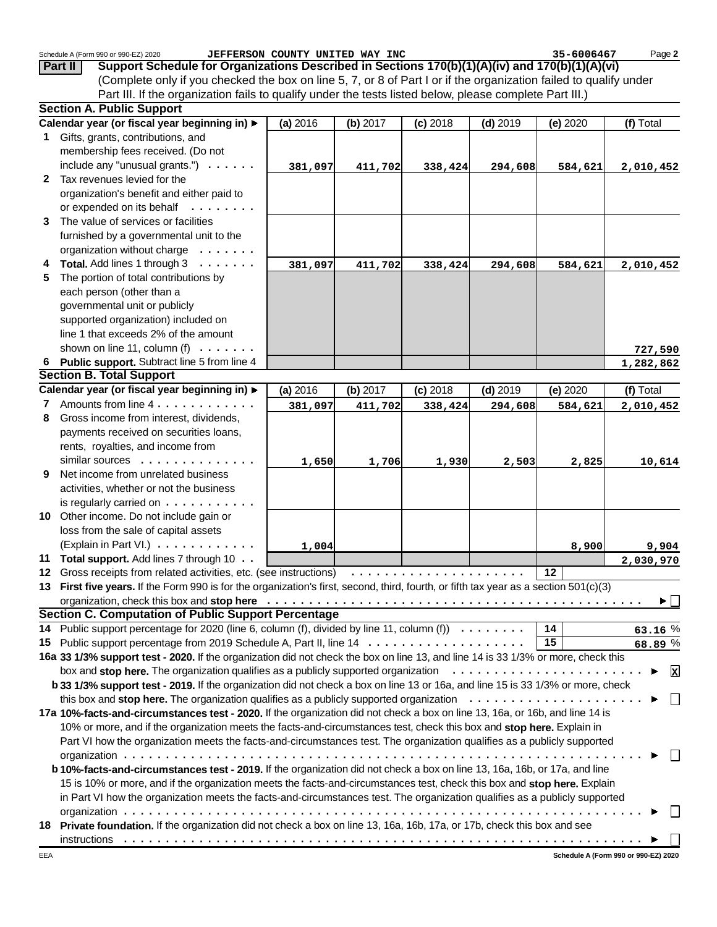|    | Schedule A (Form 990 or 990-EZ) 2020                                                                                                  | JEFFERSON COUNTY UNITED WAY INC |            |            |            | 35-6006467 | Page 2                                  |
|----|---------------------------------------------------------------------------------------------------------------------------------------|---------------------------------|------------|------------|------------|------------|-----------------------------------------|
|    | Support Schedule for Organizations Described in Sections 170(b)(1)(A)(iv) and 170(b)(1)(A)(vi)<br><b>Part II</b>                      |                                 |            |            |            |            |                                         |
|    | (Complete only if you checked the box on line 5, 7, or 8 of Part I or if the organization failed to qualify under                     |                                 |            |            |            |            |                                         |
|    | Part III. If the organization fails to qualify under the tests listed below, please complete Part III.)                               |                                 |            |            |            |            |                                         |
|    | <b>Section A. Public Support</b>                                                                                                      |                                 |            |            |            |            |                                         |
|    | Calendar year (or fiscal year beginning in) ▶                                                                                         | (a) 2016                        | (b) 2017   | $(c)$ 2018 | $(d)$ 2019 | (e) 2020   | (f) Total                               |
|    | 1 Gifts, grants, contributions, and                                                                                                   |                                 |            |            |            |            |                                         |
|    | membership fees received. (Do not                                                                                                     |                                 |            |            |            |            |                                         |
|    | include any "unusual grants.") $\cdots$ .                                                                                             | 381,097                         | 411,702    | 338,424    | 294,608    | 584,621    | 2,010,452                               |
|    | 2 Tax revenues levied for the                                                                                                         |                                 |            |            |            |            |                                         |
|    | organization's benefit and either paid to                                                                                             |                                 |            |            |            |            |                                         |
|    | or expended on its behalf                                                                                                             |                                 |            |            |            |            |                                         |
| 3  | The value of services or facilities                                                                                                   |                                 |            |            |            |            |                                         |
|    | furnished by a governmental unit to the                                                                                               |                                 |            |            |            |            |                                         |
|    | organization without charge                                                                                                           |                                 |            |            |            |            |                                         |
| 4  | Total. Add lines 1 through 3                                                                                                          | 381,097                         | 411,702    | 338,424    | 294,608    | 584,621    | 2,010,452                               |
| 5  | The portion of total contributions by                                                                                                 |                                 |            |            |            |            |                                         |
|    | each person (other than a                                                                                                             |                                 |            |            |            |            |                                         |
|    | governmental unit or publicly                                                                                                         |                                 |            |            |            |            |                                         |
|    | supported organization) included on                                                                                                   |                                 |            |            |            |            |                                         |
|    | line 1 that exceeds 2% of the amount                                                                                                  |                                 |            |            |            |            |                                         |
|    | shown on line 11, column (f) $\ldots$                                                                                                 |                                 |            |            |            |            | 727,590                                 |
|    | 6 Public support. Subtract line 5 from line 4                                                                                         |                                 |            |            |            |            | 1,282,862                               |
|    | <b>Section B. Total Support</b>                                                                                                       |                                 |            |            |            |            |                                         |
|    | Calendar year (or fiscal year beginning in) ▶                                                                                         | (a) 2016                        | $(b)$ 2017 | $(c)$ 2018 | $(d)$ 2019 | (e) 2020   | (f) Total                               |
|    | 7 Amounts from line 4                                                                                                                 | 381,097                         | 411,702    | 338,424    | 294,608    | 584,621    | 2,010,452                               |
| 8  | Gross income from interest, dividends,                                                                                                |                                 |            |            |            |            |                                         |
|    | payments received on securities loans,                                                                                                |                                 |            |            |            |            |                                         |
|    | rents, royalties, and income from                                                                                                     |                                 |            |            |            |            |                                         |
|    | similar sources                                                                                                                       | 1,650                           | 1,706      | 1,930      | 2,503      | 2,825      | 10,614                                  |
| 9. | Net income from unrelated business                                                                                                    |                                 |            |            |            |            |                                         |
|    | activities, whether or not the business                                                                                               |                                 |            |            |            |            |                                         |
|    | is regularly carried on $\dots \dots \dots$                                                                                           |                                 |            |            |            |            |                                         |
|    | 10 Other income. Do not include gain or                                                                                               |                                 |            |            |            |            |                                         |
|    | loss from the sale of capital assets                                                                                                  |                                 |            |            |            |            |                                         |
|    | (Explain in Part VI.)                                                                                                                 | 1,004                           |            |            |            | 8,900      | 9,904                                   |
|    | 11 Total support. Add lines 7 through 10                                                                                              |                                 |            |            |            |            | 2,030,970                               |
|    |                                                                                                                                       |                                 |            |            |            |            |                                         |
|    | 13 First five years. If the Form 990 is for the organization's first, second, third, fourth, or fifth tax year as a section 501(c)(3) |                                 |            |            |            |            |                                         |
|    |                                                                                                                                       |                                 |            |            |            |            | $\blacktriangleright$ $\mid \; \; \mid$ |
|    | <b>Section C. Computation of Public Support Percentage</b>                                                                            |                                 |            |            |            |            |                                         |
|    | 14 Public support percentage for 2020 (line 6, column (f), divided by line 11, column (f) $\ldots \ldots$                             |                                 |            |            |            | 14         | 63.16 %                                 |
|    |                                                                                                                                       |                                 |            |            |            | 15         | 68.89 %                                 |
|    | 16a 33 1/3% support test - 2020. If the organization did not check the box on line 13, and line 14 is 33 1/3% or more, check this     |                                 |            |            |            |            |                                         |
|    | box and stop here. The organization qualifies as a publicly supported organization $\cdots \cdots \cdots \cdots \cdots \cdots \cdots$ |                                 |            |            |            |            | $\mathbf x$                             |
|    | b 33 1/3% support test - 2019. If the organization did not check a box on line 13 or 16a, and line 15 is 33 1/3% or more, check       |                                 |            |            |            |            |                                         |
|    | this box and stop here. The organization qualifies as a publicly supported organization $\ldots \ldots \ldots \ldots \ldots \ldots$   |                                 |            |            |            |            | $\Box$                                  |
|    | 17a 10%-facts-and-circumstances test - 2020. If the organization did not check a box on line 13, 16a, or 16b, and line 14 is          |                                 |            |            |            |            |                                         |
|    | 10% or more, and if the organization meets the facts-and-circumstances test, check this box and stop here. Explain in                 |                                 |            |            |            |            |                                         |
|    | Part VI how the organization meets the facts-and-circumstances test. The organization qualifies as a publicly supported               |                                 |            |            |            |            |                                         |
|    |                                                                                                                                       |                                 |            |            |            |            |                                         |
|    | b 10%-facts-and-circumstances test - 2019. If the organization did not check a box on line 13, 16a, 16b, or 17a, and line             |                                 |            |            |            |            |                                         |
|    | 15 is 10% or more, and if the organization meets the facts-and-circumstances test, check this box and stop here. Explain              |                                 |            |            |            |            |                                         |
|    | in Part VI how the organization meets the facts-and-circumstances test. The organization qualifies as a publicly supported            |                                 |            |            |            |            |                                         |
|    |                                                                                                                                       |                                 |            |            |            |            |                                         |
|    | 18 Private foundation. If the organization did not check a box on line 13, 16a, 16b, 17a, or 17b, check this box and see              |                                 |            |            |            |            |                                         |
|    |                                                                                                                                       |                                 |            |            |            |            |                                         |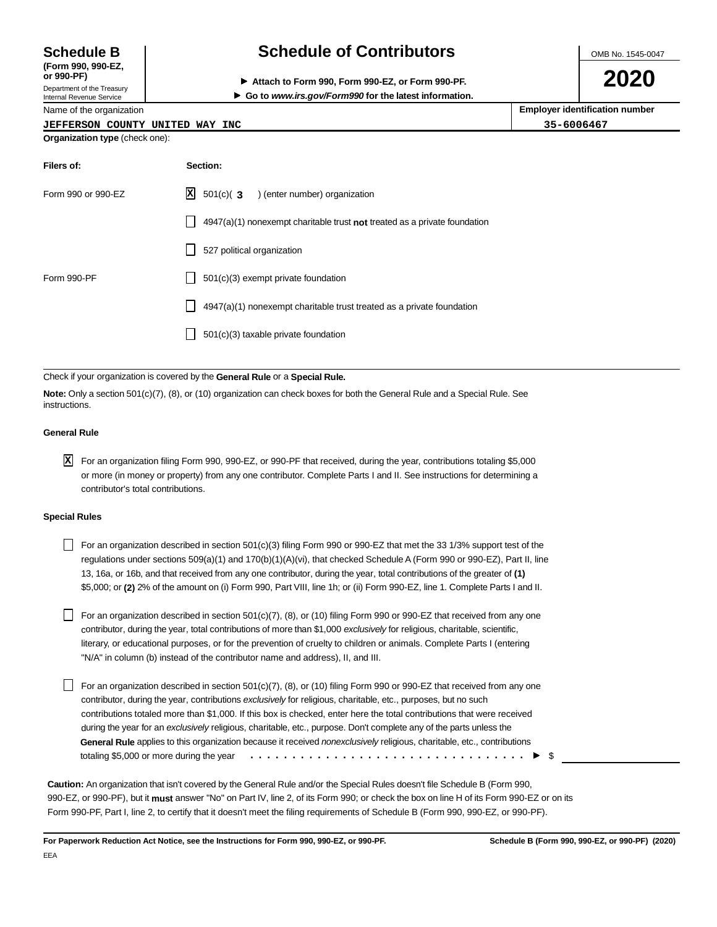**(Form 990, 990-EZ,**

Department of the Treasury Internal Revenue Service

Name of the organization

# **Schedule B Schedule of Contributors**

OMB No. 1545-0047

**or 990-PF) Attach to Form 990, Form 990-EZ, or Form 990-PF.**

**2020**

|  |  |  | Go to www.irs.gov/Form990 for the latest information. |  |
|--|--|--|-------------------------------------------------------|--|
|  |  |  |                                                       |  |

| Name of the organization              | <b>Employer identification number</b> |  |  |  |  |  |
|---------------------------------------|---------------------------------------|--|--|--|--|--|
| JEFFERSON COUNTY UNITED WAY INC       | 35-6006467                            |  |  |  |  |  |
| <b>Organization type (check one):</b> |                                       |  |  |  |  |  |

| Filers of:         | Section:                                                                    |
|--------------------|-----------------------------------------------------------------------------|
| Form 990 or 990-EZ | $\mathbf{X}$ 501(c)( 3 ) (enter number) organization                        |
|                    | $4947(a)(1)$ nonexempt charitable trust not treated as a private foundation |
|                    | 527 political organization                                                  |
| Form 990-PF        | 501(c)(3) exempt private foundation                                         |
|                    | 4947(a)(1) nonexempt charitable trust treated as a private foundation       |
|                    | 501(c)(3) taxable private foundation                                        |
|                    |                                                                             |

Check if your organization is covered by the **General Rule** or a **Special Rule.**

**Note:** Only a section 501(c)(7), (8), or (10) organization can check boxes for both the General Rule and a Special Rule. See instructions.

### **General Rule**

For an organization filing Form 990, 990-EZ, or 990-PF that received, during the year, contributions totaling \$5,000 **X**or more (in money or property) from any one contributor. Complete Parts I and II. See instructions for determining a contributor's total contributions.

### **Special Rules**

For an organization described in section  $501(c)(3)$  filing Form 990 or 990-EZ that met the 33 1/3% support test of the regulations under sections 509(a)(1) and 170(b)(1)(A)(vi), that checked Schedule A (Form 990 or 990-EZ), Part II, line 13, 16a, or 16b, and that received from any one contributor, during the year, total contributions of the greater of **(1)** \$5,000; or **(2)** 2% of the amount on (i) Form 990, Part VIII, line 1h; or (ii) Form 990-EZ, line 1. Complete Parts I and II.

For an organization described in section 501(c)(7), (8), or (10) filing Form 990 or 990-EZ that received from any one contributor, during the year, total contributions of more than \$1,000 *exclusively* for religious, charitable, scientific, literary, or educational purposes, or for the prevention of cruelty to children or animals. Complete Parts I (entering "N/A" in column (b) instead of the contributor name and address), II, and III.

For an organization described in section  $501(c)(7)$ , (8), or (10) filing Form 990 or 990-EZ that received from any one contributor, during the year, contributions *exclusively* for religious, charitable, etc., purposes, but no such contributions totaled more than \$1,000. If this box is checked, enter here the total contributions that were received during the year for an *exclusively* religious, charitable, etc., purpose. Don't complete any of the parts unless the **General Rule** applies to this organization because it received *nonexclusively* religious, charitable, etc., contributions totaling \$5,000 or more during the year  $\cdots \cdots \cdots \cdots$ 

**Caution:** An organization that isn't covered by the General Rule and/or the Special Rules doesn't file Schedule B (Form 990, 990-EZ, or 990-PF), but it **must** answer "No" on Part IV, line 2, of its Form 990; or check the box on line H of its Form 990-EZ or on its Form 990-PF, Part I, line 2, to certify that it doesn't meet the filing requirements of Schedule B (Form 990, 990-EZ, or 990-PF).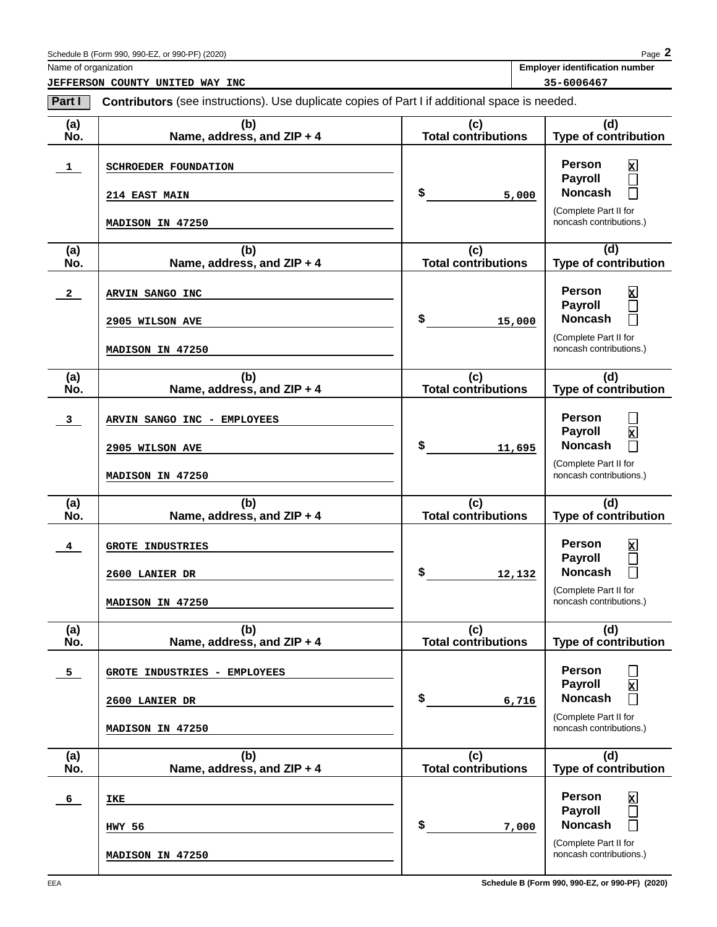Name of organization **Employer identification number Employer identification number** 

**JEFFERSON COUNTY UNITED WAY INC** 35-6006467

| Part I                  | Contributors (see instructions). Use duplicate copies of Part I if additional space is needed. |                                   |                                                                                                                                                |
|-------------------------|------------------------------------------------------------------------------------------------|-----------------------------------|------------------------------------------------------------------------------------------------------------------------------------------------|
| (a)<br>No.              | (b)<br>Name, address, and ZIP + 4                                                              | (c)<br><b>Total contributions</b> | (d)<br><b>Type of contribution</b>                                                                                                             |
| $\mathbf{1}$            | SCHROEDER FOUNDATION<br><b>214 EAST MAIN</b><br>MADISON IN 47250                               | \$<br>5,000                       | <b>Person</b><br>⊠<br><b>Payroll</b><br>$\mathcal{L}_{\mathcal{A}}$<br><b>Noncash</b><br>П<br>(Complete Part II for<br>noncash contributions.) |
| (a)<br>No.              | (b)<br>Name, address, and ZIP + 4                                                              | (c)<br><b>Total contributions</b> | (d)<br><b>Type of contribution</b>                                                                                                             |
| $\overline{2}$          | ARVIN SANGO INC<br>2905 WILSON AVE<br>MADISON IN 47250                                         | \$<br>15,000                      | <b>Person</b><br>⊠<br><b>Payroll</b><br>$\Box$<br><b>Noncash</b><br>П<br>(Complete Part II for<br>noncash contributions.)                      |
| (a)<br>No.              | (b)<br>Name, address, and ZIP + 4                                                              | (c)<br><b>Total contributions</b> | (d)<br><b>Type of contribution</b>                                                                                                             |
| $\overline{\mathbf{3}}$ | ARVIN SANGO INC - EMPLOYEES<br>2905 WILSON AVE<br>MADISON IN 47250                             | \$<br>11,695                      | <b>Person</b><br>⊠<br><b>Payroll</b><br><b>Noncash</b><br>П<br>(Complete Part II for<br>noncash contributions.)                                |
| (a)<br>No.              | (b)<br>Name, address, and ZIP + 4                                                              | (c)<br><b>Total contributions</b> | (d)<br><b>Type of contribution</b>                                                                                                             |
| $\overline{4}$          | <b>GROTE INDUSTRIES</b><br>2600 LANIER DR<br>MADISON IN 47250                                  | \$<br>12,132                      | <b>Person</b><br>⊠<br><b>Payroll</b><br>$\Box$<br><b>Noncash</b><br>П<br>(Complete Part II for<br>noncash contributions.)                      |
| (a)<br>No.              | (b)<br>Name, address, and ZIP + 4                                                              | (c)<br><b>Total contributions</b> | (d)<br><b>Type of contribution</b>                                                                                                             |
| 5                       | GROTE INDUSTRIES - EMPLOYEES<br>2600 LANIER DR<br>MADISON IN 47250                             | \$<br>6,716                       | <b>Person</b><br><b>Payroll</b><br>$\mathbf{x}$<br><b>Noncash</b><br>(Complete Part II for<br>noncash contributions.)                          |
| (a)<br>No.              | (b)<br>Name, address, and ZIP + 4                                                              | (c)<br><b>Total contributions</b> | (d)<br><b>Type of contribution</b>                                                                                                             |
| 6                       | IKE<br>HWY 56<br>MADISON IN 47250                                                              | \$<br>7,000                       | <b>Person</b><br>⊠<br><b>Payroll</b><br><b>Noncash</b><br>(Complete Part II for<br>noncash contributions.)                                     |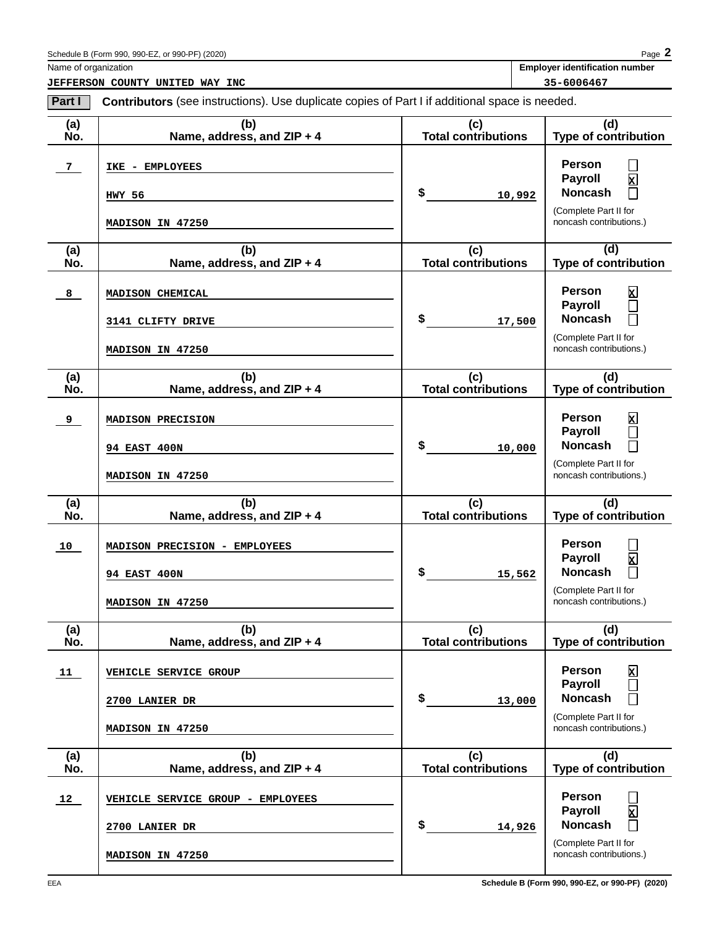**JEFFERSON COUNTY UNITED WAY INC** 35-6006467

Name of organization **Employer identification number Employer identification number** 

| Part I         | <b>Contributors</b> (see instructions). Use duplicate copies of Part I if additional space is needed. |                                   |                                                                                                                                       |  |  |
|----------------|-------------------------------------------------------------------------------------------------------|-----------------------------------|---------------------------------------------------------------------------------------------------------------------------------------|--|--|
| (a)<br>No.     | (b)<br>Name, address, and ZIP + 4                                                                     | (c)<br><b>Total contributions</b> | (d)<br><b>Type of contribution</b>                                                                                                    |  |  |
| 7 <sub>1</sub> | IKE - EMPLOYEES<br>HWY 56<br>MADISON IN 47250                                                         | \$<br>10,992                      | <b>Person</b><br>⊠<br><b>Payroll</b><br><b>Noncash</b><br>П<br>(Complete Part II for<br>noncash contributions.)                       |  |  |
| (a)<br>No.     | (b)<br>Name, address, and ZIP + 4                                                                     | (c)<br><b>Total contributions</b> | (d)<br><b>Type of contribution</b>                                                                                                    |  |  |
| 8              | MADISON CHEMICAL<br>3141 CLIFTY DRIVE<br>MADISON IN 47250                                             | \$<br>17,500                      | <b>Person</b><br>⊠<br><b>Payroll</b><br>П<br><b>Noncash</b><br>П<br>(Complete Part II for<br>noncash contributions.)                  |  |  |
| (a)<br>No.     | (b)<br>Name, address, and ZIP + 4                                                                     | (c)<br><b>Total contributions</b> | (d)<br><b>Type of contribution</b>                                                                                                    |  |  |
| 9              | MADISON PRECISION<br><b>94 EAST 400N</b><br>MADISON IN 47250                                          | \$<br>10,000                      | <b>Person</b><br>⊠<br><b>Payroll</b><br>П<br><b>Noncash</b><br>П<br>(Complete Part II for<br>noncash contributions.)                  |  |  |
| (a)<br>No.     | (b)<br>Name, address, and ZIP + 4                                                                     | (c)<br><b>Total contributions</b> | (d)<br><b>Type of contribution</b>                                                                                                    |  |  |
| 10             | MADISON PRECISION - EMPLOYEES<br><b>94 EAST 400N</b><br>MADISON IN 47250                              | \$<br>15,562                      | <b>Person</b><br>$\overline{\mathbf{x}}$<br><b>Payroll</b><br><b>Noncash</b><br>П<br>(Complete Part II for<br>noncash contributions.) |  |  |
| (a)<br>No.     | (b)<br>Name, address, and $ZIP + 4$                                                                   | (c)<br><b>Total contributions</b> | (d)<br><b>Type of contribution</b>                                                                                                    |  |  |
| 11             | VEHICLE SERVICE GROUP<br>2700 LANIER DR<br>MADISON IN 47250                                           | \$<br>13,000                      | <b>Person</b><br>⊠<br><b>Payroll</b><br><b>Noncash</b><br>(Complete Part II for<br>noncash contributions.)                            |  |  |
| (a)<br>No.     | (b)<br>Name, address, and ZIP + 4                                                                     | (c)<br><b>Total contributions</b> | (d)<br><b>Type of contribution</b>                                                                                                    |  |  |
| 12             | VEHICLE SERVICE GROUP - EMPLOYEES<br>2700 LANIER DR<br>MADISON IN 47250                               | \$<br>14,926                      | <b>Person</b><br>⊠<br><b>Payroll</b><br><b>Noncash</b><br>(Complete Part II for<br>noncash contributions.)                            |  |  |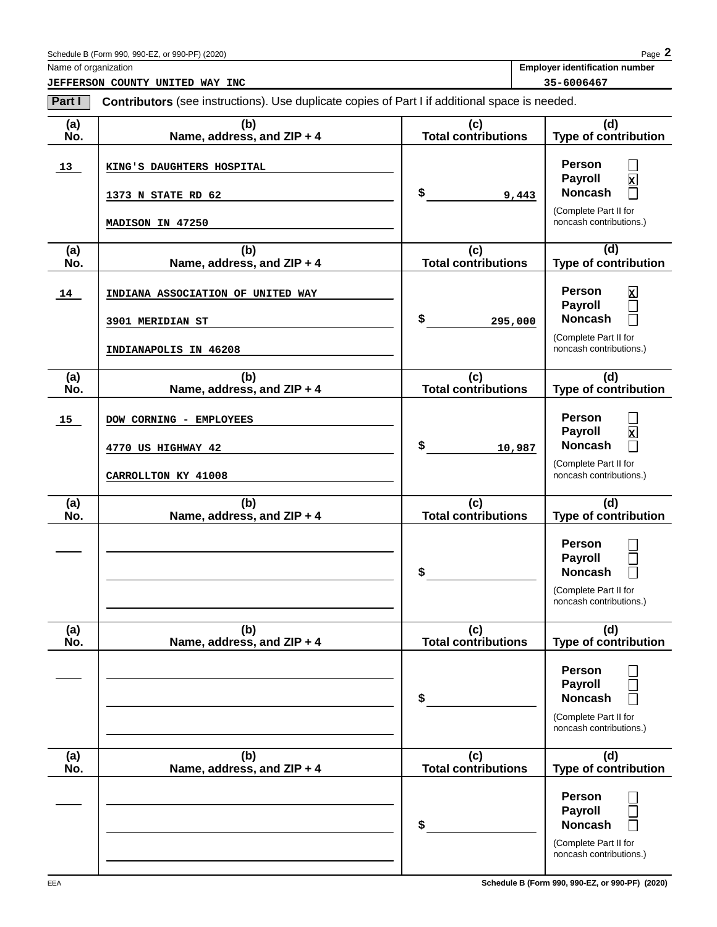Name of organization **Employer identification number Employer identification number** 

**JEFFERSON COUNTY UNITED WAY INC** 35-6006467

| Part I     | Contributors (see instructions). Use duplicate copies of Part I if additional space is needed. |                            |                                                                                                                            |  |  |  |  |
|------------|------------------------------------------------------------------------------------------------|----------------------------|----------------------------------------------------------------------------------------------------------------------------|--|--|--|--|
| (a)<br>Ńó. | (b)<br>Name, address, and ZIP + 4                                                              | (c)<br>Total contributions | (d)<br>Type of contribution                                                                                                |  |  |  |  |
| 13         | KING'S DAUGHTERS HOSPITAL<br>1373 N STATE RD 62<br>MADISON IN 47250                            | \$<br>9,443                | <b>Person</b><br>$\mathbf{z}$<br><b>Payroll</b><br><b>Noncash</b><br>П<br>(Complete Part II for<br>noncash contributions.) |  |  |  |  |
| (a)<br>No. | (b)<br>Name, address, and ZIP + 4                                                              | (c)<br>Total contributions | (d)<br><b>Type of contribution</b>                                                                                         |  |  |  |  |
| 14         | INDIANA ASSOCIATION OF UNITED WAY<br>3901 MERIDIAN ST<br>INDIANAPOLIS IN 46208                 | \$<br>295,000              | <b>Person</b><br>$\mathbf{z}$<br>Payroll<br><b>Noncash</b><br>(Complete Part II for<br>noncash contributions.)             |  |  |  |  |
| (a)<br>No. | (b)<br>Name, address, and ZIP + 4                                                              | (c)<br>Total contributions | (d)<br><b>Type of contribution</b>                                                                                         |  |  |  |  |
| 15         | DOW CORNING - EMPLOYEES<br>4770 US HIGHWAY 42<br>CARROLLTON KY 41008                           | \$<br>10,987               | <b>Person</b><br>$\mathbf{z}$<br>Payroll<br><b>Noncash</b><br>$\Box$<br>(Complete Part II for<br>noncash contributions.)   |  |  |  |  |
| (a)<br>Ñó. | (b)<br>Name, address, and ZIP + 4                                                              | (c)<br>Total contributions | (d)<br>Type of contribution                                                                                                |  |  |  |  |
|            |                                                                                                | \$                         | <b>Person</b><br>Payroll<br><b>Noncash</b><br>(Complete Part II for<br>noncash contributions.)                             |  |  |  |  |
| (a)<br>No. | (b)<br>Name, address, and ZIP + 4                                                              | (c)<br>Total contributions | (d)<br>Type of contribution                                                                                                |  |  |  |  |
|            |                                                                                                | \$                         | <b>Person</b><br><b>Payroll</b><br><b>Noncash</b><br>(Complete Part II for<br>noncash contributions.)                      |  |  |  |  |
| (a)<br>No. | (b)<br>Name, address, and ZIP + 4                                                              | (c)<br>Total contributions | (d)<br><b>Type of contribution</b>                                                                                         |  |  |  |  |
|            |                                                                                                | \$                         | <b>Person</b><br><b>Payroll</b><br><b>Noncash</b><br>(Complete Part II for<br>noncash contributions.)                      |  |  |  |  |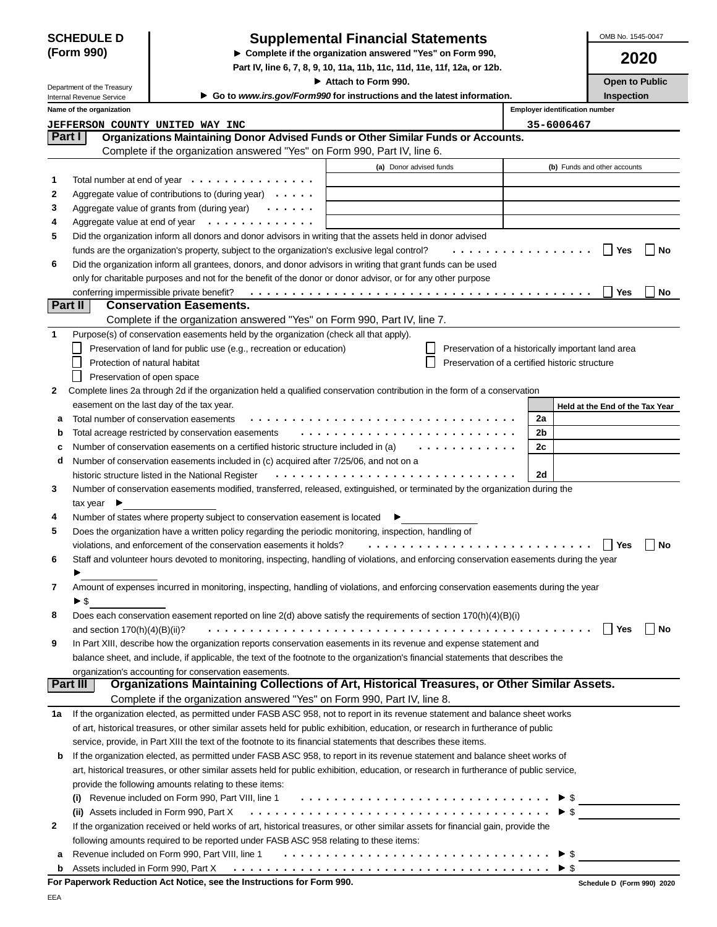| <b>SCHEDULE D</b> |  |
|-------------------|--|
| (Form 990)        |  |

## **Supplemental Financial Statements**

**Complete if the organization answered "Yes" on Form 990,**

**Part IV, line 6, 7, 8, 9, 10, 11a, 11b, 11c, 11d, 11e, 11f, 12a, or 12b.**

OMB No. 1545-0047

**2020**

 $\Box$  No

**Yes No**

**Yes No**

▶ Attach to Form 990. **Department of Attach to Form 990.** Open to Public **Inspection**

|              | Department of the Treasury |                                                                                                              | <b>F</b> Allach to Form 330.                                             |                                       | <b>UPBILIO</b>               |
|--------------|----------------------------|--------------------------------------------------------------------------------------------------------------|--------------------------------------------------------------------------|---------------------------------------|------------------------------|
|              | Internal Revenue Service   |                                                                                                              | ► Go to www.irs.gov/Form990 for instructions and the latest information. |                                       | Inspectio                    |
|              | Name of the organization   |                                                                                                              |                                                                          | <b>Employer identification number</b> |                              |
|              | <b>JEFFERSON</b>           | COUNTY UNITED<br>WAY INC                                                                                     |                                                                          | 35-6006467                            |                              |
|              | Part I                     | Organizations Maintaining Donor Advised Funds or Other Similar Funds or Accounts.                            |                                                                          |                                       |                              |
|              |                            | Complete if the organization answered "Yes" on Form 990, Part IV, line 6.                                    |                                                                          |                                       |                              |
|              |                            |                                                                                                              | (a) Donor advised funds                                                  |                                       | (b) Funds and other accounts |
|              |                            | Total number at end of year $\cdots$                                                                         |                                                                          |                                       |                              |
| $\mathbf{2}$ |                            | Aggregate value of contributions to (during year) $\cdots$                                                   |                                                                          |                                       |                              |
| 3            |                            | Aggregate value of grants from (during year) $\cdots$                                                        |                                                                          |                                       |                              |
| 4            |                            | Aggregate value at end of year $\cdots$                                                                      |                                                                          |                                       |                              |
| 5            |                            | Did the organization inform all donors and donor advisors in writing that the assets held in donor advised   |                                                                          |                                       |                              |
|              |                            | funds are the organization's property, subject to the organization's exclusive legal control?                |                                                                          | .                                     | Yes                          |
| 6            |                            | Did the organization inform all grantees, donors, and donor advisors in writing that grant funds can be used |                                                                          |                                       |                              |

**Part II Conservation Easements. 6** only for charitable purposes and not for the benefit of the donor or donor advisor, or for any other purpose conferring impermissible private benefit? . . . . . . . . . . . . . . . . . . . . . . . . . . . . . . . . . . . . . . . . .

|   | <u>. artii</u><br>CONSERVATION LASCINGINS.                                                                                                |  |                                                |           |                                                    |    |
|---|-------------------------------------------------------------------------------------------------------------------------------------------|--|------------------------------------------------|-----------|----------------------------------------------------|----|
|   | Complete if the organization answered "Yes" on Form 990, Part IV, line 7.                                                                 |  |                                                |           |                                                    |    |
|   | Purpose(s) of conservation easements held by the organization (check all that apply).                                                     |  |                                                |           |                                                    |    |
|   | Preservation of land for public use (e.g., recreation or education)                                                                       |  |                                                |           | Preservation of a historically important land area |    |
|   | Protection of natural habitat                                                                                                             |  | Preservation of a certified historic structure |           |                                                    |    |
|   | Preservation of open space                                                                                                                |  |                                                |           |                                                    |    |
| 2 | Complete lines 2a through 2d if the organization held a qualified conservation contribution in the form of a conservation                 |  |                                                |           |                                                    |    |
|   | easement on the last day of the tax year.                                                                                                 |  |                                                |           | Held at the End of the Tax Year                    |    |
| а | Total number of conservation easements                                                                                                    |  |                                                | 2a        |                                                    |    |
| b | Total acreage restricted by conservation easements                                                                                        |  |                                                | <b>2b</b> |                                                    |    |
|   | Number of conservation easements on a certified historic structure included in (a)                                                        |  |                                                | 2c        |                                                    |    |
| d | Number of conservation easements included in (c) acquired after 7/25/06, and not on a                                                     |  |                                                |           |                                                    |    |
|   | historic structure listed in the National Register                                                                                        |  |                                                | 2d        |                                                    |    |
| 3 | Number of conservation easements modified, transferred, released, extinguished, or terminated by the organization during the              |  |                                                |           |                                                    |    |
|   | tax year                                                                                                                                  |  |                                                |           |                                                    |    |
| 4 | Number of states where property subject to conservation easement is located                                                               |  |                                                |           |                                                    |    |
| 5 | Does the organization have a written policy regarding the periodic monitoring, inspection, handling of                                    |  |                                                |           |                                                    |    |
|   | violations, and enforcement of the conservation easements it holds?                                                                       |  |                                                |           | Yes                                                | No |
| 6 | Staff and volunteer hours devoted to monitoring, inspecting, handling of violations, and enforcing conservation easements during the year |  |                                                |           |                                                    |    |
|   |                                                                                                                                           |  |                                                |           |                                                    |    |
| 7 | Amount of expenses incurred in monitoring, inspecting, handling of violations, and enforcing conservation easements during the year       |  |                                                |           |                                                    |    |
|   |                                                                                                                                           |  |                                                |           |                                                    |    |
|   | Does each consequation operator reported on $\lim_{\Delta t \to 0} 2(d)$ above satisfy the requirements of section 170(b)(d)(d)(e)(i)     |  |                                                |           |                                                    |    |

| 8 | Does each conservation easement reported on line $2(d)$ above satisfy the requirements of section 170(h)(4)(B)(i)                 |  |
|---|-----------------------------------------------------------------------------------------------------------------------------------|--|
|   |                                                                                                                                   |  |
|   | 9 In Part XIII, describe how the organization reports conservation easements in its revenue and expense statement and             |  |
|   | balance sheet, and include, if applicable, the text of the footnote to the organization's financial statements that describes the |  |

organization's accounting for conservation easements.

| Part III | Organizations Maintaining Collections of Art, Historical Treasures, or Other Similar Assets. |  |
|----------|----------------------------------------------------------------------------------------------|--|
|          | Complete if the organization answered "Yes" on Form 990, Part IV, line 8.                    |  |

| 1a l | If the organization elected, as permitted under FASB ASC 958, not to report in its revenue statement and balance sheet works      |
|------|-----------------------------------------------------------------------------------------------------------------------------------|
|      | of art, historical treasures, or other similar assets held for public exhibition, education, or research in furtherance of public |
|      | service, provide, in Part XIII the text of the footnote to its financial statements that describes these items.                   |
| b.   | If the organization elected, as permitted under FASB ASC 958, to report in its revenue statement and balance sheet works of       |

art, historical treasures, or other similar assets held for public exhibition, education, or research in furtherance of public service, provide the following amounts relating to these items: . . . . . . . . . . . . . . . . . . . . . . . . . . . . . .

| 2 If the organization received or held works of art, historical treasures, or other similar assets for financial gain, provide the                                  |
|---------------------------------------------------------------------------------------------------------------------------------------------------------------------|
| following amounts required to be reported under FASB ASC 958 relating to these items:                                                                               |
| <b>a</b> Revenue included on Form 990, Part VIII, line 1 $\cdots \cdots \cdots \cdots \cdots \cdots \cdots \cdots \cdots \cdots$                                    |
| <b>b</b> Assets included in Form 990, Part $X$ $\cdots$ $\cdots$ $\cdots$ $\cdots$ $\cdots$ $\cdots$ $\cdots$ $\cdots$ $\cdots$ $\cdots$ $\cdots$ $\cdots$ $\cdots$ |

**For Paperwork Reduction Act Notice, see the Instructions for Form 990.**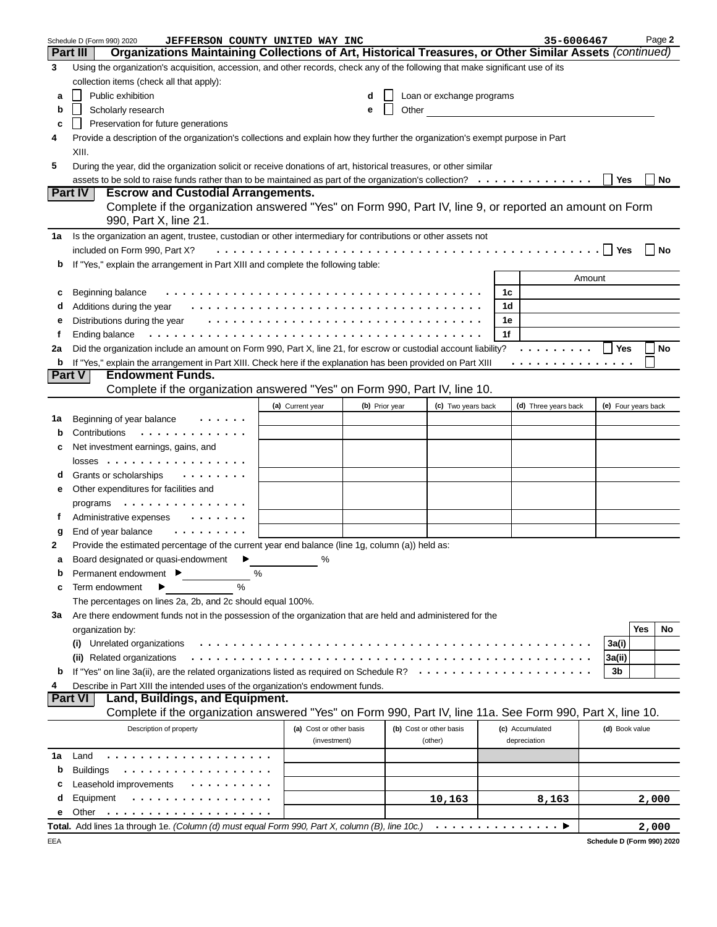|     | Schedule D (Form 990) 2020<br>JEFFERSON COUNTY UNITED WAY INC                                                                   |                         |   |                |                           |    | 35-6006467           |                     | Page 2                     |
|-----|---------------------------------------------------------------------------------------------------------------------------------|-------------------------|---|----------------|---------------------------|----|----------------------|---------------------|----------------------------|
|     | Organizations Maintaining Collections of Art, Historical Treasures, or Other Similar Assets (continued)<br><b>Part III</b>      |                         |   |                |                           |    |                      |                     |                            |
| 3   | Using the organization's acquisition, accession, and other records, check any of the following that make significant use of its |                         |   |                |                           |    |                      |                     |                            |
|     | collection items (check all that apply):                                                                                        |                         |   |                |                           |    |                      |                     |                            |
| а   | Public exhibition                                                                                                               |                         | d |                | Loan or exchange programs |    |                      |                     |                            |
| b   | Scholarly research                                                                                                              |                         | е | Other          |                           |    |                      |                     |                            |
|     |                                                                                                                                 |                         |   |                |                           |    |                      |                     |                            |
| c   | Preservation for future generations                                                                                             |                         |   |                |                           |    |                      |                     |                            |
| 4   | Provide a description of the organization's collections and explain how they further the organization's exempt purpose in Part  |                         |   |                |                           |    |                      |                     |                            |
|     | XIII.                                                                                                                           |                         |   |                |                           |    |                      |                     |                            |
| 5   | During the year, did the organization solicit or receive donations of art, historical treasures, or other similar               |                         |   |                |                           |    |                      |                     |                            |
|     | assets to be sold to raise funds rather than to be maintained as part of the organization's collection?                         |                         |   |                |                           |    |                      | Yes                 | No                         |
|     | <b>Escrow and Custodial Arrangements.</b><br><b>Part IV</b>                                                                     |                         |   |                |                           |    |                      |                     |                            |
|     | Complete if the organization answered "Yes" on Form 990, Part IV, line 9, or reported an amount on Form                         |                         |   |                |                           |    |                      |                     |                            |
|     | 990, Part X, line 21.                                                                                                           |                         |   |                |                           |    |                      |                     |                            |
| 1a  | Is the organization an agent, trustee, custodian or other intermediary for contributions or other assets not                    |                         |   |                |                           |    |                      |                     |                            |
|     | included on Form 990, Part X?                                                                                                   |                         |   |                |                           |    |                      | l Yes               | No                         |
|     | If "Yes," explain the arrangement in Part XIII and complete the following table:                                                |                         |   |                |                           |    |                      |                     |                            |
| b   |                                                                                                                                 |                         |   |                |                           |    |                      |                     |                            |
|     |                                                                                                                                 |                         |   |                |                           |    |                      | Amount              |                            |
| с   | Beginning balance                                                                                                               |                         |   |                |                           | 1c |                      |                     |                            |
| d   | Additions during the year                                                                                                       |                         |   |                |                           | 1d |                      |                     |                            |
| е   | Distributions during the year                                                                                                   |                         |   |                |                           | 1e |                      |                     |                            |
| f   | Ending balance                                                                                                                  |                         |   |                |                           | 1f |                      |                     |                            |
| 2a  | Did the organization include an amount on Form 990, Part X, line 21, for escrow or custodial account liability?                 |                         |   |                |                           |    | .                    | Yes                 | No                         |
| b   | If "Yes," explain the arrangement in Part XIII. Check here if the explanation has been provided on Part XIII                    |                         |   |                |                           |    | .                    |                     |                            |
|     | <b>Endowment Funds.</b><br><b>Part V</b>                                                                                        |                         |   |                |                           |    |                      |                     |                            |
|     | Complete if the organization answered "Yes" on Form 990, Part IV, line 10.                                                      |                         |   |                |                           |    |                      |                     |                            |
|     |                                                                                                                                 | (a) Current year        |   | (b) Prior year | (c) Two years back        |    | (d) Three years back | (e) Four years back |                            |
| 1a  | Beginning of year balance                                                                                                       |                         |   |                |                           |    |                      |                     |                            |
| b   | Contributions<br>.                                                                                                              |                         |   |                |                           |    |                      |                     |                            |
|     |                                                                                                                                 |                         |   |                |                           |    |                      |                     |                            |
| c   | Net investment earnings, gains, and                                                                                             |                         |   |                |                           |    |                      |                     |                            |
|     | $losses$                                                                                                                        |                         |   |                |                           |    |                      |                     |                            |
| d   | Grants or scholarships<br>.                                                                                                     |                         |   |                |                           |    |                      |                     |                            |
| е   | Other expenditures for facilities and                                                                                           |                         |   |                |                           |    |                      |                     |                            |
|     | programs $\dots \dots \dots \dots$                                                                                              |                         |   |                |                           |    |                      |                     |                            |
| t   | Administrative expenses                                                                                                         |                         |   |                |                           |    |                      |                     |                            |
| g   | End of year balance<br>.                                                                                                        |                         |   |                |                           |    |                      |                     |                            |
| 2   | Provide the estimated percentage of the current year end balance (line 1g, column (a)) held as:                                 |                         |   |                |                           |    |                      |                     |                            |
|     | Board designated or quasi-endowment $\blacktriangleright$                                                                       | %                       |   |                |                           |    |                      |                     |                            |
| b   | %<br>Permanent endowment ▶                                                                                                      |                         |   |                |                           |    |                      |                     |                            |
| c   | $\frac{0}{0}$<br>Term endowment                                                                                                 |                         |   |                |                           |    |                      |                     |                            |
|     |                                                                                                                                 |                         |   |                |                           |    |                      |                     |                            |
|     | The percentages on lines 2a, 2b, and 2c should equal 100%.                                                                      |                         |   |                |                           |    |                      |                     |                            |
| за  | Are there endowment funds not in the possession of the organization that are held and administered for the                      |                         |   |                |                           |    |                      |                     |                            |
|     | organization by:                                                                                                                |                         |   |                |                           |    |                      |                     | Yes<br>No                  |
|     | Unrelated organizations<br>$\mathbf{u}$                                                                                         |                         |   |                |                           |    |                      | 3a(i)               |                            |
|     | (ii) Related organizations                                                                                                      |                         |   |                |                           |    |                      | 3a(ii)              |                            |
| b   | If "Yes" on line 3a(ii), are the related organizations listed as required on Schedule R?                                        |                         |   |                | .                         |    |                      | 3b                  |                            |
| 4   | Describe in Part XIII the intended uses of the organization's endowment funds.                                                  |                         |   |                |                           |    |                      |                     |                            |
|     | Land, Buildings, and Equipment.<br><b>Part VI</b>                                                                               |                         |   |                |                           |    |                      |                     |                            |
|     | Complete if the organization answered "Yes" on Form 990, Part IV, line 11a. See Form 990, Part X, line 10.                      |                         |   |                |                           |    |                      |                     |                            |
|     | Description of property                                                                                                         | (a) Cost or other basis |   |                | (b) Cost or other basis   |    | (c) Accumulated      | (d) Book value      |                            |
|     |                                                                                                                                 | (investment)            |   |                | (other)                   |    | depreciation         |                     |                            |
| 1a  | Land                                                                                                                            |                         |   |                |                           |    |                      |                     |                            |
|     |                                                                                                                                 |                         |   |                |                           |    |                      |                     |                            |
| b   | <b>Buildings</b>                                                                                                                |                         |   |                |                           |    |                      |                     |                            |
| c   | Leasehold improvements                                                                                                          |                         |   |                |                           |    |                      |                     |                            |
| d   | Equipment                                                                                                                       |                         |   |                | 10,163                    |    | 8,163                |                     | 2,000                      |
| е   | Other                                                                                                                           |                         |   |                |                           |    |                      |                     |                            |
|     | Total. Add lines 1a through 1e. (Column (d) must equal Form 990, Part X, column (B), line 10c.)                                 |                         |   |                |                           |    | .                    |                     | 2,000                      |
| EEA |                                                                                                                                 |                         |   |                |                           |    |                      |                     | Schedule D (Form 990) 2020 |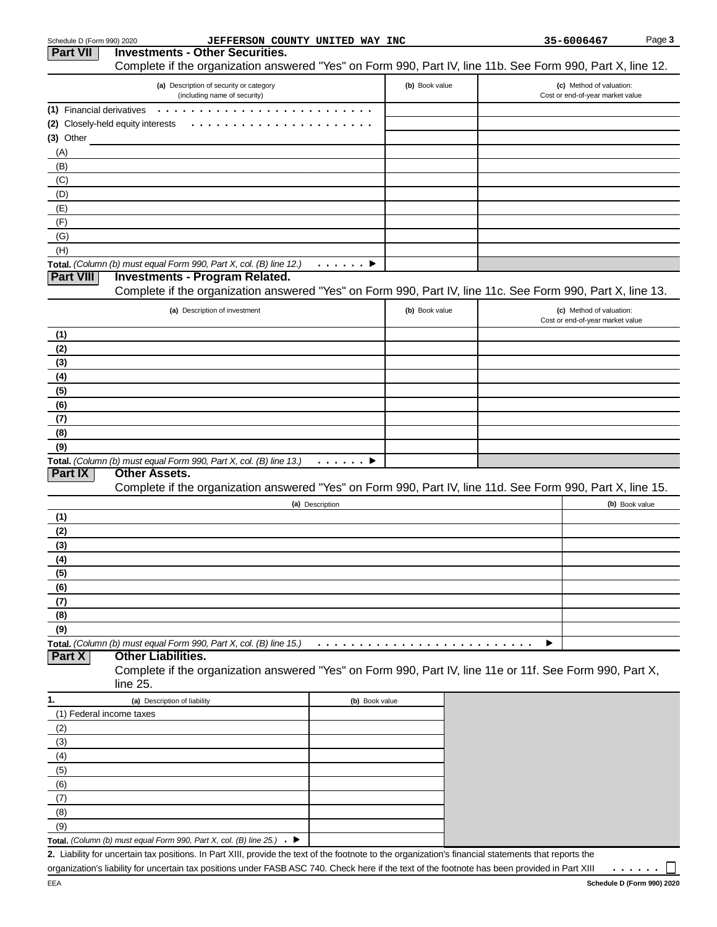| Schedule D (Form 990) 2020 | <b>JEFFERSON COUNTY UNITED WAY INC</b>                                                                                                               |                |                |  | 35-6006467                                                   | Page 3         |
|----------------------------|------------------------------------------------------------------------------------------------------------------------------------------------------|----------------|----------------|--|--------------------------------------------------------------|----------------|
| <b>Part VII</b>            | <b>Investments - Other Securities.</b><br>Complete if the organization answered "Yes" on Form 990, Part IV, line 11b. See Form 990, Part X, line 12. |                |                |  |                                                              |                |
|                            | (a) Description of security or category<br>(including name of security)                                                                              |                | (b) Book value |  | (c) Method of valuation:<br>Cost or end-of-year market value |                |
| (1) Financial derivatives  |                                                                                                                                                      |                |                |  |                                                              |                |
|                            | (2) Closely-held equity interests                                                                                                                    |                |                |  |                                                              |                |
| $(3)$ Other                |                                                                                                                                                      |                |                |  |                                                              |                |
| (A)                        |                                                                                                                                                      |                |                |  |                                                              |                |
| (B)                        |                                                                                                                                                      |                |                |  |                                                              |                |
| (C)                        |                                                                                                                                                      |                |                |  |                                                              |                |
| (D)                        |                                                                                                                                                      |                |                |  |                                                              |                |
| (E)                        |                                                                                                                                                      |                |                |  |                                                              |                |
| (F)                        |                                                                                                                                                      |                |                |  |                                                              |                |
| (G)<br>(H)                 |                                                                                                                                                      |                |                |  |                                                              |                |
|                            | Total. (Column (b) must equal Form 990, Part X, col. (B) line 12.)                                                                                   | . 9            |                |  |                                                              |                |
| <b>Part VIII</b>           | <b>Investments - Program Related.</b>                                                                                                                |                |                |  |                                                              |                |
|                            | Complete if the organization answered "Yes" on Form 990, Part IV, line 11c. See Form 990, Part X, line 13.                                           |                |                |  |                                                              |                |
|                            | (a) Description of investment                                                                                                                        |                | (b) Book value |  | (c) Method of valuation:                                     |                |
| (1)                        |                                                                                                                                                      |                |                |  | Cost or end-of-year market value                             |                |
| (2)                        |                                                                                                                                                      |                |                |  |                                                              |                |
| (3)                        |                                                                                                                                                      |                |                |  |                                                              |                |
| (4)                        |                                                                                                                                                      |                |                |  |                                                              |                |
| (5)                        |                                                                                                                                                      |                |                |  |                                                              |                |
| (6)                        |                                                                                                                                                      |                |                |  |                                                              |                |
| (7)                        |                                                                                                                                                      |                |                |  |                                                              |                |
| (8)                        |                                                                                                                                                      |                |                |  |                                                              |                |
| (9)                        |                                                                                                                                                      |                |                |  |                                                              |                |
|                            | Total. (Column (b) must equal Form 990, Part X, col. (B) line 13.)                                                                                   | . <b>.</b>     |                |  |                                                              |                |
| Part IX                    | <b>Other Assets.</b>                                                                                                                                 |                |                |  |                                                              |                |
|                            | Complete if the organization answered "Yes" on Form 990, Part IV, line 11d. See Form 990, Part X, line 15.                                           |                |                |  |                                                              |                |
|                            | (a) Description                                                                                                                                      |                |                |  |                                                              | (b) Book value |
| (1)<br>(2)                 |                                                                                                                                                      |                |                |  |                                                              |                |
| (3)                        |                                                                                                                                                      |                |                |  |                                                              |                |
| (4)                        |                                                                                                                                                      |                |                |  |                                                              |                |
| (5)                        |                                                                                                                                                      |                |                |  |                                                              |                |
| (6)                        |                                                                                                                                                      |                |                |  |                                                              |                |
| (7)                        |                                                                                                                                                      |                |                |  |                                                              |                |
| (8)                        |                                                                                                                                                      |                |                |  |                                                              |                |
| (9)                        |                                                                                                                                                      |                |                |  |                                                              |                |
|                            | Total. (Column (b) must equal Form 990, Part X, col. (B) line 15.)                                                                                   |                |                |  |                                                              |                |
| <b>Part X</b>              | <b>Other Liabilities.</b><br>Complete if the organization answered "Yes" on Form 990, Part IV, line 11e or 11f. See Form 990, Part X,                |                |                |  |                                                              |                |
|                            | line 25.                                                                                                                                             |                |                |  |                                                              |                |
| 1.                         | (a) Description of liability                                                                                                                         | (b) Book value |                |  |                                                              |                |
| (1) Federal income taxes   |                                                                                                                                                      |                |                |  |                                                              |                |
| (2)                        |                                                                                                                                                      |                |                |  |                                                              |                |
| (3)                        |                                                                                                                                                      |                |                |  |                                                              |                |
| (4)<br>(5)                 |                                                                                                                                                      |                |                |  |                                                              |                |
| (6)                        |                                                                                                                                                      |                |                |  |                                                              |                |
| (7)                        |                                                                                                                                                      |                |                |  |                                                              |                |
| (8)                        |                                                                                                                                                      |                |                |  |                                                              |                |
| (9)                        |                                                                                                                                                      |                |                |  |                                                              |                |
|                            | Total. (Column (b) must equal Form 990, Part X, col. (B) line 25.)<br>. е                                                                            |                |                |  |                                                              |                |
|                            | 2. Liability for uncertain tax positions. In Part XIII, provide the text of the footnote to the organization's financial statements that reports the |                |                |  |                                                              |                |
|                            | organization's liability for uncertain tax positions under FASB ASC 740. Check here if the text of the footnote has been provided in Part XIII       |                |                |  |                                                              |                |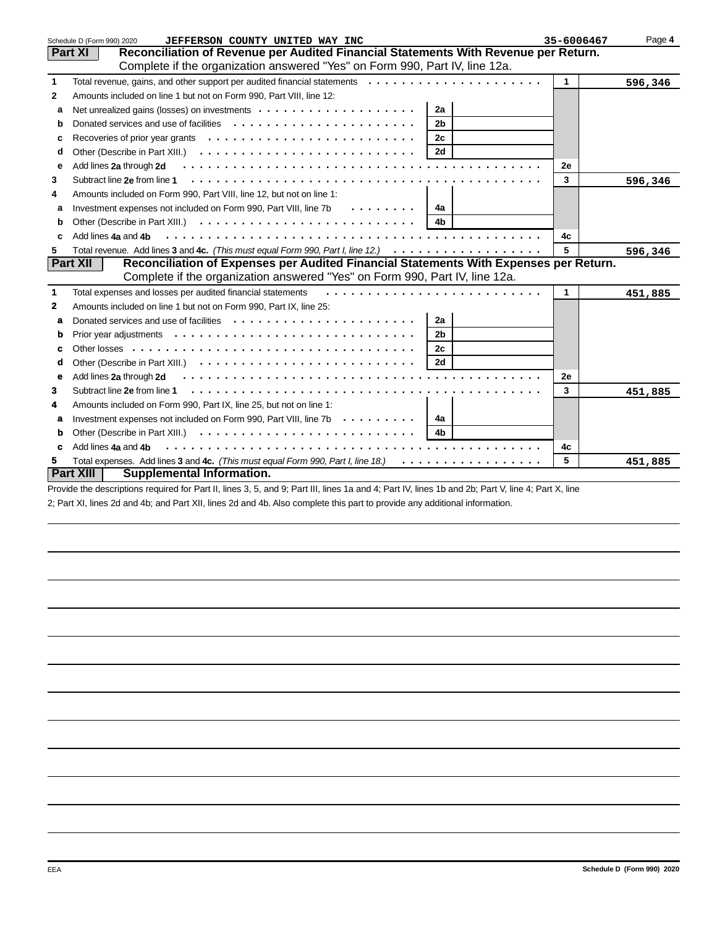|              | JEFFERSON COUNTY UNITED WAY INC<br>Schedule D (Form 990) 2020                                                                                                                                                 | 35-6006467 | Page 4  |
|--------------|---------------------------------------------------------------------------------------------------------------------------------------------------------------------------------------------------------------|------------|---------|
|              | Reconciliation of Revenue per Audited Financial Statements With Revenue per Return.<br><b>Part XI</b>                                                                                                         |            |         |
|              | Complete if the organization answered "Yes" on Form 990, Part IV, line 12a.                                                                                                                                   |            |         |
| $\mathbf{1}$ | Total revenue, gains, and other support per audited financial statements                                                                                                                                      | 1          | 596,346 |
| $\mathbf{2}$ | Amounts included on line 1 but not on Form 990, Part VIII, line 12:                                                                                                                                           |            |         |
| а            | 2a                                                                                                                                                                                                            |            |         |
| b            | Donated services and use of facilities $\cdots \cdots \cdots \cdots \cdots \cdots \cdots$<br>2 <sub>b</sub>                                                                                                   |            |         |
|              | 2c                                                                                                                                                                                                            |            |         |
| d            | 2d                                                                                                                                                                                                            |            |         |
| е            | Add lines 2a through 2d                                                                                                                                                                                       | 2е         |         |
| 3            | Subtract line 2e from line 1                                                                                                                                                                                  | 3          | 596,346 |
| 4            | Amounts included on Form 990, Part VIII, line 12, but not on line 1:                                                                                                                                          |            |         |
| а            | Investment expenses not included on Form 990, Part VIII, line 7b<br>$\mathbf{1} \cdot \mathbf{1} \cdot \mathbf{1} \cdot \mathbf{1} \cdot \mathbf{1} \cdot \mathbf{1} \cdot \mathbf{1} \cdot \mathbf{1}$<br>4a |            |         |
| b            | 4 <sub>b</sub>                                                                                                                                                                                                |            |         |
| C            | Add lines 4a and 4b                                                                                                                                                                                           | 4c         |         |
| 5            | Total revenue. Add lines 3 and 4c. (This must equal Form 990, Part I, line 12.) $\cdots \cdots \cdots \cdots \cdots$                                                                                          | 5          | 596,346 |
|              | Reconciliation of Expenses per Audited Financial Statements With Expenses per Return.<br><b>Part XII</b>                                                                                                      |            |         |
|              | Complete if the organization answered "Yes" on Form 990, Part IV, line 12a.                                                                                                                                   |            |         |
| 1            | Total expenses and losses per audited financial statements                                                                                                                                                    | 1          | 451,885 |
| $\mathbf{2}$ | Amounts included on line 1 but not on Form 990, Part IX, line 25:                                                                                                                                             |            |         |
| a            | Donated services and use of facilities $\cdots \cdots \cdots \cdots \cdots \cdots \cdots$<br>2a                                                                                                               |            |         |
| b            | 2 <sub>b</sub>                                                                                                                                                                                                |            |         |
| c            | 2c                                                                                                                                                                                                            |            |         |
| d            | 2d                                                                                                                                                                                                            |            |         |
| е            | Add lines 2a through 2d                                                                                                                                                                                       | 2е         |         |
| 3            | Subtract line 2e from line 1                                                                                                                                                                                  | 3          | 451,885 |
| 4            | Amounts included on Form 990, Part IX, line 25, but not on line 1:                                                                                                                                            |            |         |
| a            | Investment expenses not included on Form 990, Part VIII, line 7b<br>4a                                                                                                                                        |            |         |
| b            | 4 <sub>b</sub>                                                                                                                                                                                                |            |         |
| c            | Add lines 4a and 4b                                                                                                                                                                                           | 4c         |         |
| 5.           | Total expenses. Add lines 3 and 4c. (This must equal Form 990, Part I, line 18.)<br>.                                                                                                                         | 5          | 451,885 |
|              | <b>Part XIII</b><br>Supplemental Information.                                                                                                                                                                 |            |         |

Provide the descriptions required for Part II, lines 3, 5, and 9; Part III, lines 1a and 4; Part IV, lines 1b and 2b; Part V, line 4; Part X, line 2; Part XI, lines 2d and 4b; and Part XII, lines 2d and 4b. Also complete this part to provide any additional information.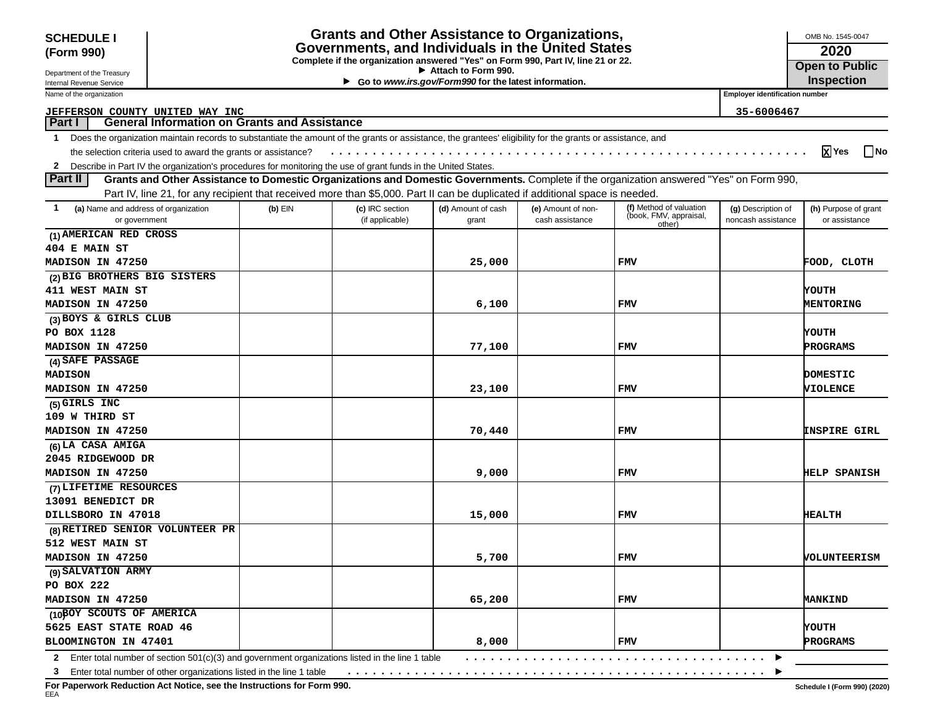| <b>Grants and Other Assistance to Organizations,</b><br><b>SCHEDULE I</b>                                                                                  |                                                                                                                                                            |                                                                                                                               |                 |                       |                    |                                  |                     | OMB No. 1545-0047          |  |
|------------------------------------------------------------------------------------------------------------------------------------------------------------|------------------------------------------------------------------------------------------------------------------------------------------------------------|-------------------------------------------------------------------------------------------------------------------------------|-----------------|-----------------------|--------------------|----------------------------------|---------------------|----------------------------|--|
| (Form 990)                                                                                                                                                 |                                                                                                                                                            | Governments, and Individuals in the United States                                                                             |                 | 2020                  |                    |                                  |                     |                            |  |
|                                                                                                                                                            |                                                                                                                                                            | Complete if the organization answered "Yes" on Form 990, Part IV, line 21 or 22.                                              |                 | <b>Open to Public</b> |                    |                                  |                     |                            |  |
| Attach to Form 990.<br>Department of the Treasury<br>Go to www.irs.gov/Form990 for the latest information.<br>Internal Revenue Service                     |                                                                                                                                                            |                                                                                                                               |                 |                       |                    |                                  |                     | <b>Inspection</b>          |  |
| <b>Employer identification number</b><br>Name of the organization                                                                                          |                                                                                                                                                            |                                                                                                                               |                 |                       |                    |                                  |                     |                            |  |
|                                                                                                                                                            |                                                                                                                                                            |                                                                                                                               |                 |                       |                    |                                  |                     |                            |  |
| <u>JEFFERSON COUNTY UNITED WAY INC</u><br>35-6006467<br><b>General Information on Grants and Assistance</b><br><b>Part I</b>                               |                                                                                                                                                            |                                                                                                                               |                 |                       |                    |                                  |                     |                            |  |
| $\mathbf 1$                                                                                                                                                | Does the organization maintain records to substantiate the amount of the grants or assistance, the grantees' eligibility for the grants or assistance, and |                                                                                                                               |                 |                       |                    |                                  |                     |                            |  |
|                                                                                                                                                            | $x$ Yes<br> No<br>the selection criteria used to award the grants or assistance?                                                                           |                                                                                                                               |                 |                       |                    |                                  |                     |                            |  |
|                                                                                                                                                            | 2 Describe in Part IV the organization's procedures for monitoring the use of grant funds in the United States.                                            |                                                                                                                               |                 |                       |                    |                                  |                     |                            |  |
| Grants and Other Assistance to Domestic Organizations and Domestic Governments. Complete if the organization answered "Yes" on Form 990,<br><b>Part II</b> |                                                                                                                                                            |                                                                                                                               |                 |                       |                    |                                  |                     |                            |  |
|                                                                                                                                                            |                                                                                                                                                            | Part IV, line 21, for any recipient that received more than \$5,000. Part II can be duplicated if additional space is needed. |                 |                       |                    |                                  |                     |                            |  |
| (a) Name and address of organization                                                                                                                       |                                                                                                                                                            | $(b)$ EIN                                                                                                                     | (c) IRC section | (d) Amount of cash    | (e) Amount of non- | (f) Method of valuation          | (g) Description of  | (h) Purpose of grant       |  |
| or government                                                                                                                                              |                                                                                                                                                            |                                                                                                                               | (if applicable) | grant                 | cash assistance    | (book, FMV, appraisal,<br>other) | noncash assistance  | or assistance              |  |
| (1) AMERICAN RED CROSS                                                                                                                                     |                                                                                                                                                            |                                                                                                                               |                 |                       |                    |                                  |                     |                            |  |
| <b>404 E MAIN ST</b>                                                                                                                                       |                                                                                                                                                            |                                                                                                                               |                 |                       |                    |                                  |                     |                            |  |
| MADISON IN 47250                                                                                                                                           |                                                                                                                                                            |                                                                                                                               |                 | 25,000                |                    | <b>FMV</b>                       |                     | FOOD, CLOTH                |  |
| (2) BIG BROTHERS BIG SISTERS                                                                                                                               |                                                                                                                                                            |                                                                                                                               |                 |                       |                    |                                  |                     |                            |  |
| <b>411 WEST MAIN ST</b>                                                                                                                                    |                                                                                                                                                            |                                                                                                                               |                 |                       |                    |                                  |                     | YOUTH                      |  |
| MADISON IN 47250                                                                                                                                           |                                                                                                                                                            |                                                                                                                               |                 | 6,100                 |                    | <b>FMV</b>                       |                     | MENTORING                  |  |
| (3) BOYS & GIRLS CLUB                                                                                                                                      |                                                                                                                                                            |                                                                                                                               |                 |                       |                    |                                  |                     |                            |  |
| PO BOX 1128                                                                                                                                                |                                                                                                                                                            |                                                                                                                               |                 |                       |                    |                                  |                     | YOUTH                      |  |
| MADISON IN 47250                                                                                                                                           |                                                                                                                                                            |                                                                                                                               |                 | 77,100                |                    | <b>FMV</b>                       |                     | PROGRAMS                   |  |
| (4) SAFE PASSAGE                                                                                                                                           |                                                                                                                                                            |                                                                                                                               |                 |                       |                    |                                  |                     |                            |  |
| <b>MADISON</b>                                                                                                                                             |                                                                                                                                                            |                                                                                                                               |                 |                       |                    |                                  |                     | DOMESTIC                   |  |
| MADISON IN 47250                                                                                                                                           |                                                                                                                                                            |                                                                                                                               |                 | 23,100                |                    | <b>FMV</b>                       |                     | <b>VIOLENCE</b>            |  |
| (5) GIRLS INC                                                                                                                                              |                                                                                                                                                            |                                                                                                                               |                 |                       |                    |                                  |                     |                            |  |
| 109 W THIRD ST                                                                                                                                             |                                                                                                                                                            |                                                                                                                               |                 |                       |                    |                                  |                     |                            |  |
| MADISON IN 47250                                                                                                                                           |                                                                                                                                                            |                                                                                                                               |                 | 70,440                |                    | <b>FMV</b>                       |                     | <b><i>ENSPIRE GIRL</i></b> |  |
| (6) LA CASA AMIGA                                                                                                                                          |                                                                                                                                                            |                                                                                                                               |                 |                       |                    |                                  |                     |                            |  |
| 2045 RIDGEWOOD DR                                                                                                                                          |                                                                                                                                                            |                                                                                                                               |                 |                       |                    |                                  |                     |                            |  |
| MADISON IN 47250                                                                                                                                           |                                                                                                                                                            |                                                                                                                               |                 | 9,000                 |                    | <b>FMV</b>                       |                     | <b>HELP SPANISH</b>        |  |
| (7) LIFETIME RESOURCES                                                                                                                                     |                                                                                                                                                            |                                                                                                                               |                 |                       |                    |                                  |                     |                            |  |
| 13091 BENEDICT DR                                                                                                                                          |                                                                                                                                                            |                                                                                                                               |                 |                       |                    |                                  |                     |                            |  |
| DILLSBORO IN 47018                                                                                                                                         |                                                                                                                                                            |                                                                                                                               |                 | 15,000                |                    | <b>FMV</b>                       |                     | <b>HEALTH</b>              |  |
| (8) RETIRED SENIOR VOLUNTEER PR                                                                                                                            |                                                                                                                                                            |                                                                                                                               |                 |                       |                    |                                  |                     |                            |  |
| 512 WEST MAIN ST                                                                                                                                           |                                                                                                                                                            |                                                                                                                               |                 |                       |                    |                                  |                     |                            |  |
| MADISON IN 47250                                                                                                                                           |                                                                                                                                                            |                                                                                                                               | 5,700           |                       | FMV                |                                  | <b>VOLUNTEERISM</b> |                            |  |
| (9) SALVATION ARMY                                                                                                                                         |                                                                                                                                                            |                                                                                                                               |                 |                       |                    |                                  |                     |                            |  |
| PO BOX 222                                                                                                                                                 |                                                                                                                                                            |                                                                                                                               |                 |                       |                    |                                  |                     |                            |  |
| MADISON IN 47250                                                                                                                                           |                                                                                                                                                            |                                                                                                                               |                 | 65,200                |                    | <b>FMV</b>                       |                     | <b>MANKIND</b>             |  |
| (10BOY SCOUTS OF AMERICA                                                                                                                                   |                                                                                                                                                            |                                                                                                                               |                 |                       |                    |                                  |                     |                            |  |
| 5625 EAST STATE ROAD 46                                                                                                                                    |                                                                                                                                                            |                                                                                                                               |                 |                       |                    |                                  |                     | YOUTH                      |  |
| BLOOMINGTON IN 47401                                                                                                                                       |                                                                                                                                                            |                                                                                                                               |                 | 8,000                 |                    | <b>FMV</b>                       |                     | PROGRAMS                   |  |
|                                                                                                                                                            | 2 Enter total number of section 501(c)(3) and government organizations listed in the line 1 table                                                          |                                                                                                                               |                 |                       |                    |                                  |                     |                            |  |
|                                                                                                                                                            | 3 Enter total number of other organizations listed in the line 1 table                                                                                     |                                                                                                                               |                 |                       |                    |                                  |                     |                            |  |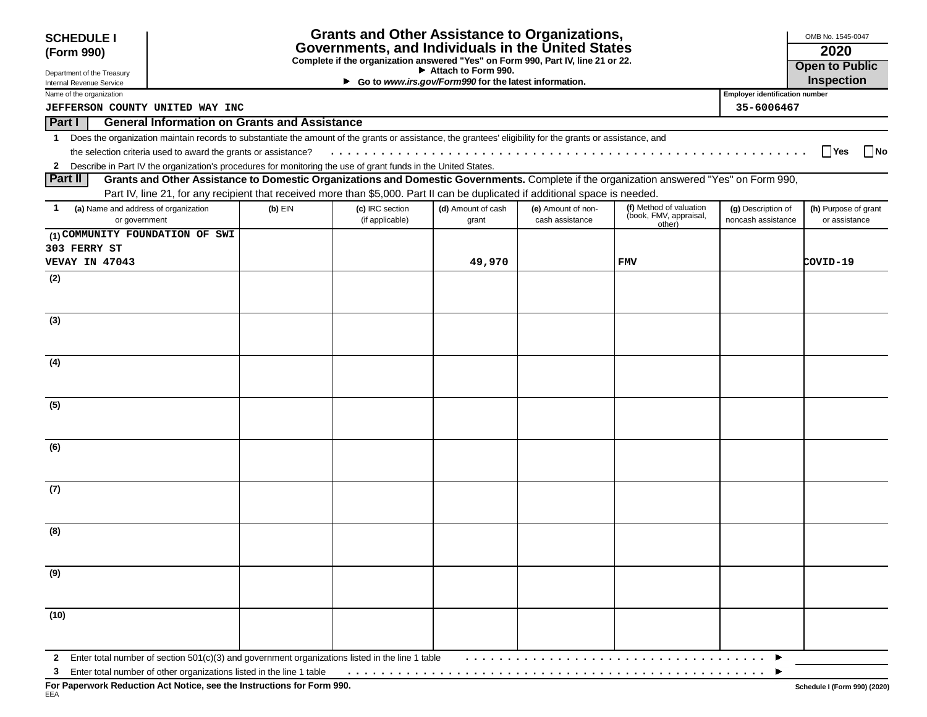| <b>SCHEDULE I</b>                                                      |                                                                |                                                                                                                                       | <b>Grants and Other Assistance to Organizations,</b>                                                                                                       |                                                                              |                    |                                                                                                                                          |                                       | OMB No. 1545-0047    |  |
|------------------------------------------------------------------------|----------------------------------------------------------------|---------------------------------------------------------------------------------------------------------------------------------------|------------------------------------------------------------------------------------------------------------------------------------------------------------|------------------------------------------------------------------------------|--------------------|------------------------------------------------------------------------------------------------------------------------------------------|---------------------------------------|----------------------|--|
| (Form 990)                                                             |                                                                | Governments, and Individuals in the United States<br>Complete if the organization answered "Yes" on Form 990, Part IV, line 21 or 22. |                                                                                                                                                            |                                                                              |                    |                                                                                                                                          |                                       |                      |  |
|                                                                        |                                                                |                                                                                                                                       |                                                                                                                                                            | <b>Open to Public</b>                                                        |                    |                                                                                                                                          |                                       |                      |  |
| Department of the Treasury<br>Internal Revenue Service                 |                                                                |                                                                                                                                       |                                                                                                                                                            | Attach to Form 990.<br>Go to www.irs.gov/Form990 for the latest information. |                    |                                                                                                                                          |                                       |                      |  |
| Name of the organization                                               |                                                                |                                                                                                                                       |                                                                                                                                                            |                                                                              |                    |                                                                                                                                          | <b>Employer identification number</b> |                      |  |
|                                                                        | JEFFERSON COUNTY UNITED WAY INC<br>35-6006467                  |                                                                                                                                       |                                                                                                                                                            |                                                                              |                    |                                                                                                                                          |                                       |                      |  |
| <b>Part I</b>                                                          | <b>General Information on Grants and Assistance</b>            |                                                                                                                                       |                                                                                                                                                            |                                                                              |                    |                                                                                                                                          |                                       |                      |  |
| $\mathbf 1$                                                            |                                                                |                                                                                                                                       | Does the organization maintain records to substantiate the amount of the grants or assistance, the grantees' eligibility for the grants or assistance, and |                                                                              |                    |                                                                                                                                          |                                       |                      |  |
|                                                                        | the selection criteria used to award the grants or assistance? |                                                                                                                                       |                                                                                                                                                            |                                                                              |                    |                                                                                                                                          |                                       | Yes<br><b>No</b>     |  |
|                                                                        |                                                                |                                                                                                                                       | 2 Describe in Part IV the organization's procedures for monitoring the use of grant funds in the United States.                                            |                                                                              |                    |                                                                                                                                          |                                       |                      |  |
| ∣ Part II                                                              |                                                                |                                                                                                                                       |                                                                                                                                                            |                                                                              |                    | Grants and Other Assistance to Domestic Organizations and Domestic Governments. Complete if the organization answered "Yes" on Form 990, |                                       |                      |  |
|                                                                        |                                                                |                                                                                                                                       | Part IV, line 21, for any recipient that received more than \$5,000. Part II can be duplicated if additional space is needed.                              |                                                                              |                    |                                                                                                                                          |                                       |                      |  |
| (a) Name and address of organization<br>1                              |                                                                | $(b)$ EIN                                                                                                                             | (c) IRC section                                                                                                                                            | (d) Amount of cash                                                           | (e) Amount of non- | (f) Method of valuation                                                                                                                  | (g) Description of                    | (h) Purpose of grant |  |
| or government                                                          |                                                                |                                                                                                                                       | (if applicable)                                                                                                                                            | grant                                                                        | cash assistance    | (book, FMV, appraisal,<br>other)                                                                                                         | noncash assistance                    | or assistance        |  |
| (1) COMMUNITY FOUNDATION OF SWI                                        |                                                                |                                                                                                                                       |                                                                                                                                                            |                                                                              |                    |                                                                                                                                          |                                       |                      |  |
| 303 FERRY ST                                                           |                                                                |                                                                                                                                       |                                                                                                                                                            |                                                                              |                    |                                                                                                                                          |                                       |                      |  |
| VEVAY IN 47043                                                         |                                                                |                                                                                                                                       |                                                                                                                                                            | 49,970                                                                       |                    | <b>FMV</b>                                                                                                                               |                                       | COVID-19             |  |
| (2)                                                                    |                                                                |                                                                                                                                       |                                                                                                                                                            |                                                                              |                    |                                                                                                                                          |                                       |                      |  |
|                                                                        |                                                                |                                                                                                                                       |                                                                                                                                                            |                                                                              |                    |                                                                                                                                          |                                       |                      |  |
|                                                                        |                                                                |                                                                                                                                       |                                                                                                                                                            |                                                                              |                    |                                                                                                                                          |                                       |                      |  |
| (3)                                                                    |                                                                |                                                                                                                                       |                                                                                                                                                            |                                                                              |                    |                                                                                                                                          |                                       |                      |  |
|                                                                        |                                                                |                                                                                                                                       |                                                                                                                                                            |                                                                              |                    |                                                                                                                                          |                                       |                      |  |
|                                                                        |                                                                |                                                                                                                                       |                                                                                                                                                            |                                                                              |                    |                                                                                                                                          |                                       |                      |  |
| (4)                                                                    |                                                                |                                                                                                                                       |                                                                                                                                                            |                                                                              |                    |                                                                                                                                          |                                       |                      |  |
|                                                                        |                                                                |                                                                                                                                       |                                                                                                                                                            |                                                                              |                    |                                                                                                                                          |                                       |                      |  |
|                                                                        |                                                                |                                                                                                                                       |                                                                                                                                                            |                                                                              |                    |                                                                                                                                          |                                       |                      |  |
|                                                                        |                                                                |                                                                                                                                       |                                                                                                                                                            |                                                                              |                    |                                                                                                                                          |                                       |                      |  |
| (5)                                                                    |                                                                |                                                                                                                                       |                                                                                                                                                            |                                                                              |                    |                                                                                                                                          |                                       |                      |  |
|                                                                        |                                                                |                                                                                                                                       |                                                                                                                                                            |                                                                              |                    |                                                                                                                                          |                                       |                      |  |
|                                                                        |                                                                |                                                                                                                                       |                                                                                                                                                            |                                                                              |                    |                                                                                                                                          |                                       |                      |  |
| (6)                                                                    |                                                                |                                                                                                                                       |                                                                                                                                                            |                                                                              |                    |                                                                                                                                          |                                       |                      |  |
|                                                                        |                                                                |                                                                                                                                       |                                                                                                                                                            |                                                                              |                    |                                                                                                                                          |                                       |                      |  |
|                                                                        |                                                                |                                                                                                                                       |                                                                                                                                                            |                                                                              |                    |                                                                                                                                          |                                       |                      |  |
| (7)                                                                    |                                                                |                                                                                                                                       |                                                                                                                                                            |                                                                              |                    |                                                                                                                                          |                                       |                      |  |
|                                                                        |                                                                |                                                                                                                                       |                                                                                                                                                            |                                                                              |                    |                                                                                                                                          |                                       |                      |  |
|                                                                        |                                                                |                                                                                                                                       |                                                                                                                                                            |                                                                              |                    |                                                                                                                                          |                                       |                      |  |
| (8)                                                                    |                                                                |                                                                                                                                       |                                                                                                                                                            |                                                                              |                    |                                                                                                                                          |                                       |                      |  |
|                                                                        |                                                                |                                                                                                                                       |                                                                                                                                                            |                                                                              |                    |                                                                                                                                          |                                       |                      |  |
|                                                                        |                                                                |                                                                                                                                       |                                                                                                                                                            |                                                                              |                    |                                                                                                                                          |                                       |                      |  |
| (9)                                                                    |                                                                |                                                                                                                                       |                                                                                                                                                            |                                                                              |                    |                                                                                                                                          |                                       |                      |  |
|                                                                        |                                                                |                                                                                                                                       |                                                                                                                                                            |                                                                              |                    |                                                                                                                                          |                                       |                      |  |
|                                                                        |                                                                |                                                                                                                                       |                                                                                                                                                            |                                                                              |                    |                                                                                                                                          |                                       |                      |  |
| (10)                                                                   |                                                                |                                                                                                                                       |                                                                                                                                                            |                                                                              |                    |                                                                                                                                          |                                       |                      |  |
|                                                                        |                                                                |                                                                                                                                       |                                                                                                                                                            |                                                                              |                    |                                                                                                                                          |                                       |                      |  |
|                                                                        |                                                                |                                                                                                                                       |                                                                                                                                                            |                                                                              |                    |                                                                                                                                          |                                       |                      |  |
| $\mathbf{2}$                                                           |                                                                |                                                                                                                                       | Enter total number of section 501(c)(3) and government organizations listed in the line 1 table                                                            |                                                                              |                    |                                                                                                                                          |                                       |                      |  |
| 3 Enter total number of other organizations listed in the line 1 table |                                                                |                                                                                                                                       |                                                                                                                                                            |                                                                              |                    |                                                                                                                                          |                                       |                      |  |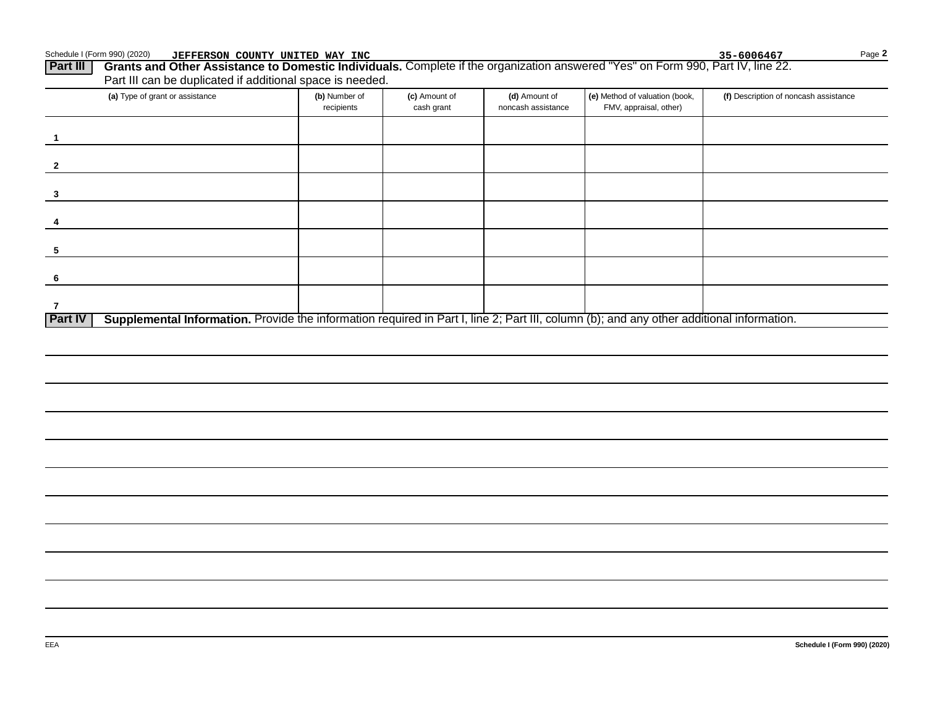Schedule I (Form 990) (2020) **JEFFERSON COUNTY UNITED WAY INC** Page **Page 19th County 19th County UNITED WAY INC Part III** Grants

| Grants and Other Assistance to Domestic Individuals. Complete if the organization answered "Yes" on Form 990, Part IV, line 22. |               |               |                    |                                |                                       |  |  |
|---------------------------------------------------------------------------------------------------------------------------------|---------------|---------------|--------------------|--------------------------------|---------------------------------------|--|--|
| Part III can be duplicated if additional space is needed.                                                                       |               |               |                    |                                |                                       |  |  |
| (a) Type of grant or assistance                                                                                                 | (b) Number of | (c) Amount of | (d) Amount of      | (e) Method of valuation (book, | (f) Description of noncash assistance |  |  |
|                                                                                                                                 | recipients    | cash grant    | noncash assistance | FMV, appraisal, other)         |                                       |  |  |

|                                                                                                                                                             | recipients | cası yıanı | <b>INICASH ASSISTATICE</b> | Fiviv, applaisal, other j |  |
|-------------------------------------------------------------------------------------------------------------------------------------------------------------|------------|------------|----------------------------|---------------------------|--|
|                                                                                                                                                             |            |            |                            |                           |  |
|                                                                                                                                                             |            |            |                            |                           |  |
|                                                                                                                                                             |            |            |                            |                           |  |
|                                                                                                                                                             |            |            |                            |                           |  |
|                                                                                                                                                             |            |            |                            |                           |  |
|                                                                                                                                                             |            |            |                            |                           |  |
|                                                                                                                                                             |            |            |                            |                           |  |
| Supplemental Information. Provide the information required in Part I, line 2; Part III, column (b); and any other additional information.<br><b>Part IV</b> |            |            |                            |                           |  |

**2**